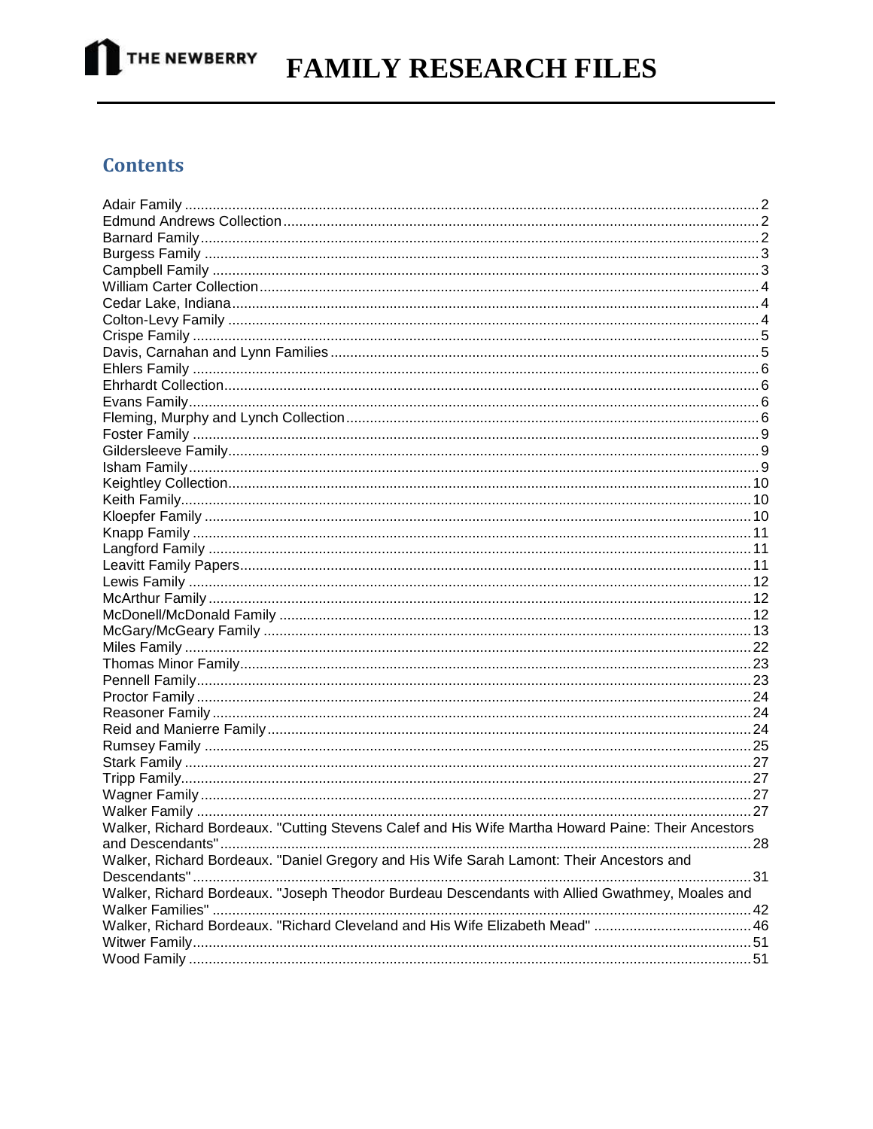

# **FAMILY RESEARCH FILES**

#### **Contents**

| Walker, Richard Bordeaux. "Cutting Stevens Calef and His Wife Martha Howard Paine: Their Ancestors |  |
|----------------------------------------------------------------------------------------------------|--|
|                                                                                                    |  |
| Walker, Richard Bordeaux. "Daniel Gregory and His Wife Sarah Lamont: Their Ancestors and           |  |
|                                                                                                    |  |
| Walker, Richard Bordeaux. "Joseph Theodor Burdeau Descendants with Allied Gwathmey, Moales and     |  |
|                                                                                                    |  |
|                                                                                                    |  |
|                                                                                                    |  |
|                                                                                                    |  |
|                                                                                                    |  |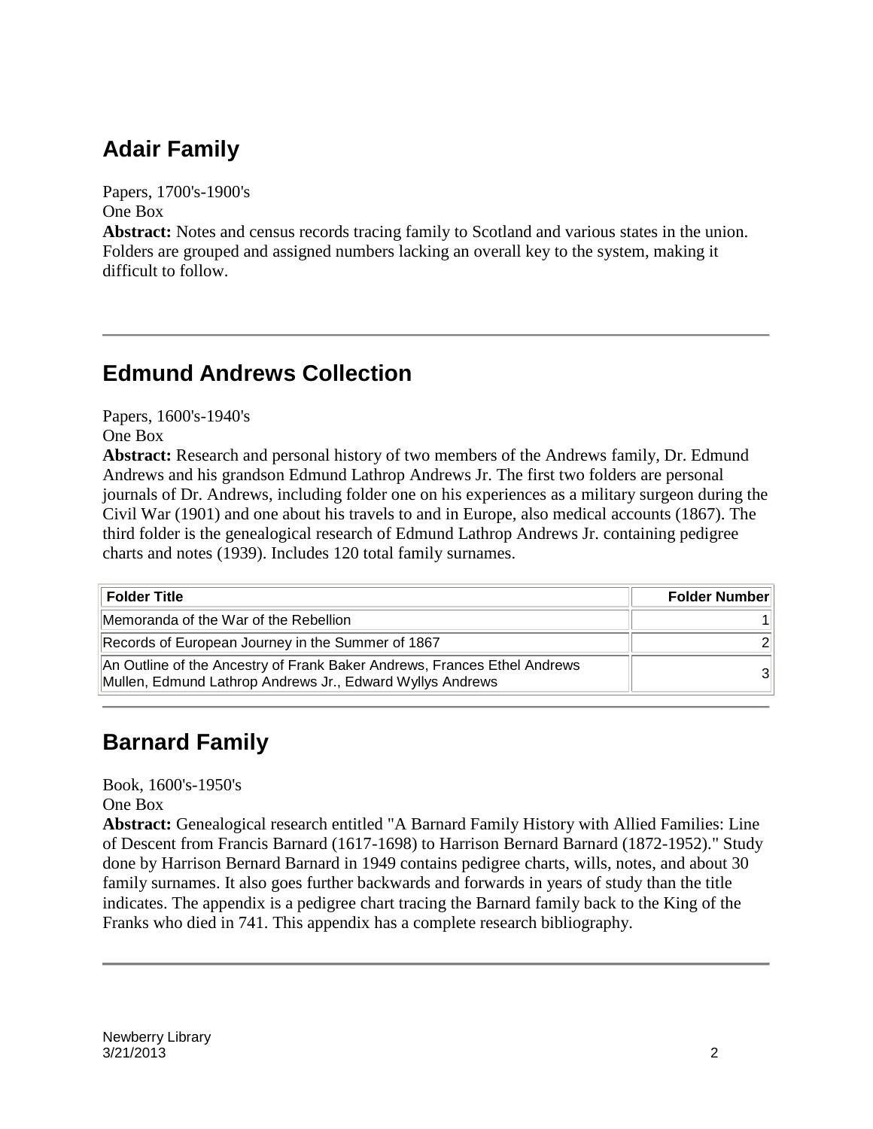### **Adair Family**

Papers, 1700's-1900's One Box

**Abstract:** Notes and census records tracing family to Scotland and various states in the union. Folders are grouped and assigned numbers lacking an overall key to the system, making it difficult to follow.

#### **Edmund Andrews Collection**

Papers, 1600's-1940's

One Box

**Abstract:** Research and personal history of two members of the Andrews family, Dr. Edmund Andrews and his grandson Edmund Lathrop Andrews Jr. The first two folders are personal journals of Dr. Andrews, including folder one on his experiences as a military surgeon during the Civil War (1901) and one about his travels to and in Europe, also medical accounts (1867). The third folder is the genealogical research of Edmund Lathrop Andrews Jr. containing pedigree charts and notes (1939). Includes 120 total family surnames.

| <b>Folder Title</b>                                                                                                                   | <b>Folder Number</b> |
|---------------------------------------------------------------------------------------------------------------------------------------|----------------------|
| Memoranda of the War of the Rebellion                                                                                                 |                      |
| Records of European Journey in the Summer of 1867                                                                                     | $\mathcal{D}$        |
| An Outline of the Ancestry of Frank Baker Andrews, Frances Ethel Andrews<br>Mullen, Edmund Lathrop Andrews Jr., Edward Wyllys Andrews | 31                   |

### **Barnard Family**

Book, 1600's-1950's

One Box

**Abstract:** Genealogical research entitled "A Barnard Family History with Allied Families: Line of Descent from Francis Barnard (1617-1698) to Harrison Bernard Barnard (1872-1952)." Study done by Harrison Bernard Barnard in 1949 contains pedigree charts, wills, notes, and about 30 family surnames. It also goes further backwards and forwards in years of study than the title indicates. The appendix is a pedigree chart tracing the Barnard family back to the King of the Franks who died in 741. This appendix has a complete research bibliography.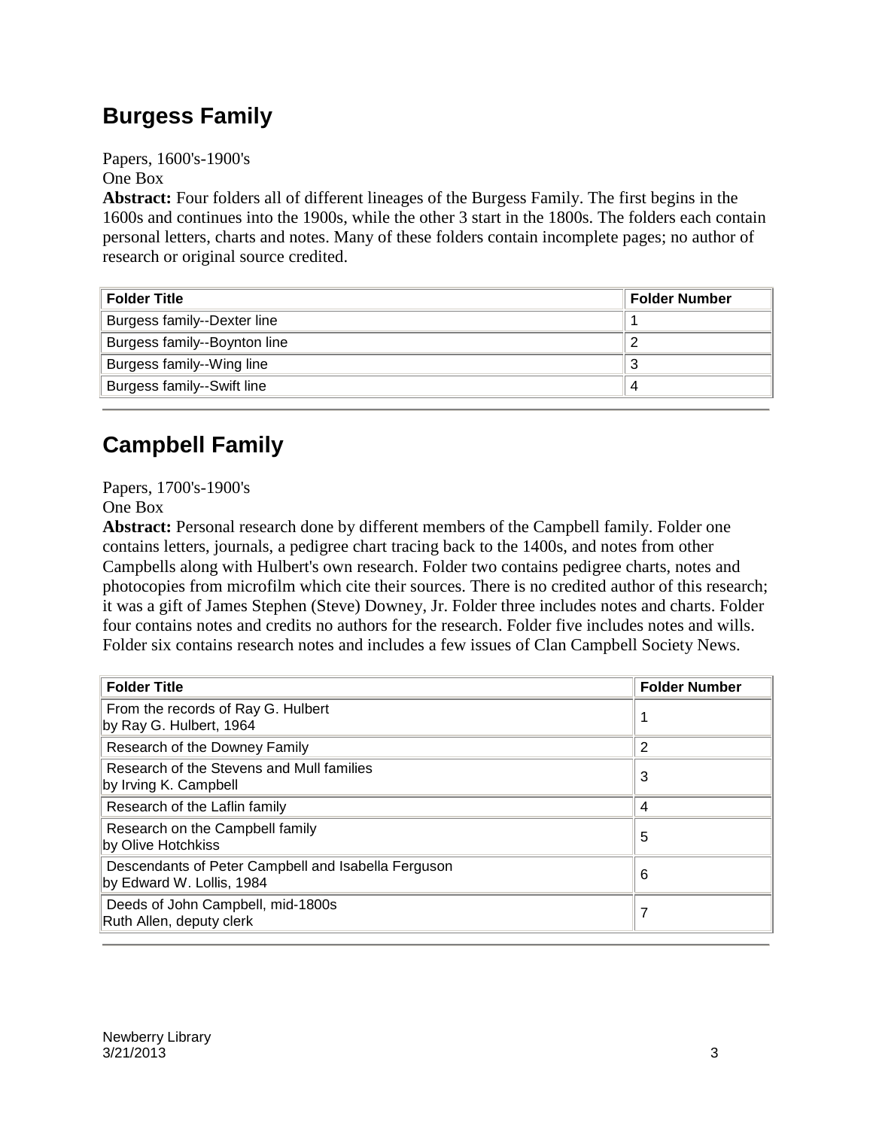### **Burgess Family**

Papers, 1600's-1900's One Box

**Abstract:** Four folders all of different lineages of the Burgess Family. The first begins in the 1600s and continues into the 1900s, while the other 3 start in the 1800s. The folders each contain personal letters, charts and notes. Many of these folders contain incomplete pages; no author of research or original source credited.

| <b>Folder Title</b>          | Folder Number |
|------------------------------|---------------|
| Burgess family--Dexter line  |               |
| Burgess family--Boynton line |               |
| Burgess family--Wing line    |               |
| Burgess family--Swift line   |               |

### **Campbell Family**

Papers, 1700's-1900's

One Box

**Abstract:** Personal research done by different members of the Campbell family. Folder one contains letters, journals, a pedigree chart tracing back to the 1400s, and notes from other Campbells along with Hulbert's own research. Folder two contains pedigree charts, notes and photocopies from microfilm which cite their sources. There is no credited author of this research; it was a gift of James Stephen (Steve) Downey, Jr. Folder three includes notes and charts. Folder four contains notes and credits no authors for the research. Folder five includes notes and wills. Folder six contains research notes and includes a few issues of Clan Campbell Society News.

| <b>Folder Title</b>                                                              | <b>Folder Number</b> |
|----------------------------------------------------------------------------------|----------------------|
| From the records of Ray G. Hulbert<br>by Ray G. Hulbert, 1964                    |                      |
| Research of the Downey Family                                                    | 2                    |
| Research of the Stevens and Mull families<br>by Irving K. Campbell               | 3                    |
| Research of the Laflin family                                                    | 4                    |
| Research on the Campbell family<br>by Olive Hotchkiss                            | 5                    |
| Descendants of Peter Campbell and Isabella Ferguson<br>by Edward W. Lollis, 1984 | 6                    |
| Deeds of John Campbell, mid-1800s<br>Ruth Allen, deputy clerk                    | 7                    |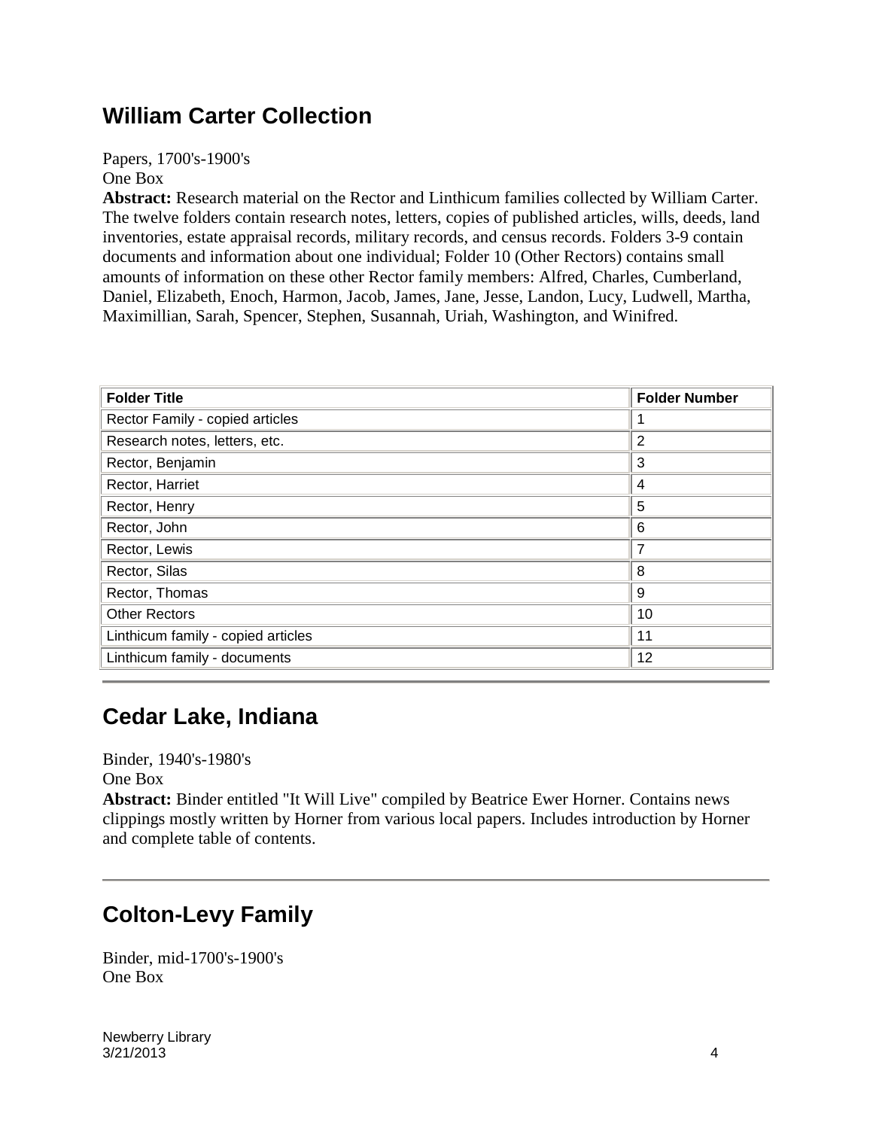#### **William Carter Collection**

Papers, 1700's-1900's One Box

**Abstract:** Research material on the Rector and Linthicum families collected by William Carter. The twelve folders contain research notes, letters, copies of published articles, wills, deeds, land inventories, estate appraisal records, military records, and census records. Folders 3-9 contain documents and information about one individual; Folder 10 (Other Rectors) contains small amounts of information on these other Rector family members: Alfred, Charles, Cumberland, Daniel, Elizabeth, Enoch, Harmon, Jacob, James, Jane, Jesse, Landon, Lucy, Ludwell, Martha, Maximillian, Sarah, Spencer, Stephen, Susannah, Uriah, Washington, and Winifred.

| <b>Folder Title</b>                | <b>Folder Number</b> |
|------------------------------------|----------------------|
| Rector Family - copied articles    |                      |
| Research notes, letters, etc.      | 2                    |
| Rector, Benjamin                   | 3                    |
| Rector, Harriet                    | 4                    |
| Rector, Henry                      | 5                    |
| Rector, John                       | 6                    |
| Rector, Lewis                      | 7                    |
| Rector, Silas                      | 8                    |
| Rector, Thomas                     | 9                    |
| <b>Other Rectors</b>               | 10                   |
| Linthicum family - copied articles | 11                   |
| Linthicum family - documents       | 12                   |

### **Cedar Lake, Indiana**

Binder, 1940's-1980's

One Box

**Abstract:** Binder entitled "It Will Live" compiled by Beatrice Ewer Horner. Contains news clippings mostly written by Horner from various local papers. Includes introduction by Horner and complete table of contents.

#### **Colton-Levy Family**

Binder, mid-1700's-1900's One Box

Newberry Library  $3/21/2013$  4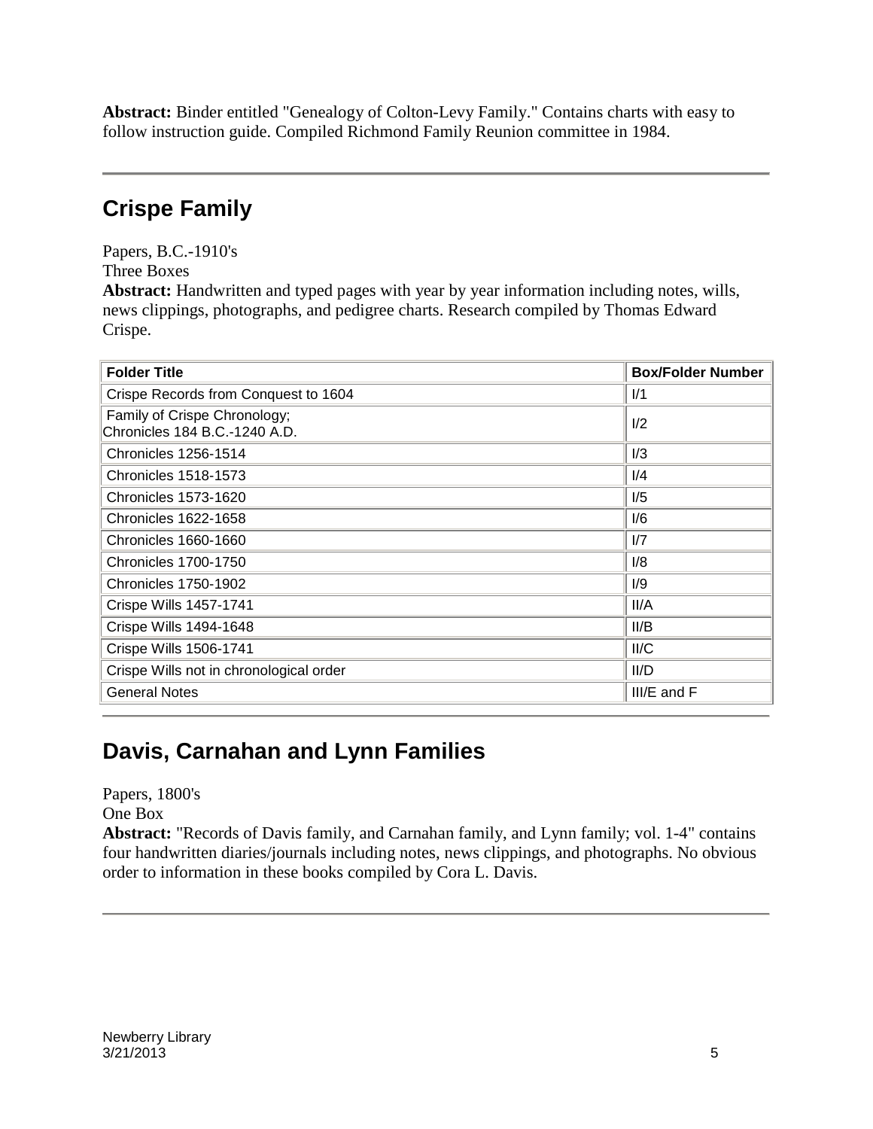**Abstract:** Binder entitled "Genealogy of Colton-Levy Family." Contains charts with easy to follow instruction guide. Compiled Richmond Family Reunion committee in 1984.

#### **Crispe Family**

Papers, B.C.-1910's

Three Boxes

**Abstract:** Handwritten and typed pages with year by year information including notes, wills, news clippings, photographs, and pedigree charts. Research compiled by Thomas Edward Crispe.

| <b>Folder Title</b>                                           | <b>Box/Folder Number</b> |
|---------------------------------------------------------------|--------------------------|
| Crispe Records from Conquest to 1604                          | 1/1                      |
| Family of Crispe Chronology;<br>Chronicles 184 B.C.-1240 A.D. | 1/2                      |
| <b>Chronicles 1256-1514</b>                                   | 1/3                      |
| <b>Chronicles 1518-1573</b>                                   | 1/4                      |
| <b>Chronicles 1573-1620</b>                                   | 1/5                      |
| <b>Chronicles 1622-1658</b>                                   | I/6                      |
| Chronicles 1660-1660                                          | 1/7                      |
| <b>Chronicles 1700-1750</b>                                   | 1/8                      |
| <b>Chronicles 1750-1902</b>                                   | I/9                      |
| <b>Crispe Wills 1457-1741</b>                                 | II/A                     |
| Crispe Wills 1494-1648                                        | II/B                     |
| Crispe Wills 1506-1741                                        | II/C                     |
| Crispe Wills not in chronological order                       | II/D                     |
| <b>General Notes</b>                                          | III/E and F              |

### **Davis, Carnahan and Lynn Families**

Papers, 1800's

One Box

**Abstract:** "Records of Davis family, and Carnahan family, and Lynn family; vol. 1-4" contains four handwritten diaries/journals including notes, news clippings, and photographs. No obvious order to information in these books compiled by Cora L. Davis.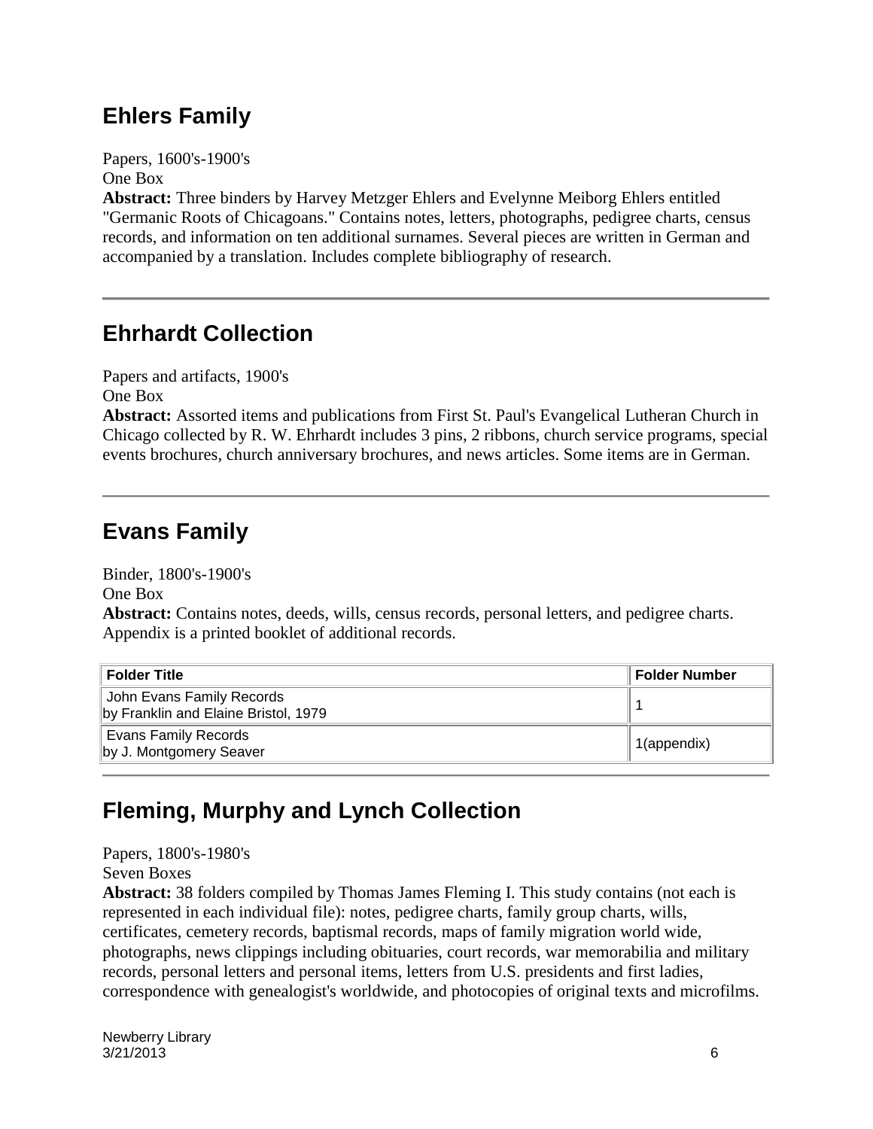#### **Ehlers Family**

Papers, 1600's-1900's One Box

**Abstract:** Three binders by Harvey Metzger Ehlers and Evelynne Meiborg Ehlers entitled "Germanic Roots of Chicagoans." Contains notes, letters, photographs, pedigree charts, census records, and information on ten additional surnames. Several pieces are written in German and accompanied by a translation. Includes complete bibliography of research.

#### **Ehrhardt Collection**

Papers and artifacts, 1900's

One Box

**Abstract:** Assorted items and publications from First St. Paul's Evangelical Lutheran Church in Chicago collected by R. W. Ehrhardt includes 3 pins, 2 ribbons, church service programs, special events brochures, church anniversary brochures, and news articles. Some items are in German.

### **Evans Family**

Binder, 1800's-1900's

One Box

**Abstract:** Contains notes, deeds, wills, census records, personal letters, and pedigree charts. Appendix is a printed booklet of additional records.

| <b>Folder Title</b>                                               | <b>Folder Number</b>     |
|-------------------------------------------------------------------|--------------------------|
| John Evans Family Records<br>by Franklin and Elaine Bristol, 1979 |                          |
| Evans Family Records<br>by J. Montgomery Seaver                   | <sup>1</sup> 1(appendix) |

### **Fleming, Murphy and Lynch Collection**

Papers, 1800's-1980's Seven Boxes

**Abstract:** 38 folders compiled by Thomas James Fleming I. This study contains (not each is represented in each individual file): notes, pedigree charts, family group charts, wills, certificates, cemetery records, baptismal records, maps of family migration world wide, photographs, news clippings including obituaries, court records, war memorabilia and military records, personal letters and personal items, letters from U.S. presidents and first ladies, correspondence with genealogist's worldwide, and photocopies of original texts and microfilms.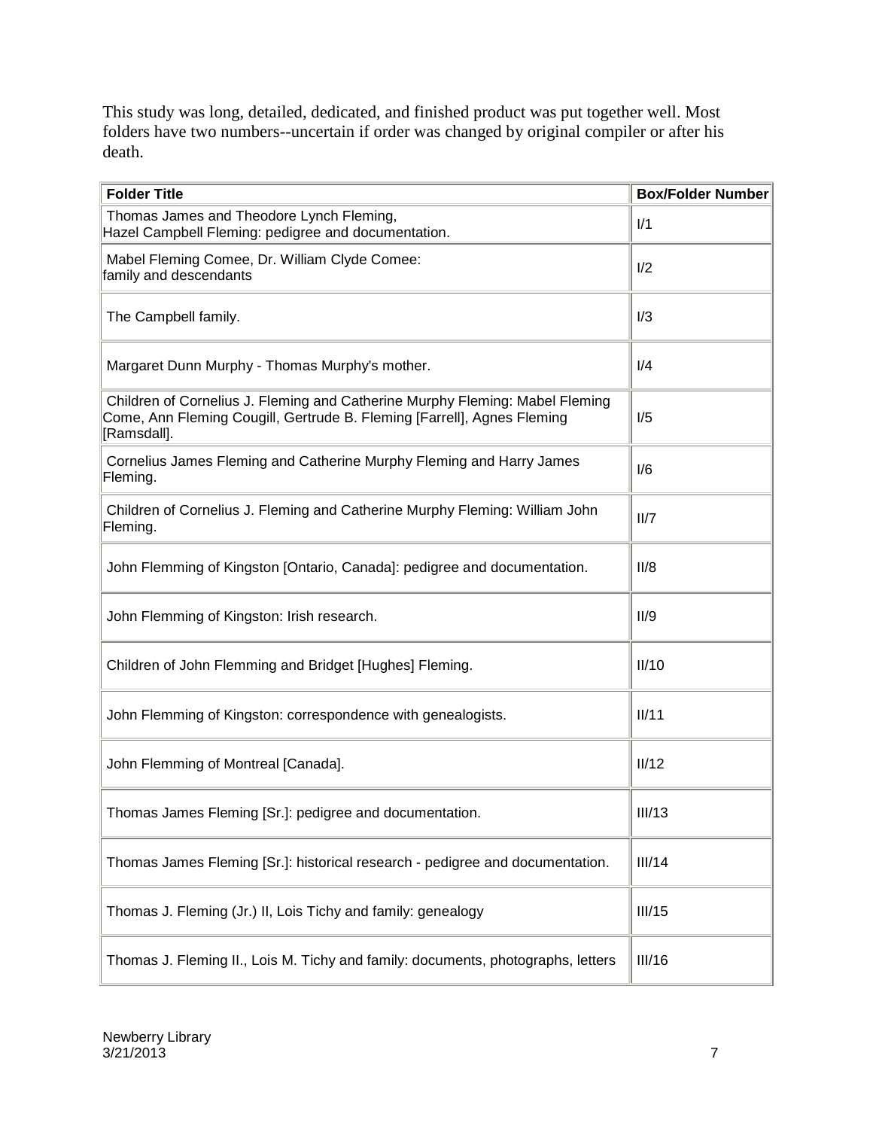This study was long, detailed, dedicated, and finished product was put together well. Most folders have two numbers--uncertain if order was changed by original compiler or after his death.

| <b>Folder Title</b>                                                                                                                                                    | <b>Box/Folder Number</b> |
|------------------------------------------------------------------------------------------------------------------------------------------------------------------------|--------------------------|
| Thomas James and Theodore Lynch Fleming,<br>Hazel Campbell Fleming: pedigree and documentation.                                                                        | 1/1                      |
| Mabel Fleming Comee, Dr. William Clyde Comee:<br>family and descendants                                                                                                | 1/2                      |
| The Campbell family.                                                                                                                                                   | 1/3                      |
| Margaret Dunn Murphy - Thomas Murphy's mother.                                                                                                                         | I/4                      |
| Children of Cornelius J. Fleming and Catherine Murphy Fleming: Mabel Fleming<br>Come, Ann Fleming Cougill, Gertrude B. Fleming [Farrell], Agnes Fleming<br>[Ramsdall]. | 1/5                      |
| Cornelius James Fleming and Catherine Murphy Fleming and Harry James<br>Fleming.                                                                                       | 1/6                      |
| Children of Cornelius J. Fleming and Catherine Murphy Fleming: William John<br>Fleming.                                                                                | II/7                     |
| John Flemming of Kingston [Ontario, Canada]: pedigree and documentation.                                                                                               | II/8                     |
| John Flemming of Kingston: Irish research.                                                                                                                             | II/9                     |
| Children of John Flemming and Bridget [Hughes] Fleming.                                                                                                                | II/10                    |
| John Flemming of Kingston: correspondence with genealogists.                                                                                                           | II/11                    |
| John Flemming of Montreal [Canada].                                                                                                                                    | II/12                    |
| Thomas James Fleming [Sr.]: pedigree and documentation.                                                                                                                | III/13                   |
| Thomas James Fleming [Sr.]: historical research - pedigree and documentation.                                                                                          | III/14                   |
| Thomas J. Fleming (Jr.) II, Lois Tichy and family: genealogy                                                                                                           | III/15                   |
| Thomas J. Fleming II., Lois M. Tichy and family: documents, photographs, letters                                                                                       | III/16                   |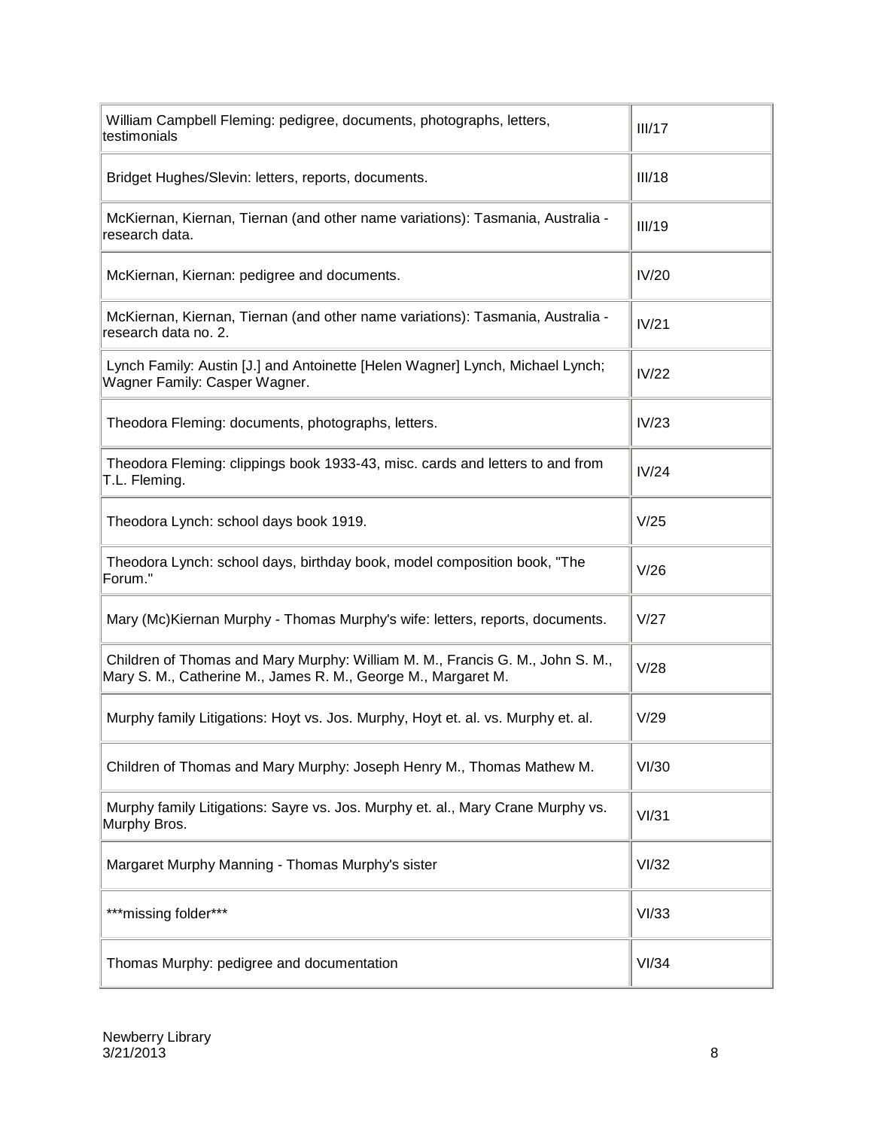| William Campbell Fleming: pedigree, documents, photographs, letters,<br>testimonials                                                           | III/17 |
|------------------------------------------------------------------------------------------------------------------------------------------------|--------|
| Bridget Hughes/Slevin: letters, reports, documents.                                                                                            | III/18 |
| McKiernan, Kiernan, Tiernan (and other name variations): Tasmania, Australia -<br>research data.                                               | III/19 |
| McKiernan, Kiernan: pedigree and documents.                                                                                                    | IV/20  |
| McKiernan, Kiernan, Tiernan (and other name variations): Tasmania, Australia -<br>research data no. 2.                                         | IV/21  |
| Lynch Family: Austin [J.] and Antoinette [Helen Wagner] Lynch, Michael Lynch;<br>Wagner Family: Casper Wagner.                                 | IV/22  |
| Theodora Fleming: documents, photographs, letters.                                                                                             | IV/23  |
| Theodora Fleming: clippings book 1933-43, misc. cards and letters to and from<br>T.L. Fleming.                                                 | IV/24  |
| Theodora Lynch: school days book 1919.                                                                                                         | V/25   |
| Theodora Lynch: school days, birthday book, model composition book, "The<br>Forum."                                                            | V/26   |
| Mary (Mc) Kiernan Murphy - Thomas Murphy's wife: letters, reports, documents.                                                                  | V/27   |
| Children of Thomas and Mary Murphy: William M. M., Francis G. M., John S. M.,<br>Mary S. M., Catherine M., James R. M., George M., Margaret M. | V/28   |
| Murphy family Litigations: Hoyt vs. Jos. Murphy, Hoyt et. al. vs. Murphy et. al.                                                               | V/29   |
| Children of Thomas and Mary Murphy: Joseph Henry M., Thomas Mathew M.                                                                          | VI/30  |
| Murphy family Litigations: Sayre vs. Jos. Murphy et. al., Mary Crane Murphy vs.<br>Murphy Bros.                                                | VI/31  |
| Margaret Murphy Manning - Thomas Murphy's sister                                                                                               | VI/32  |
| *** missing folder***                                                                                                                          | VI/33  |
| Thomas Murphy: pedigree and documentation                                                                                                      | VI/34  |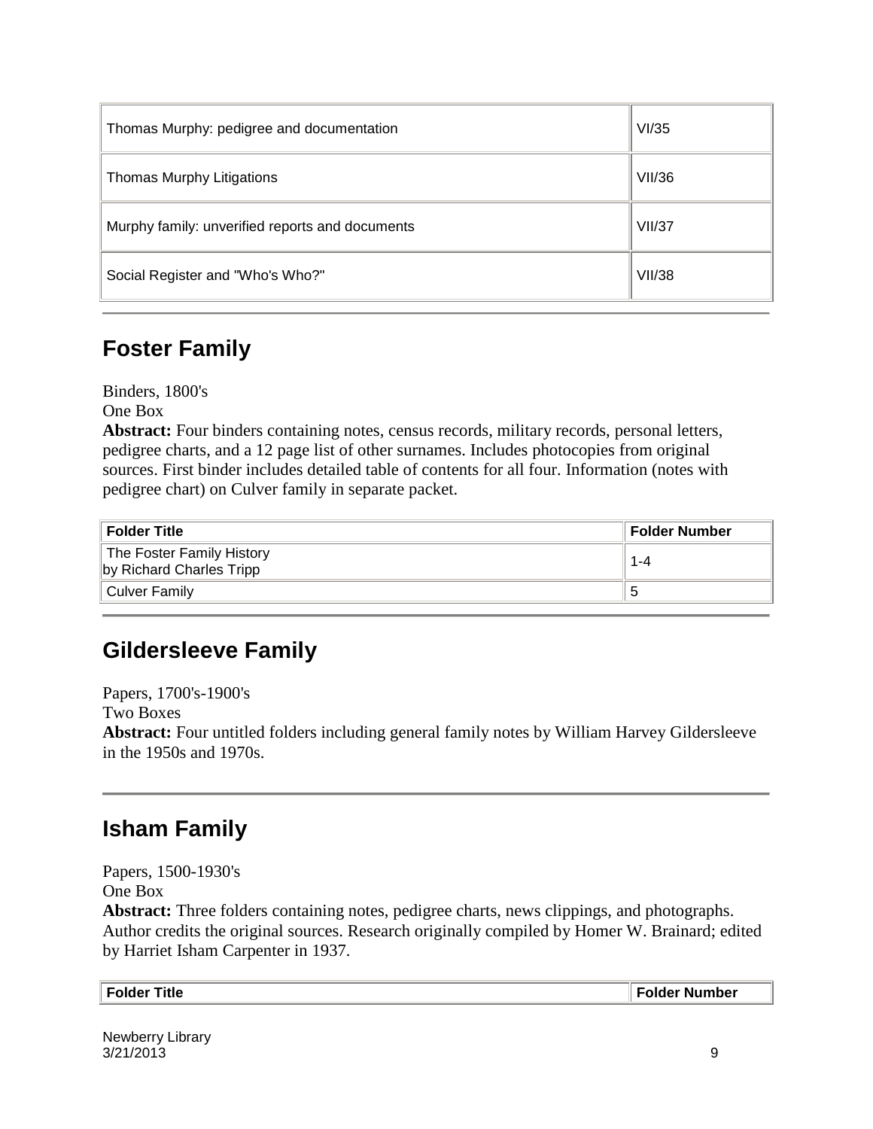| Thomas Murphy: pedigree and documentation       | VI/35         |
|-------------------------------------------------|---------------|
| Thomas Murphy Litigations                       | <b>VII/36</b> |
| Murphy family: unverified reports and documents | VII/37        |
| Social Register and "Who's Who?"                | <b>VII/38</b> |

#### **Foster Family**

Binders, 1800's

One Box

**Abstract:** Four binders containing notes, census records, military records, personal letters, pedigree charts, and a 12 page list of other surnames. Includes photocopies from original sources. First binder includes detailed table of contents for all four. Information (notes with pedigree chart) on Culver family in separate packet.

| <b>Folder Title</b>                                   | <b>Folder Number</b> |
|-------------------------------------------------------|----------------------|
| The Foster Family History<br>by Richard Charles Tripp | 1-4                  |
| Culver Family                                         |                      |

### **Gildersleeve Family**

Papers, 1700's-1900's Two Boxes **Abstract:** Four untitled folders including general family notes by William Harvey Gildersleeve in the 1950s and 1970s.

### **Isham Family**

Papers, 1500-1930's One Box

**Abstract:** Three folders containing notes, pedigree charts, news clippings, and photographs. Author credits the original sources. Research originally compiled by Homer W. Brainard; edited by Harriet Isham Carpenter in 1937.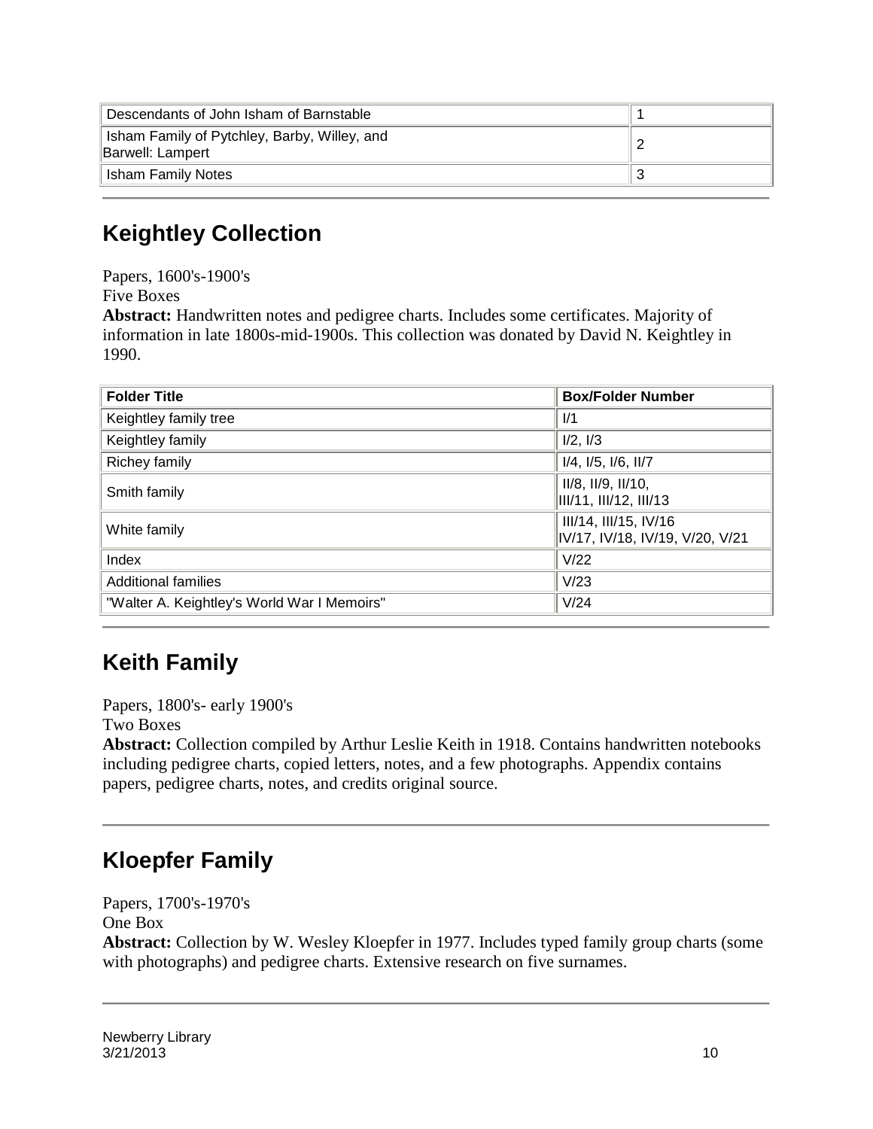| Descendants of John Isham of Barnstable                          |  |
|------------------------------------------------------------------|--|
| Isham Family of Pytchley, Barby, Willey, and<br>Barwell: Lampert |  |
| <b>Isham Family Notes</b>                                        |  |

### **Keightley Collection**

Papers, 1600's-1900's

Five Boxes

**Abstract:** Handwritten notes and pedigree charts. Includes some certificates. Majority of information in late 1800s-mid-1900s. This collection was donated by David N. Keightley in 1990.

| <b>Folder Title</b>                         | <b>Box/Folder Number</b>                                 |
|---------------------------------------------|----------------------------------------------------------|
| Keightley family tree                       | 1/1                                                      |
| Keightley family                            | 1/2, 1/3                                                 |
| Richey family                               | $I/4$ , $I/5$ , $I/6$ , $II/7$                           |
| Smith family                                | II/8, II/9, II/10,<br>III/11, III/12, III/13             |
| White family                                | III/14, III/15, IV/16<br>IV/17, IV/18, IV/19, V/20, V/21 |
| Index                                       | V/22                                                     |
| <b>Additional families</b>                  | V/23                                                     |
| "Walter A. Keightley's World War I Memoirs" | V/24                                                     |

### **Keith Family**

Papers, 1800's- early 1900's

Two Boxes

**Abstract:** Collection compiled by Arthur Leslie Keith in 1918. Contains handwritten notebooks including pedigree charts, copied letters, notes, and a few photographs. Appendix contains papers, pedigree charts, notes, and credits original source.

### **Kloepfer Family**

Papers, 1700's-1970's One Box **Abstract:** Collection by W. Wesley Kloepfer in 1977. Includes typed family group charts (some with photographs) and pedigree charts. Extensive research on five surnames.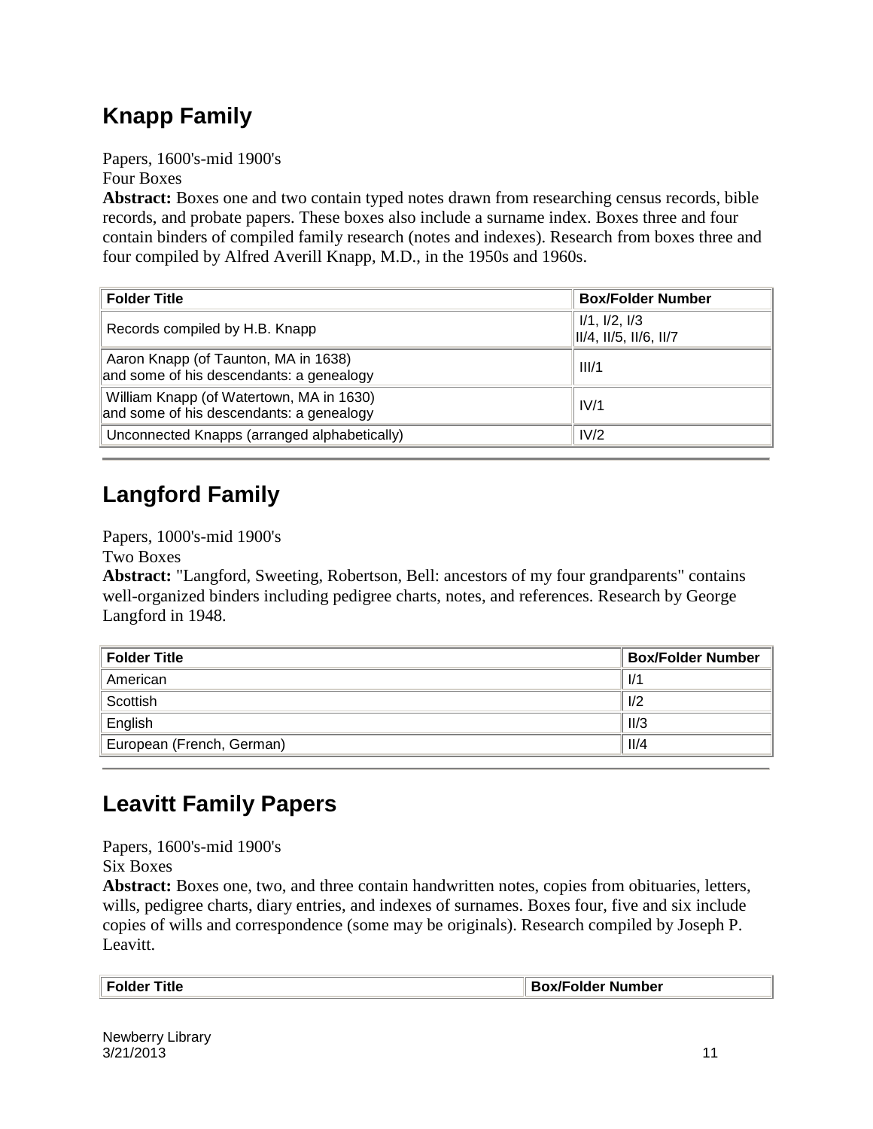### **Knapp Family**

Papers, 1600's-mid 1900's Four Boxes

**Abstract:** Boxes one and two contain typed notes drawn from researching census records, bible records, and probate papers. These boxes also include a surname index. Boxes three and four contain binders of compiled family research (notes and indexes). Research from boxes three and four compiled by Alfred Averill Knapp, M.D., in the 1950s and 1960s.

| <b>Folder Title</b>                                                                  | <b>Box/Folder Number</b>                |
|--------------------------------------------------------------------------------------|-----------------------------------------|
| Records compiled by H.B. Knapp                                                       | I/1, I/2, I/3<br>II/4, II/5, II/6, II/7 |
| Aaron Knapp (of Taunton, MA in 1638)<br>and some of his descendants: a genealogy     | III/1                                   |
| William Knapp (of Watertown, MA in 1630)<br>and some of his descendants: a genealogy | IV/1                                    |
| Unconnected Knapps (arranged alphabetically)                                         | IV/2                                    |

## **Langford Family**

Papers, 1000's-mid 1900's

Two Boxes

**Abstract:** "Langford, Sweeting, Robertson, Bell: ancestors of my four grandparents" contains well-organized binders including pedigree charts, notes, and references. Research by George Langford in 1948.

| <b>Folder Title</b>       | <b>Box/Folder Number</b> |
|---------------------------|--------------------------|
| American                  | 1/1                      |
| Scottish                  | 1/2                      |
| English                   | II/3                     |
| European (French, German) | II/4                     |

### **Leavitt Family Papers**

Papers, 1600's-mid 1900's Six Boxes

**Abstract:** Boxes one, two, and three contain handwritten notes, copies from obituaries, letters, wills, pedigree charts, diary entries, and indexes of surnames. Boxes four, five and six include copies of wills and correspondence (some may be originals). Research compiled by Joseph P. Leavitt.

| Title<br>Folder<br>_____ | <b>Box/Folder Number</b> |
|--------------------------|--------------------------|
|                          |                          |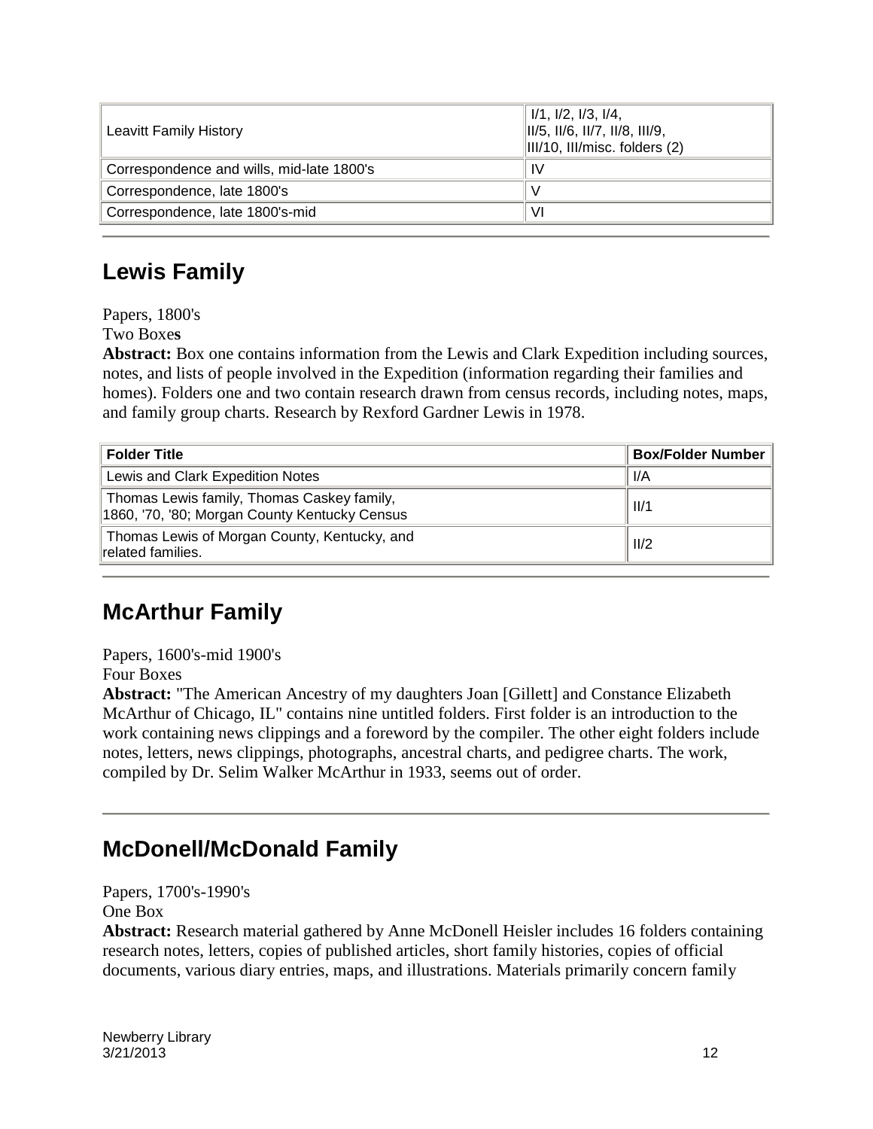| Leavitt Family History                    | $1/1$ , $1/2$ , $1/3$ , $1/4$ ,<br>$\parallel$ II/5, II/6, II/7, II/8, III/9,<br>$\parallel$ III/10, III/misc. folders (2) |
|-------------------------------------------|----------------------------------------------------------------------------------------------------------------------------|
| Correspondence and wills, mid-late 1800's | 1V                                                                                                                         |
| Correspondence, late 1800's               |                                                                                                                            |
| Correspondence, late 1800's-mid           | VI                                                                                                                         |

### **Lewis Family**

Papers, 1800's

Two Boxe**s**

**Abstract:** Box one contains information from the Lewis and Clark Expedition including sources, notes, and lists of people involved in the Expedition (information regarding their families and homes). Folders one and two contain research drawn from census records, including notes, maps, and family group charts. Research by Rexford Gardner Lewis in 1978.

| <b>Folder Title</b>                                                                         | <b>Box/Folder Number</b> |
|---------------------------------------------------------------------------------------------|--------------------------|
| Lewis and Clark Expedition Notes                                                            | 1/A                      |
| Thomas Lewis family, Thomas Caskey family,<br>1860, '70, '80; Morgan County Kentucky Census | II/1                     |
| Thomas Lewis of Morgan County, Kentucky, and<br>related families.                           | 11/2                     |

### **McArthur Family**

Papers, 1600's-mid 1900's

Four Boxes

**Abstract:** "The American Ancestry of my daughters Joan [Gillett] and Constance Elizabeth McArthur of Chicago, IL" contains nine untitled folders. First folder is an introduction to the work containing news clippings and a foreword by the compiler. The other eight folders include notes, letters, news clippings, photographs, ancestral charts, and pedigree charts. The work, compiled by Dr. Selim Walker McArthur in 1933, seems out of order.

### **McDonell/McDonald Family**

Papers, 1700's-1990's One Box

**Abstract:** Research material gathered by Anne McDonell Heisler includes 16 folders containing research notes, letters, copies of published articles, short family histories, copies of official documents, various diary entries, maps, and illustrations. Materials primarily concern family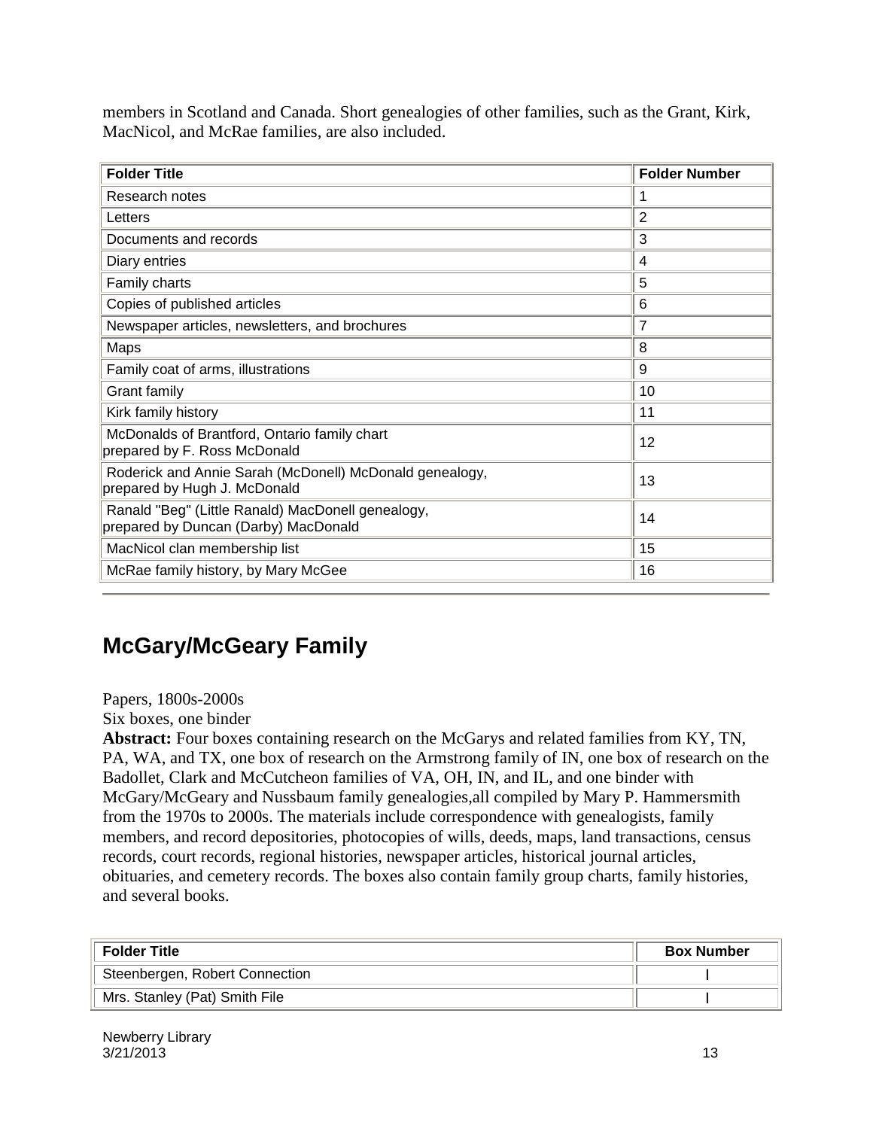members in Scotland and Canada. Short genealogies of other families, such as the Grant, Kirk, MacNicol, and McRae families, are also included.

| <b>Folder Title</b>                                                                       | <b>Folder Number</b> |
|-------------------------------------------------------------------------------------------|----------------------|
| Research notes                                                                            | 1                    |
| Letters                                                                                   | $\overline{2}$       |
| Documents and records                                                                     | 3                    |
| Diary entries                                                                             | $\overline{4}$       |
| Family charts                                                                             | 5                    |
| Copies of published articles                                                              | 6                    |
| Newspaper articles, newsletters, and brochures                                            | 7                    |
| Maps                                                                                      | 8                    |
| Family coat of arms, illustrations                                                        | 9                    |
| <b>Grant family</b>                                                                       | 10                   |
| Kirk family history                                                                       | 11                   |
| McDonalds of Brantford, Ontario family chart<br>prepared by F. Ross McDonald              | 12                   |
| Roderick and Annie Sarah (McDonell) McDonald genealogy,<br>prepared by Hugh J. McDonald   | 13                   |
| Ranald "Beg" (Little Ranald) MacDonell genealogy,<br>prepared by Duncan (Darby) MacDonald | 14                   |
| MacNicol clan membership list                                                             | 15                   |
| McRae family history, by Mary McGee                                                       | 16                   |

#### **McGary/McGeary Family**

Papers, 1800s-2000s

Six boxes, one binder

**Abstract:** Four boxes containing research on the McGarys and related families from KY, TN, PA, WA, and TX, one box of research on the Armstrong family of IN, one box of research on the Badollet, Clark and McCutcheon families of VA, OH, IN, and IL, and one binder with McGary/McGeary and Nussbaum family genealogies,all compiled by Mary P. Hammersmith from the 1970s to 2000s. The materials include correspondence with genealogists, family members, and record depositories, photocopies of wills, deeds, maps, land transactions, census records, court records, regional histories, newspaper articles, historical journal articles, obituaries, and cemetery records. The boxes also contain family group charts, family histories, and several books.

| ∣ Folder Title                 | <b>Box Number</b> |
|--------------------------------|-------------------|
| Steenbergen, Robert Connection |                   |
| Mrs. Stanley (Pat) Smith File  |                   |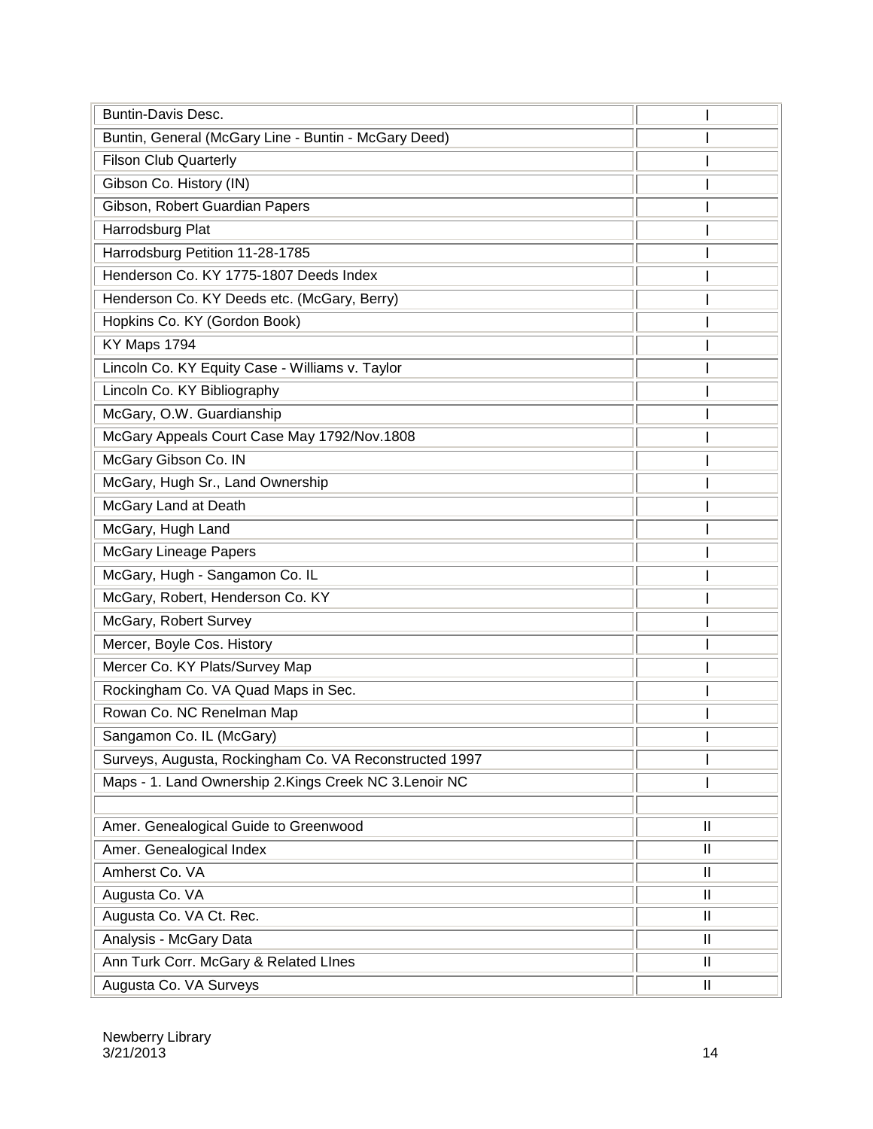| <b>Buntin-Davis Desc.</b>                               |               |
|---------------------------------------------------------|---------------|
| Buntin, General (McGary Line - Buntin - McGary Deed)    |               |
| <b>Filson Club Quarterly</b>                            |               |
| Gibson Co. History (IN)                                 |               |
| Gibson, Robert Guardian Papers                          |               |
| Harrodsburg Plat                                        |               |
| Harrodsburg Petition 11-28-1785                         |               |
| Henderson Co. KY 1775-1807 Deeds Index                  |               |
| Henderson Co. KY Deeds etc. (McGary, Berry)             |               |
| Hopkins Co. KY (Gordon Book)                            |               |
| KY Maps 1794                                            |               |
| Lincoln Co. KY Equity Case - Williams v. Taylor         |               |
| Lincoln Co. KY Bibliography                             |               |
| McGary, O.W. Guardianship                               |               |
| McGary Appeals Court Case May 1792/Nov.1808             |               |
| McGary Gibson Co. IN                                    |               |
| McGary, Hugh Sr., Land Ownership                        |               |
| McGary Land at Death                                    |               |
| McGary, Hugh Land                                       |               |
| <b>McGary Lineage Papers</b>                            |               |
| McGary, Hugh - Sangamon Co. IL                          |               |
| McGary, Robert, Henderson Co. KY                        |               |
| McGary, Robert Survey                                   |               |
| Mercer, Boyle Cos. History                              |               |
| Mercer Co. KY Plats/Survey Map                          |               |
| Rockingham Co. VA Quad Maps in Sec.                     |               |
| Rowan Co. NC Renelman Map                               |               |
| Sangamon Co. IL (McGary)                                |               |
| Surveys, Augusta, Rockingham Co. VA Reconstructed 1997  |               |
| Maps - 1. Land Ownership 2. Kings Creek NC 3. Lenoir NC |               |
|                                                         |               |
| Amer. Genealogical Guide to Greenwood                   | $\mathbf{H}$  |
| Amer. Genealogical Index                                | $\mathbf{II}$ |
| Amherst Co. VA                                          | $\mathbf{I}$  |
| Augusta Co. VA                                          | $\mathbf{II}$ |
| Augusta Co. VA Ct. Rec.                                 | $\mathbf{I}$  |
| Analysis - McGary Data                                  | $\mathbf{I}$  |
| Ann Turk Corr. McGary & Related Lines                   | Ш             |
| Augusta Co. VA Surveys                                  | $\mathbf{I}$  |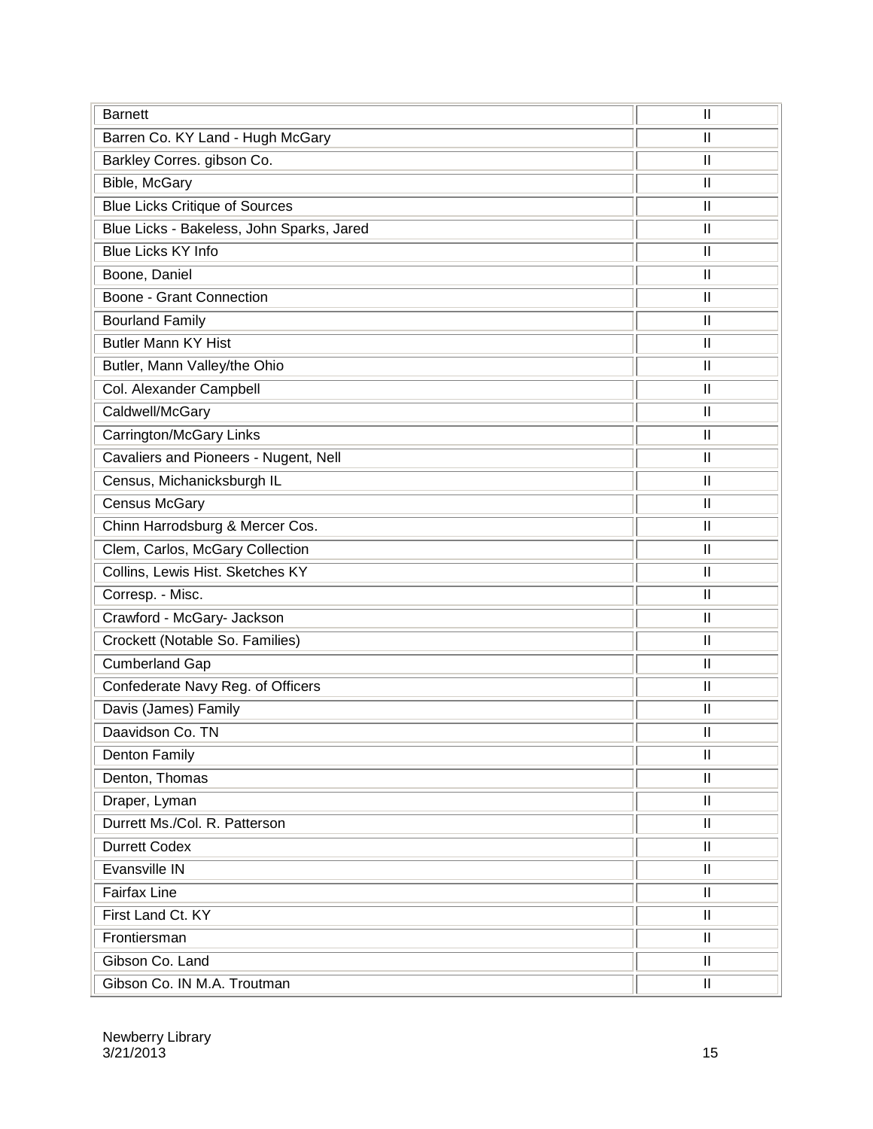| <b>Barnett</b>                            | Ш                                                                                                                                                                                                                                                                                                                                                                                                     |
|-------------------------------------------|-------------------------------------------------------------------------------------------------------------------------------------------------------------------------------------------------------------------------------------------------------------------------------------------------------------------------------------------------------------------------------------------------------|
| Barren Co. KY Land - Hugh McGary          | $\mathbf{I}$                                                                                                                                                                                                                                                                                                                                                                                          |
| Barkley Corres. gibson Co.                | $\mathbf{H}$                                                                                                                                                                                                                                                                                                                                                                                          |
| Bible, McGary                             | $\mathbf{H}$                                                                                                                                                                                                                                                                                                                                                                                          |
| <b>Blue Licks Critique of Sources</b>     | Ш                                                                                                                                                                                                                                                                                                                                                                                                     |
| Blue Licks - Bakeless, John Sparks, Jared | $\mathbf{I}$                                                                                                                                                                                                                                                                                                                                                                                          |
| <b>Blue Licks KY Info</b>                 | $\mathbf{H}$                                                                                                                                                                                                                                                                                                                                                                                          |
| Boone, Daniel                             | Ш                                                                                                                                                                                                                                                                                                                                                                                                     |
| Boone - Grant Connection                  | $\mathbf{I}$                                                                                                                                                                                                                                                                                                                                                                                          |
| <b>Bourland Family</b>                    | $\mathbf{I}$                                                                                                                                                                                                                                                                                                                                                                                          |
| <b>Butler Mann KY Hist</b>                | Ш                                                                                                                                                                                                                                                                                                                                                                                                     |
| Butler, Mann Valley/the Ohio              | $\mathbf{I}$                                                                                                                                                                                                                                                                                                                                                                                          |
| Col. Alexander Campbell                   | $\mathbf{I}$                                                                                                                                                                                                                                                                                                                                                                                          |
| Caldwell/McGary                           | $\mathbf{  }$                                                                                                                                                                                                                                                                                                                                                                                         |
| Carrington/McGary Links                   | $\mathbf{H}$                                                                                                                                                                                                                                                                                                                                                                                          |
| Cavaliers and Pioneers - Nugent, Nell     | $\mathbf{H}$                                                                                                                                                                                                                                                                                                                                                                                          |
| Census, Michanicksburgh IL                | $\mathbf{  }$                                                                                                                                                                                                                                                                                                                                                                                         |
| <b>Census McGary</b>                      | $\mathbf{I}$                                                                                                                                                                                                                                                                                                                                                                                          |
| Chinn Harrodsburg & Mercer Cos.           | $\mathbf{I}$                                                                                                                                                                                                                                                                                                                                                                                          |
| Clem, Carlos, McGary Collection           | $\mathbf{  }$                                                                                                                                                                                                                                                                                                                                                                                         |
| Collins, Lewis Hist. Sketches KY          | $\mathbf{H}$                                                                                                                                                                                                                                                                                                                                                                                          |
| Corresp. - Misc.                          | $\mathbf{I}$                                                                                                                                                                                                                                                                                                                                                                                          |
| Crawford - McGary- Jackson                | $\mathbf{  }$                                                                                                                                                                                                                                                                                                                                                                                         |
| Crockett (Notable So. Families)           | $\mathbf{H}$                                                                                                                                                                                                                                                                                                                                                                                          |
| <b>Cumberland Gap</b>                     | $\mathbf{I}$                                                                                                                                                                                                                                                                                                                                                                                          |
| Confederate Navy Reg. of Officers         | $\mathbf{  }% =\mathbf{1}^{T}\mathbf{1}^{T}\mathbf{1}^{T}\mathbf{1}^{T}\mathbf{1}^{T}\mathbf{1}^{T}\mathbf{1}^{T}\mathbf{1}^{T}\mathbf{1}^{T}\mathbf{1}^{T}\mathbf{1}^{T}\mathbf{1}^{T}\mathbf{1}^{T}\mathbf{1}^{T}\mathbf{1}^{T}\mathbf{1}^{T}\mathbf{1}^{T}\mathbf{1}^{T}\mathbf{1}^{T}\mathbf{1}^{T}\mathbf{1}^{T}\mathbf{1}^{T}\mathbf{1}^{T}\mathbf{1}^{T}\mathbf{1}^{T}\mathbf{1}^{T}\mathbf{1$ |
| Davis (James) Family                      | $\mathbf{I}$                                                                                                                                                                                                                                                                                                                                                                                          |
| Daavidson Co. TN                          | $\mathbf{I}$                                                                                                                                                                                                                                                                                                                                                                                          |
| <b>Denton Family</b>                      | $\mathbf{I}$                                                                                                                                                                                                                                                                                                                                                                                          |
| Denton, Thomas                            | $\mathbf{  }% =\mathbf{1}^{T}\mathbf{1}^{T}\mathbf{1}^{T}\mathbf{1}^{T}\mathbf{1}^{T}\mathbf{1}^{T}\mathbf{1}^{T}\mathbf{1}^{T}\mathbf{1}^{T}\mathbf{1}^{T}\mathbf{1}^{T}\mathbf{1}^{T}\mathbf{1}^{T}\mathbf{1}^{T}\mathbf{1}^{T}\mathbf{1}^{T}\mathbf{1}^{T}\mathbf{1}^{T}\mathbf{1}^{T}\mathbf{1}^{T}\mathbf{1}^{T}\mathbf{1}^{T}\mathbf{1}^{T}\mathbf{1}^{T}\mathbf{1}^{T}\mathbf{1}^{T}\mathbf{1$ |
| Draper, Lyman                             | $\mathbf{  }$                                                                                                                                                                                                                                                                                                                                                                                         |
| Durrett Ms./Col. R. Patterson             | $\mathbf{  }% =\mathbf{1}^{T}\mathbf{1}^{T}\mathbf{1}^{T}\mathbf{1}^{T}\mathbf{1}^{T}\mathbf{1}^{T}\mathbf{1}^{T}\mathbf{1}^{T}\mathbf{1}^{T}\mathbf{1}^{T}\mathbf{1}^{T}\mathbf{1}^{T}\mathbf{1}^{T}\mathbf{1}^{T}\mathbf{1}^{T}\mathbf{1}^{T}\mathbf{1}^{T}\mathbf{1}^{T}\mathbf{1}^{T}\mathbf{1}^{T}\mathbf{1}^{T}\mathbf{1}^{T}\mathbf{1}^{T}\mathbf{1}^{T}\mathbf{1}^{T}\mathbf{1}^{T}\mathbf{1$ |
| <b>Durrett Codex</b>                      | $\mathbf{  }% =\mathbf{1}^{T}\mathbf{1}^{T}\mathbf{1}^{T}\mathbf{1}^{T}\mathbf{1}^{T}\mathbf{1}^{T}\mathbf{1}^{T}\mathbf{1}^{T}\mathbf{1}^{T}\mathbf{1}^{T}\mathbf{1}^{T}\mathbf{1}^{T}\mathbf{1}^{T}\mathbf{1}^{T}\mathbf{1}^{T}\mathbf{1}^{T}\mathbf{1}^{T}\mathbf{1}^{T}\mathbf{1}^{T}\mathbf{1}^{T}\mathbf{1}^{T}\mathbf{1}^{T}\mathbf{1}^{T}\mathbf{1}^{T}\mathbf{1}^{T}\mathbf{1}^{T}\mathbf{1$ |
| Evansville IN                             | $\mathbf{  }$                                                                                                                                                                                                                                                                                                                                                                                         |
| <b>Fairfax Line</b>                       | $\mathbf{  }% =\mathbf{1}^{T}\mathbf{1}^{T}\mathbf{1}^{T}\mathbf{1}^{T}\mathbf{1}^{T}\mathbf{1}^{T}\mathbf{1}^{T}\mathbf{1}^{T}\mathbf{1}^{T}\mathbf{1}^{T}\mathbf{1}^{T}\mathbf{1}^{T}\mathbf{1}^{T}\mathbf{1}^{T}\mathbf{1}^{T}\mathbf{1}^{T}\mathbf{1}^{T}\mathbf{1}^{T}\mathbf{1}^{T}\mathbf{1}^{T}\mathbf{1}^{T}\mathbf{1}^{T}\mathbf{1}^{T}\mathbf{1}^{T}\mathbf{1}^{T}\mathbf{1}^{T}\mathbf{1$ |
| First Land Ct. KY                         | $\mathbf{  }% =\mathbf{1}^{T}\mathbf{1}^{T}\mathbf{1}^{T}\mathbf{1}^{T}\mathbf{1}^{T}\mathbf{1}^{T}\mathbf{1}^{T}\mathbf{1}^{T}\mathbf{1}^{T}\mathbf{1}^{T}\mathbf{1}^{T}\mathbf{1}^{T}\mathbf{1}^{T}\mathbf{1}^{T}\mathbf{1}^{T}\mathbf{1}^{T}\mathbf{1}^{T}\mathbf{1}^{T}\mathbf{1}^{T}\mathbf{1}^{T}\mathbf{1}^{T}\mathbf{1}^{T}\mathbf{1}^{T}\mathbf{1}^{T}\mathbf{1}^{T}\mathbf{1}^{T}\mathbf{1$ |
| Frontiersman                              | $\overline{\mathbf{I}}$                                                                                                                                                                                                                                                                                                                                                                               |
| Gibson Co. Land                           | $\mathbf{  }% =\mathbf{1}^{T}\mathbf{1}^{T}\mathbf{1}^{T}\mathbf{1}^{T}\mathbf{1}^{T}\mathbf{1}^{T}\mathbf{1}^{T}\mathbf{1}^{T}\mathbf{1}^{T}\mathbf{1}^{T}\mathbf{1}^{T}\mathbf{1}^{T}\mathbf{1}^{T}\mathbf{1}^{T}\mathbf{1}^{T}\mathbf{1}^{T}\mathbf{1}^{T}\mathbf{1}^{T}\mathbf{1}^{T}\mathbf{1}^{T}\mathbf{1}^{T}\mathbf{1}^{T}\mathbf{1}^{T}\mathbf{1}^{T}\mathbf{1}^{T}\mathbf{1}^{T}\mathbf{1$ |
| Gibson Co. IN M.A. Troutman               | $\mathbf{  }$                                                                                                                                                                                                                                                                                                                                                                                         |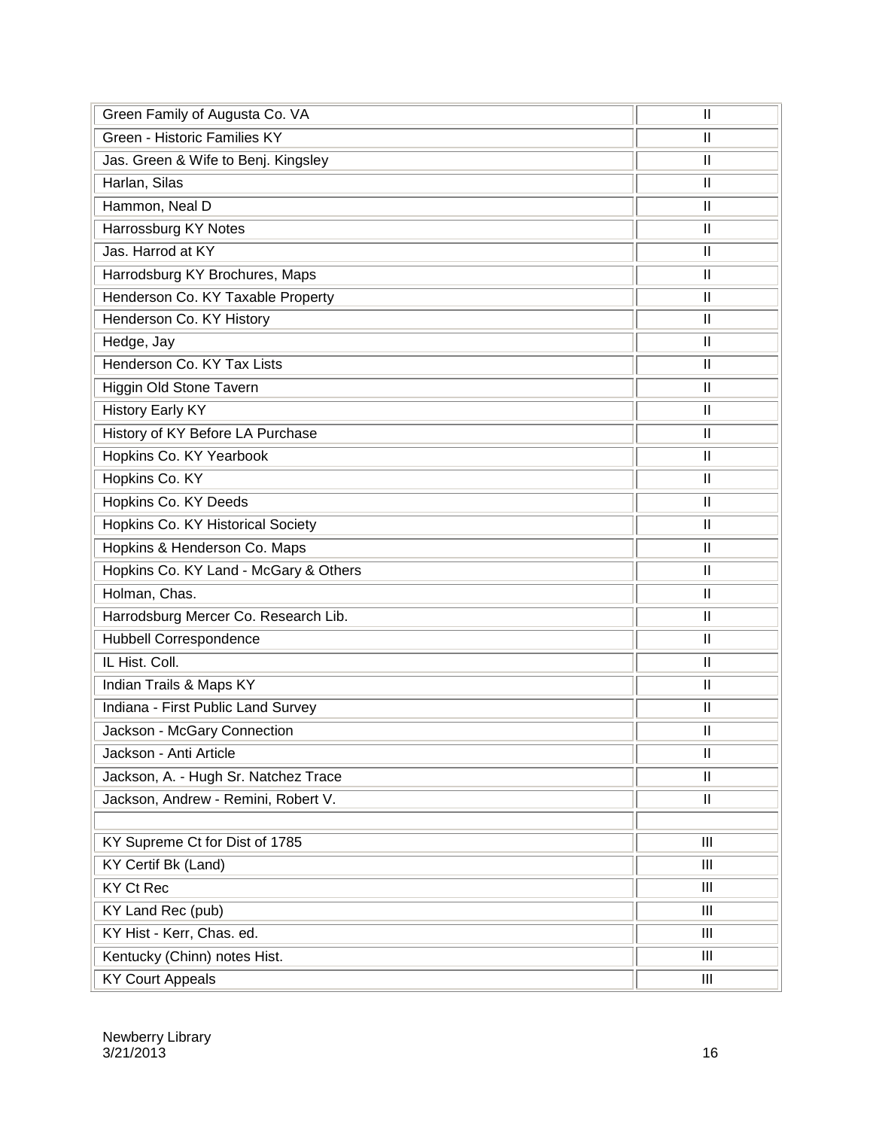| Green Family of Augusta Co. VA        | $\mathbf{I}$                                                                                                                                                                                                                                                                                                                                                                                          |
|---------------------------------------|-------------------------------------------------------------------------------------------------------------------------------------------------------------------------------------------------------------------------------------------------------------------------------------------------------------------------------------------------------------------------------------------------------|
| Green - Historic Families KY          | $\mathbf{I}$                                                                                                                                                                                                                                                                                                                                                                                          |
| Jas. Green & Wife to Benj. Kingsley   | $\mathbf{H}$                                                                                                                                                                                                                                                                                                                                                                                          |
| Harlan, Silas                         | $\mathbf{H}$                                                                                                                                                                                                                                                                                                                                                                                          |
| Hammon, Neal D                        | $\mathbf{I}$                                                                                                                                                                                                                                                                                                                                                                                          |
| Harrossburg KY Notes                  | $\mathbf{  }% =\mathbf{1}^{T}\mathbf{1}^{T}\mathbf{1}^{T}\mathbf{1}^{T}\mathbf{1}^{T}\mathbf{1}^{T}\mathbf{1}^{T}\mathbf{1}^{T}\mathbf{1}^{T}\mathbf{1}^{T}\mathbf{1}^{T}\mathbf{1}^{T}\mathbf{1}^{T}\mathbf{1}^{T}\mathbf{1}^{T}\mathbf{1}^{T}\mathbf{1}^{T}\mathbf{1}^{T}\mathbf{1}^{T}\mathbf{1}^{T}\mathbf{1}^{T}\mathbf{1}^{T}\mathbf{1}^{T}\mathbf{1}^{T}\mathbf{1}^{T}\mathbf{1}^{T}\mathbf{1$ |
| Jas. Harrod at KY                     | $\mathbf{I}$                                                                                                                                                                                                                                                                                                                                                                                          |
| Harrodsburg KY Brochures, Maps        | $\mathbf{I}$                                                                                                                                                                                                                                                                                                                                                                                          |
| Henderson Co. KY Taxable Property     | $\mathbf{I}$                                                                                                                                                                                                                                                                                                                                                                                          |
| Henderson Co. KY History              | Ш                                                                                                                                                                                                                                                                                                                                                                                                     |
| Hedge, Jay                            | $\mathbf{H}$                                                                                                                                                                                                                                                                                                                                                                                          |
| Henderson Co. KY Tax Lists            | $\mathbf{H}$                                                                                                                                                                                                                                                                                                                                                                                          |
| Higgin Old Stone Tavern               | Ш                                                                                                                                                                                                                                                                                                                                                                                                     |
| <b>History Early KY</b>               | $\mathbf{H}$                                                                                                                                                                                                                                                                                                                                                                                          |
| History of KY Before LA Purchase      | $\mathbf{I}$                                                                                                                                                                                                                                                                                                                                                                                          |
| Hopkins Co. KY Yearbook               | $\mathbf{  }% =\mathbf{1}^{T}\mathbf{1}^{T}\mathbf{1}^{T}\mathbf{1}^{T}\mathbf{1}^{T}\mathbf{1}^{T}\mathbf{1}^{T}\mathbf{1}^{T}\mathbf{1}^{T}\mathbf{1}^{T}\mathbf{1}^{T}\mathbf{1}^{T}\mathbf{1}^{T}\mathbf{1}^{T}\mathbf{1}^{T}\mathbf{1}^{T}\mathbf{1}^{T}\mathbf{1}^{T}\mathbf{1}^{T}\mathbf{1}^{T}\mathbf{1}^{T}\mathbf{1}^{T}\mathbf{1}^{T}\mathbf{1}^{T}\mathbf{1}^{T}\mathbf{1}^{T}\mathbf{1$ |
| Hopkins Co. KY                        | $\mathbf{H}$                                                                                                                                                                                                                                                                                                                                                                                          |
| Hopkins Co. KY Deeds                  | $\mathbf{I}$                                                                                                                                                                                                                                                                                                                                                                                          |
| Hopkins Co. KY Historical Society     | $\mathbf{  }% =\mathbf{1}^{T}\mathbf{1}^{T}\mathbf{1}^{T}\mathbf{1}^{T}\mathbf{1}^{T}\mathbf{1}^{T}\mathbf{1}^{T}\mathbf{1}^{T}\mathbf{1}^{T}\mathbf{1}^{T}\mathbf{1}^{T}\mathbf{1}^{T}\mathbf{1}^{T}\mathbf{1}^{T}\mathbf{1}^{T}\mathbf{1}^{T}\mathbf{1}^{T}\mathbf{1}^{T}\mathbf{1}^{T}\mathbf{1}^{T}\mathbf{1}^{T}\mathbf{1}^{T}\mathbf{1}^{T}\mathbf{1}^{T}\mathbf{1}^{T}\mathbf{1}^{T}\mathbf{1$ |
| Hopkins & Henderson Co. Maps          | $\mathbf{H}$                                                                                                                                                                                                                                                                                                                                                                                          |
| Hopkins Co. KY Land - McGary & Others | $\mathbf{I}$                                                                                                                                                                                                                                                                                                                                                                                          |
| Holman, Chas.                         | $\mathbf{I}$                                                                                                                                                                                                                                                                                                                                                                                          |
| Harrodsburg Mercer Co. Research Lib.  | $\mathbf{I}$                                                                                                                                                                                                                                                                                                                                                                                          |
| <b>Hubbell Correspondence</b>         | $\mathbf{I}$                                                                                                                                                                                                                                                                                                                                                                                          |
| IL Hist. Coll.                        | $\mathbf{I}$                                                                                                                                                                                                                                                                                                                                                                                          |
| Indian Trails & Maps KY               | $\mathbf{I}$                                                                                                                                                                                                                                                                                                                                                                                          |
| Indiana - First Public Land Survey    | $\mathbf{I}$                                                                                                                                                                                                                                                                                                                                                                                          |
| Jackson - McGary Connection           | $\mathbf{I}$                                                                                                                                                                                                                                                                                                                                                                                          |
| Jackson - Anti Article                | Ш                                                                                                                                                                                                                                                                                                                                                                                                     |
| Jackson, A. - Hugh Sr. Natchez Trace  | $\mathbf{H}$                                                                                                                                                                                                                                                                                                                                                                                          |
| Jackson, Andrew - Remini, Robert V.   | $\mathbf{II}$                                                                                                                                                                                                                                                                                                                                                                                         |
|                                       |                                                                                                                                                                                                                                                                                                                                                                                                       |
| KY Supreme Ct for Dist of 1785        | III                                                                                                                                                                                                                                                                                                                                                                                                   |
| KY Certif Bk (Land)                   | III                                                                                                                                                                                                                                                                                                                                                                                                   |
| <b>KY Ct Rec</b>                      | III                                                                                                                                                                                                                                                                                                                                                                                                   |
| KY Land Rec (pub)                     | Ш                                                                                                                                                                                                                                                                                                                                                                                                     |
| KY Hist - Kerr, Chas. ed.             | III                                                                                                                                                                                                                                                                                                                                                                                                   |
| Kentucky (Chinn) notes Hist.          | III                                                                                                                                                                                                                                                                                                                                                                                                   |
| <b>KY Court Appeals</b>               | III                                                                                                                                                                                                                                                                                                                                                                                                   |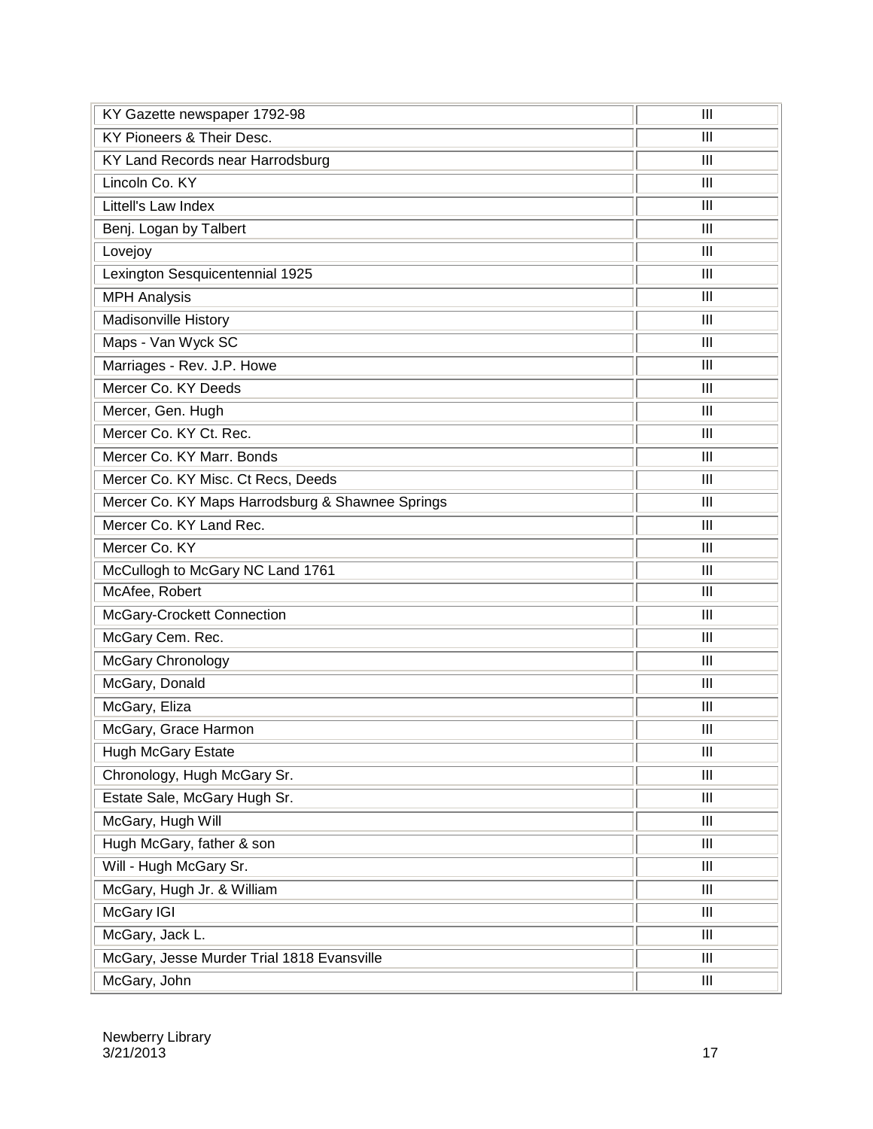| KY Gazette newspaper 1792-98                     | III                                |
|--------------------------------------------------|------------------------------------|
| KY Pioneers & Their Desc.                        | $\mathbf{III}$                     |
| KY Land Records near Harrodsburg                 | $\mathbf{III}$                     |
| Lincoln Co. KY                                   | $\mathbf{III}$                     |
| Littell's Law Index                              | $\mathbf{III}$                     |
| Benj. Logan by Talbert                           | $\mathbf{III}$                     |
| Lovejoy                                          | $\mathbf{III}$                     |
| Lexington Sesquicentennial 1925                  | $\mathbf{III}$                     |
| <b>MPH Analysis</b>                              | $\mathbf{III}$                     |
| Madisonville History                             | $\mathbf{III}$                     |
| Maps - Van Wyck SC                               | $\mathbf{III}$                     |
| Marriages - Rev. J.P. Howe                       | $\mathbf{III}$                     |
| Mercer Co. KY Deeds                              | $\mathbf{III}$                     |
| Mercer, Gen. Hugh                                | $\mathbf{III}$                     |
| Mercer Co. KY Ct. Rec.                           | $\mathbf{III}$                     |
| Mercer Co. KY Marr. Bonds                        | $\mathbf{III}$                     |
| Mercer Co. KY Misc. Ct Recs, Deeds               | $\mathbf{III}$                     |
| Mercer Co. KY Maps Harrodsburg & Shawnee Springs | $\mathbf{III}$                     |
| Mercer Co. KY Land Rec.                          | $\mathbf{III}$                     |
| Mercer Co. KY                                    | $\mathbf{III}$                     |
| McCullogh to McGary NC Land 1761                 | $\mathbf{III}$                     |
| McAfee, Robert                                   | $\mathbf{III}$                     |
| McGary-Crockett Connection                       | $\mathbf{III}$                     |
| McGary Cem. Rec.                                 | $\mathbf{III}$                     |
| McGary Chronology                                | $\mathbf{III}$                     |
| McGary, Donald                                   | III                                |
| McGary, Eliza                                    | $\mathbf{III}$                     |
| McGary, Grace Harmon                             | $\mathbf{III}$                     |
| <b>Hugh McGary Estate</b>                        | $\mathbf{III}$                     |
| Chronology, Hugh McGary Sr.                      | $\mathbf{III}$                     |
| Estate Sale, McGary Hugh Sr.                     | $\ensuremath{\mathsf{III}}\xspace$ |
| McGary, Hugh Will                                | $\mathbf{III}$                     |
| Hugh McGary, father & son                        | $\mathbf{III}$                     |
| Will - Hugh McGary Sr.                           | $\ensuremath{\mathsf{III}}\xspace$ |
| McGary, Hugh Jr. & William                       | $\ensuremath{\mathsf{III}}\xspace$ |
| McGary IGI                                       | $\mathbf{III}$                     |
| McGary, Jack L.                                  | $\mathbf{III}$                     |
| McGary, Jesse Murder Trial 1818 Evansville       | $\ensuremath{\mathsf{III}}\xspace$ |
| McGary, John                                     | $\mathbf{III}$                     |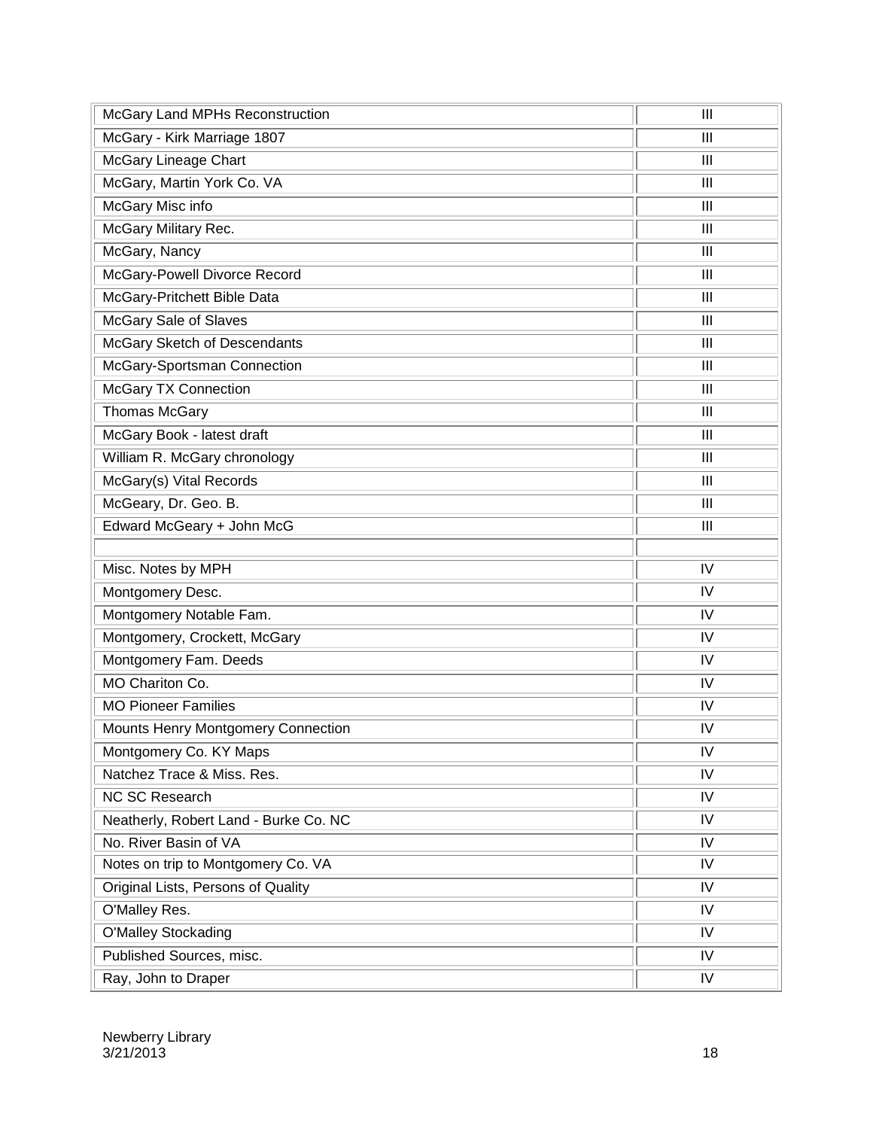| McGary Land MPHs Reconstruction       | III            |
|---------------------------------------|----------------|
| McGary - Kirk Marriage 1807           | III            |
| <b>McGary Lineage Chart</b>           | III            |
| McGary, Martin York Co. VA            | III            |
| McGary Misc info                      | III            |
| McGary Military Rec.                  | III            |
| McGary, Nancy                         | $\mathbf{III}$ |
| McGary-Powell Divorce Record          | III            |
| McGary-Pritchett Bible Data           | III            |
| McGary Sale of Slaves                 | $\mathbf{III}$ |
| McGary Sketch of Descendants          | III            |
| McGary-Sportsman Connection           | III            |
| <b>McGary TX Connection</b>           | III            |
| <b>Thomas McGary</b>                  | III            |
| McGary Book - latest draft            | III            |
| William R. McGary chronology          | III            |
| McGary(s) Vital Records               | III            |
| McGeary, Dr. Geo. B.                  | III            |
| Edward McGeary + John McG             | $\mathbf{III}$ |
|                                       |                |
| Misc. Notes by MPH                    | IV             |
| Montgomery Desc.                      | IV             |
| Montgomery Notable Fam.               | IV             |
| Montgomery, Crockett, McGary          | IV             |
| Montgomery Fam. Deeds                 | IV             |
| MO Chariton Co.                       | IV             |
| <b>MO Pioneer Families</b>            | IV             |
| Mounts Henry Montgomery Connection    | IV             |
| Montgomery Co. KY Maps                | IV             |
| Natchez Trace & Miss. Res.            | IV             |
| <b>NC SC Research</b>                 | IV             |
|                                       |                |
| Neatherly, Robert Land - Burke Co. NC | IV             |
| No. River Basin of VA                 | IV             |
| Notes on trip to Montgomery Co. VA    | IV             |
| Original Lists, Persons of Quality    | IV             |
| O'Malley Res.                         | IV             |
| <b>O'Malley Stockading</b>            | IV             |
| Published Sources, misc.              | IV             |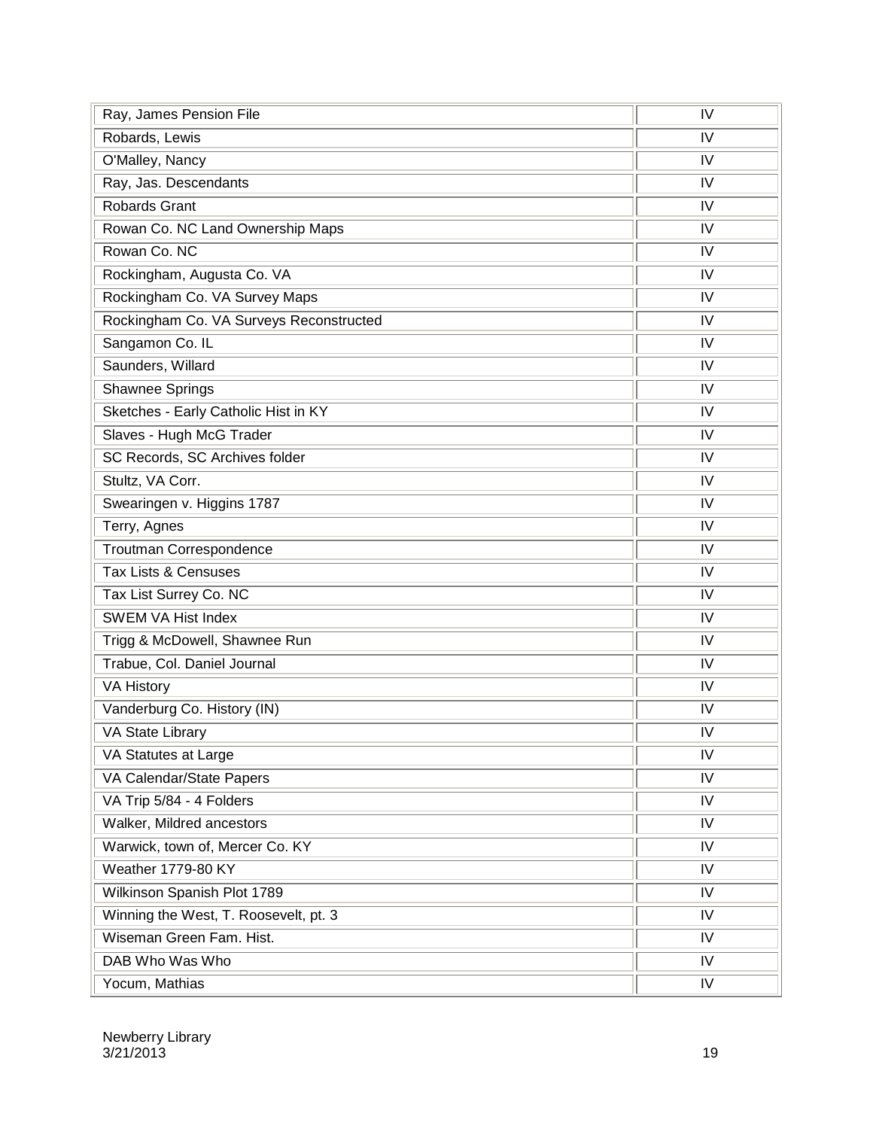| Ray, James Pension File                 | IV         |
|-----------------------------------------|------------|
| Robards, Lewis                          | IV         |
| O'Malley, Nancy                         | IV         |
| Ray, Jas. Descendants                   | IV         |
| <b>Robards Grant</b>                    | IV         |
| Rowan Co. NC Land Ownership Maps        | IV         |
| Rowan Co. NC                            | IV         |
| Rockingham, Augusta Co. VA              | IV         |
| Rockingham Co. VA Survey Maps           | IV         |
| Rockingham Co. VA Surveys Reconstructed | IV         |
| Sangamon Co. IL                         | IV         |
| Saunders, Willard                       | IV         |
| <b>Shawnee Springs</b>                  | IV         |
| Sketches - Early Catholic Hist in KY    | IV         |
| Slaves - Hugh McG Trader                | IV         |
| SC Records, SC Archives folder          | IV         |
| Stultz, VA Corr.                        | IV         |
| Swearingen v. Higgins 1787              | IV         |
| Terry, Agnes                            | IV         |
| Troutman Correspondence                 | IV         |
| Tax Lists & Censuses                    | IV         |
| Tax List Surrey Co. NC                  | IV         |
| <b>SWEM VA Hist Index</b>               | IV         |
| Trigg & McDowell, Shawnee Run           | IV         |
| Trabue, Col. Daniel Journal             | IV         |
| <b>VA History</b>                       | IV         |
| Vanderburg Co. History (IN)             | IV         |
| VA State Library                        | IV         |
| VA Statutes at Large                    | IV         |
| VA Calendar/State Papers                | IV         |
| VA Trip 5/84 - 4 Folders                | IV         |
| Walker, Mildred ancestors               | IV         |
| Warwick, town of, Mercer Co. KY         | IV         |
| <b>Weather 1779-80 KY</b>               | IV         |
| Wilkinson Spanish Plot 1789             | IV         |
| Winning the West, T. Roosevelt, pt. 3   | IV         |
| Wiseman Green Fam. Hist.                | IV         |
| DAB Who Was Who                         | IV         |
| Yocum, Mathias                          | ${\sf IV}$ |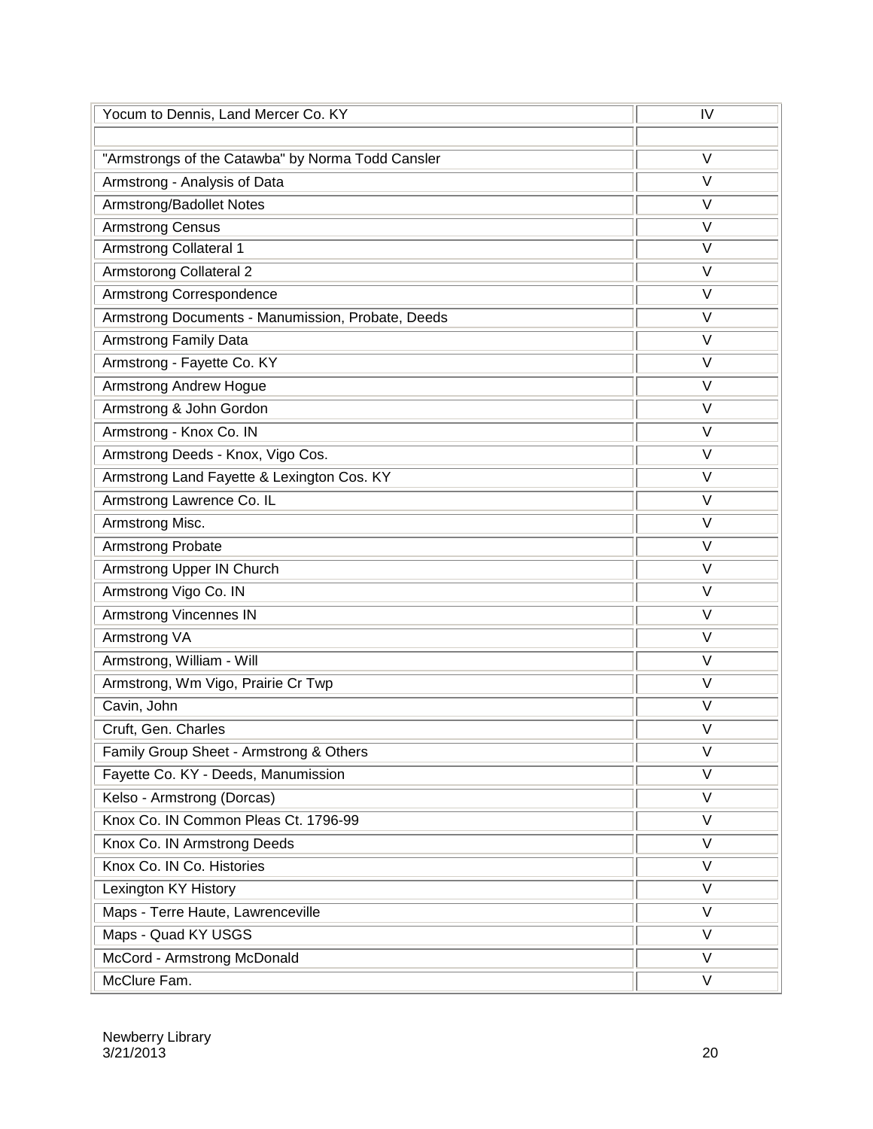| Yocum to Dennis, Land Mercer Co. KY               | IV                |
|---------------------------------------------------|-------------------|
|                                                   |                   |
| "Armstrongs of the Catawba" by Norma Todd Cansler | V                 |
| Armstrong - Analysis of Data                      | $\vee$            |
| Armstrong/Badollet Notes                          | $\vee$            |
| <b>Armstrong Census</b>                           | V                 |
| <b>Armstrong Collateral 1</b>                     | $\vee$            |
| <b>Armstorong Collateral 2</b>                    | $\vee$            |
| Armstrong Correspondence                          | $\vee$            |
| Armstrong Documents - Manumission, Probate, Deeds | $\vee$            |
| <b>Armstrong Family Data</b>                      | $\vee$            |
| Armstrong - Fayette Co. KY                        | $\vee$            |
| <b>Armstrong Andrew Hogue</b>                     | $\vee$            |
| Armstrong & John Gordon                           | $\vee$            |
| Armstrong - Knox Co. IN                           | $\vee$            |
| Armstrong Deeds - Knox, Vigo Cos.                 | $\vee$            |
| Armstrong Land Fayette & Lexington Cos. KY        | $\vee$            |
| Armstrong Lawrence Co. IL                         | $\vee$            |
| Armstrong Misc.                                   | $\vee$            |
| Armstrong Probate                                 | $\vee$            |
| Armstrong Upper IN Church                         | $\vee$            |
| Armstrong Vigo Co. IN                             | $\vee$            |
| <b>Armstrong Vincennes IN</b>                     | $\overline{\vee}$ |
| Armstrong VA                                      | $\vee$            |
| Armstrong, William - Will                         | $\vee$            |
| Armstrong, Wm Vigo, Prairie Cr Twp                | $\vee$            |
| Cavin, John                                       | V                 |
| Cruft, Gen. Charles                               | $\vee$            |
| Family Group Sheet - Armstrong & Others           | V                 |
| Fayette Co. KY - Deeds, Manumission               | V                 |
| Kelso - Armstrong (Dorcas)                        | $\overline{\vee}$ |
| Knox Co. IN Common Pleas Ct. 1796-99              | $\overline{\vee}$ |
| Knox Co. IN Armstrong Deeds                       | $\vee$            |
| Knox Co. IN Co. Histories                         | $\vee$            |
| Lexington KY History                              | $\vee$            |
| Maps - Terre Haute, Lawrenceville                 | V                 |
| Maps - Quad KY USGS                               | $\vee$            |
| McCord - Armstrong McDonald                       | $\vee$            |
| McClure Fam.                                      | V                 |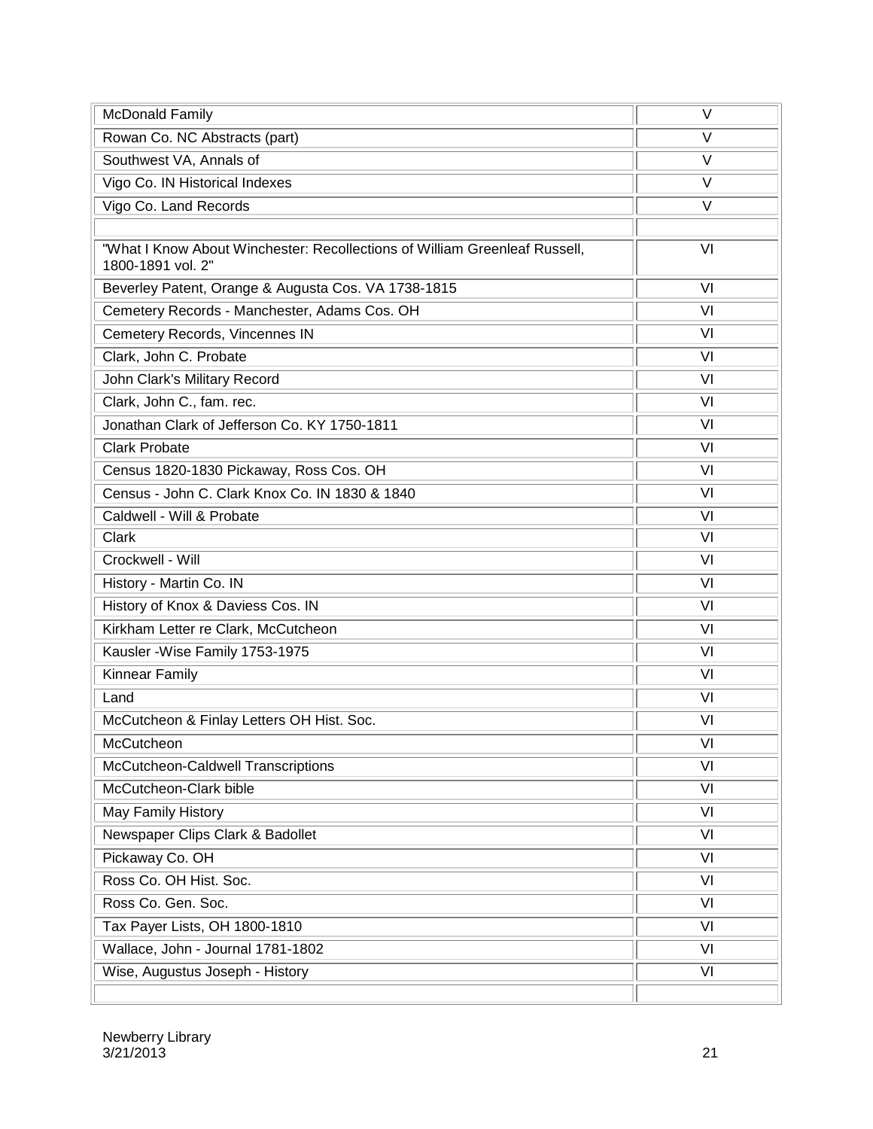| <b>McDonald Family</b>                                                                          | $\vee$ |
|-------------------------------------------------------------------------------------------------|--------|
| Rowan Co. NC Abstracts (part)                                                                   | V      |
| Southwest VA, Annals of                                                                         | $\vee$ |
| Vigo Co. IN Historical Indexes                                                                  | V      |
| Vigo Co. Land Records                                                                           | V      |
|                                                                                                 |        |
| "What I Know About Winchester: Recollections of William Greenleaf Russell,<br>1800-1891 vol. 2" | VI     |
| Beverley Patent, Orange & Augusta Cos. VA 1738-1815                                             | VI     |
| Cemetery Records - Manchester, Adams Cos. OH                                                    | VI     |
| Cemetery Records, Vincennes IN                                                                  | VI     |
| Clark, John C. Probate                                                                          | VI     |
| John Clark's Military Record                                                                    | VI     |
| Clark, John C., fam. rec.                                                                       | VI     |
| Jonathan Clark of Jefferson Co. KY 1750-1811                                                    | VI     |
| <b>Clark Probate</b>                                                                            | VI     |
| Census 1820-1830 Pickaway, Ross Cos. OH                                                         | VI     |
| Census - John C. Clark Knox Co. IN 1830 & 1840                                                  | VI     |
| Caldwell - Will & Probate                                                                       | VI     |
| Clark                                                                                           | VI     |
| Crockwell - Will                                                                                | VI     |
| History - Martin Co. IN                                                                         | VI     |
| History of Knox & Daviess Cos. IN                                                               | VI     |
| Kirkham Letter re Clark, McCutcheon                                                             | VI     |
| Kausler - Wise Family 1753-1975                                                                 | VI     |
| Kinnear Family                                                                                  | VI     |
| Land                                                                                            | VI     |
| McCutcheon & Finlay Letters OH Hist. Soc.                                                       | VI     |
| McCutcheon                                                                                      | VI     |
| McCutcheon-Caldwell Transcriptions                                                              | VI     |
| McCutcheon-Clark bible                                                                          | VI     |
| May Family History                                                                              | VI     |
| Newspaper Clips Clark & Badollet                                                                | VI     |
| Pickaway Co. OH                                                                                 | VI     |
| Ross Co. OH Hist. Soc.                                                                          | VI     |
| Ross Co. Gen. Soc.                                                                              | VI     |
| Tax Payer Lists, OH 1800-1810                                                                   | VI     |
| Wallace, John - Journal 1781-1802                                                               | VI     |
| Wise, Augustus Joseph - History                                                                 | VI     |
|                                                                                                 |        |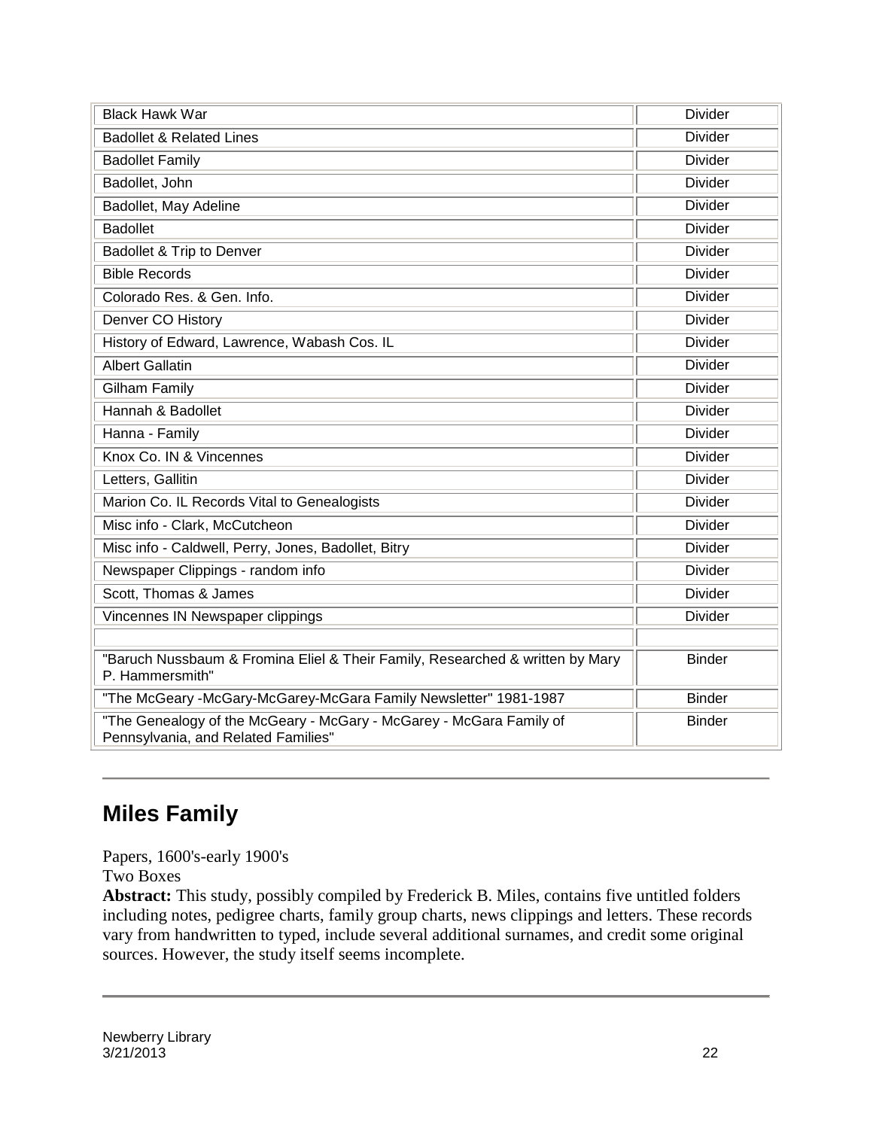| <b>Black Hawk War</b>                                                                                      | <b>Divider</b> |
|------------------------------------------------------------------------------------------------------------|----------------|
| <b>Badollet &amp; Related Lines</b>                                                                        | <b>Divider</b> |
| <b>Badollet Family</b>                                                                                     | <b>Divider</b> |
| Badollet, John                                                                                             | <b>Divider</b> |
| Badollet, May Adeline                                                                                      | <b>Divider</b> |
| <b>Badollet</b>                                                                                            | <b>Divider</b> |
| Badollet & Trip to Denver                                                                                  | <b>Divider</b> |
| <b>Bible Records</b>                                                                                       | <b>Divider</b> |
| Colorado Res. & Gen. Info.                                                                                 | <b>Divider</b> |
| Denver CO History                                                                                          | <b>Divider</b> |
| History of Edward, Lawrence, Wabash Cos. IL                                                                | <b>Divider</b> |
| <b>Albert Gallatin</b>                                                                                     | <b>Divider</b> |
| <b>Gilham Family</b>                                                                                       | <b>Divider</b> |
| Hannah & Badollet                                                                                          | <b>Divider</b> |
| Hanna - Family                                                                                             | <b>Divider</b> |
| Knox Co. IN & Vincennes                                                                                    | <b>Divider</b> |
| Letters, Gallitin                                                                                          | <b>Divider</b> |
| Marion Co. IL Records Vital to Genealogists                                                                | <b>Divider</b> |
| Misc info - Clark, McCutcheon                                                                              | <b>Divider</b> |
| Misc info - Caldwell, Perry, Jones, Badollet, Bitry                                                        | <b>Divider</b> |
| Newspaper Clippings - random info                                                                          | <b>Divider</b> |
| Scott, Thomas & James                                                                                      | <b>Divider</b> |
| Vincennes IN Newspaper clippings                                                                           | <b>Divider</b> |
|                                                                                                            |                |
| "Baruch Nussbaum & Fromina Eliel & Their Family, Researched & written by Mary<br>P. Hammersmith"           | <b>Binder</b>  |
| "The McGeary -McGary-McGarey-McGara Family Newsletter" 1981-1987                                           | <b>Binder</b>  |
| "The Genealogy of the McGeary - McGary - McGarey - McGara Family of<br>Pennsylvania, and Related Families" | <b>Binder</b>  |

### **Miles Family**

Papers, 1600's-early 1900's

Two Boxes

**Abstract:** This study, possibly compiled by Frederick B. Miles, contains five untitled folders including notes, pedigree charts, family group charts, news clippings and letters. These records vary from handwritten to typed, include several additional surnames, and credit some original sources. However, the study itself seems incomplete.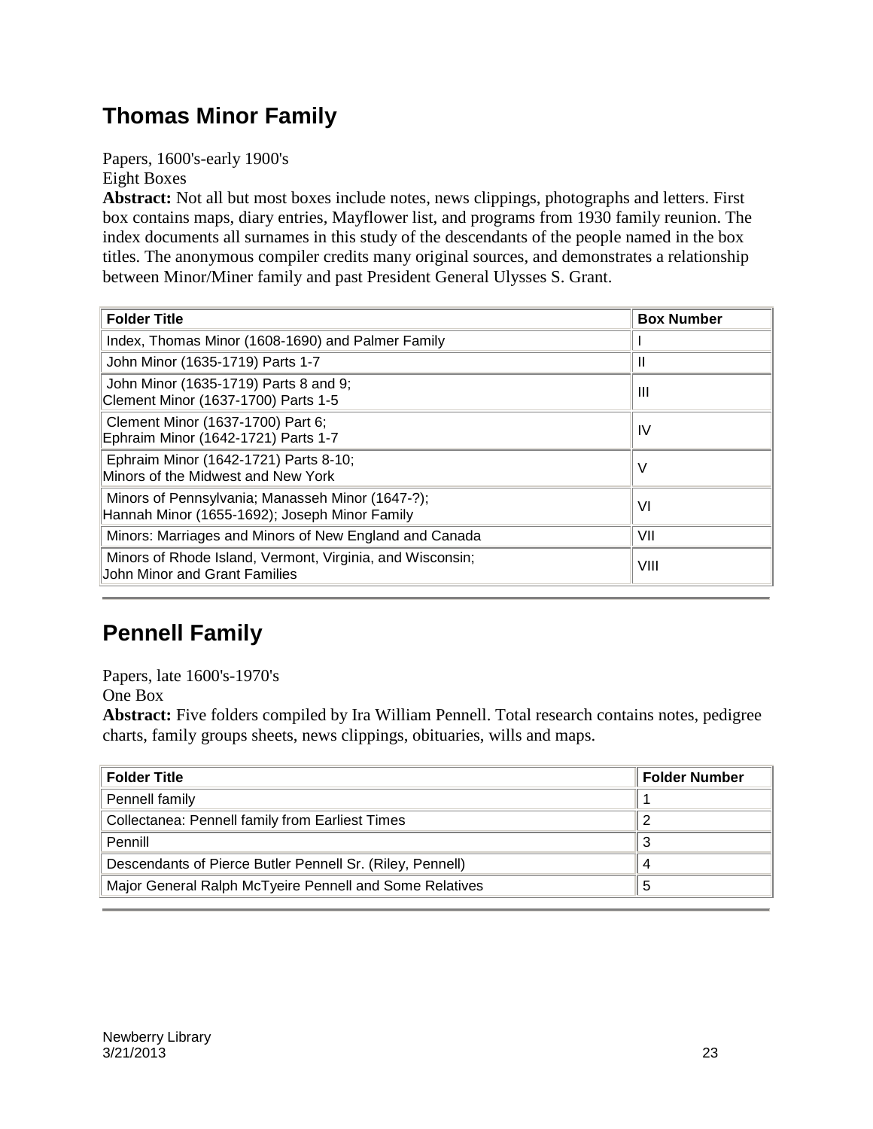### **Thomas Minor Family**

Papers, 1600's-early 1900's Eight Boxes

**Abstract:** Not all but most boxes include notes, news clippings, photographs and letters. First box contains maps, diary entries, Mayflower list, and programs from 1930 family reunion. The index documents all surnames in this study of the descendants of the people named in the box titles. The anonymous compiler credits many original sources, and demonstrates a relationship between Minor/Miner family and past President General Ulysses S. Grant.

| <b>Folder Title</b>                                                                               | <b>Box Number</b> |
|---------------------------------------------------------------------------------------------------|-------------------|
| Index, Thomas Minor (1608-1690) and Palmer Family                                                 |                   |
| John Minor (1635-1719) Parts 1-7                                                                  | Ш                 |
| John Minor (1635-1719) Parts 8 and 9;<br>Clement Minor (1637-1700) Parts 1-5                      | Ш                 |
| Clement Minor (1637-1700) Part 6;<br>Ephraim Minor (1642-1721) Parts 1-7                          | IV                |
| Ephraim Minor (1642-1721) Parts 8-10;<br>Minors of the Midwest and New York                       | V                 |
| Minors of Pennsylvania; Manasseh Minor (1647-?);<br>Hannah Minor (1655-1692); Joseph Minor Family | VI                |
| Minors: Marriages and Minors of New England and Canada                                            | VII               |
| Minors of Rhode Island, Vermont, Virginia, and Wisconsin;<br>John Minor and Grant Families        | VIII              |

### **Pennell Family**

Papers, late 1600's-1970's One Box

**Abstract:** Five folders compiled by Ira William Pennell. Total research contains notes, pedigree charts, family groups sheets, news clippings, obituaries, wills and maps.

| <b>Folder Title</b>                                       | <b>Folder Number</b> |
|-----------------------------------------------------------|----------------------|
| Pennell family                                            |                      |
| <b>Collectanea: Pennell family from Earliest Times</b>    |                      |
| Pennill                                                   | s.                   |
| Descendants of Pierce Butler Pennell Sr. (Riley, Pennell) | 4                    |
| Major General Ralph McTyeire Pennell and Some Relatives   | b                    |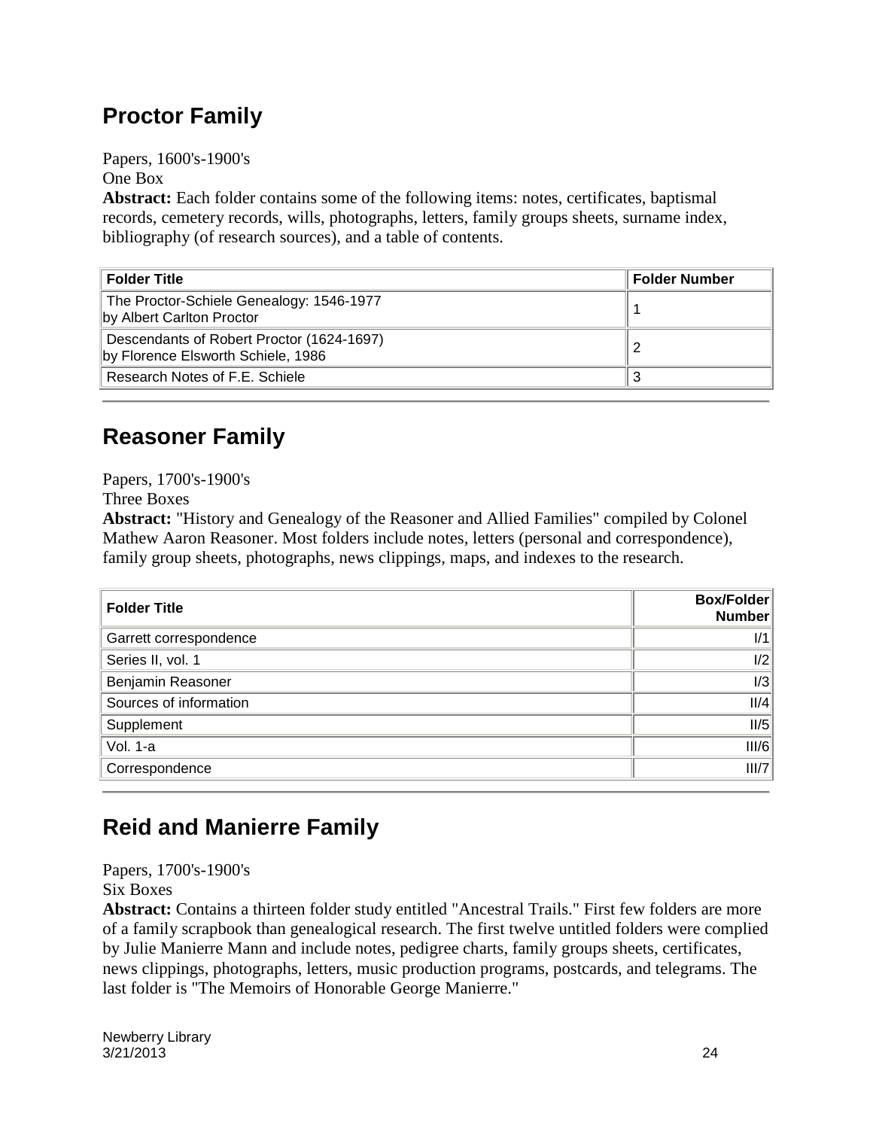### **Proctor Family**

Papers, 1600's-1900's One Box

**Abstract:** Each folder contains some of the following items: notes, certificates, baptismal records, cemetery records, wills, photographs, letters, family groups sheets, surname index, bibliography (of research sources), and a table of contents.

| <b>Folder Title</b>                                                             | <b>Folder Number</b> |
|---------------------------------------------------------------------------------|----------------------|
| The Proctor-Schiele Genealogy: 1546-1977<br>by Albert Carlton Proctor           |                      |
| Descendants of Robert Proctor (1624-1697)<br>by Florence Elsworth Schiele, 1986 |                      |
| Research Notes of F.E. Schiele                                                  | J.                   |

#### **Reasoner Family**

Papers, 1700's-1900's

Three Boxes

**Abstract:** "History and Genealogy of the Reasoner and Allied Families" compiled by Colonel Mathew Aaron Reasoner. Most folders include notes, letters (personal and correspondence), family group sheets, photographs, news clippings, maps, and indexes to the research.

| <b>Folder Title</b>    | Box/Folder<br><b>Number</b> |
|------------------------|-----------------------------|
| Garrett correspondence | 1/1                         |
| Series II, vol. 1      | 1/2                         |
| Benjamin Reasoner      | 1/3                         |
| Sources of information | II/4                        |
| Supplement             | II/5                        |
| Vol. 1-a               | III/6                       |
| Correspondence         | III/7                       |

### **Reid and Manierre Family**

Papers, 1700's-1900's Six Boxes

**Abstract:** Contains a thirteen folder study entitled "Ancestral Trails." First few folders are more of a family scrapbook than genealogical research. The first twelve untitled folders were complied by Julie Manierre Mann and include notes, pedigree charts, family groups sheets, certificates, news clippings, photographs, letters, music production programs, postcards, and telegrams. The last folder is "The Memoirs of Honorable George Manierre."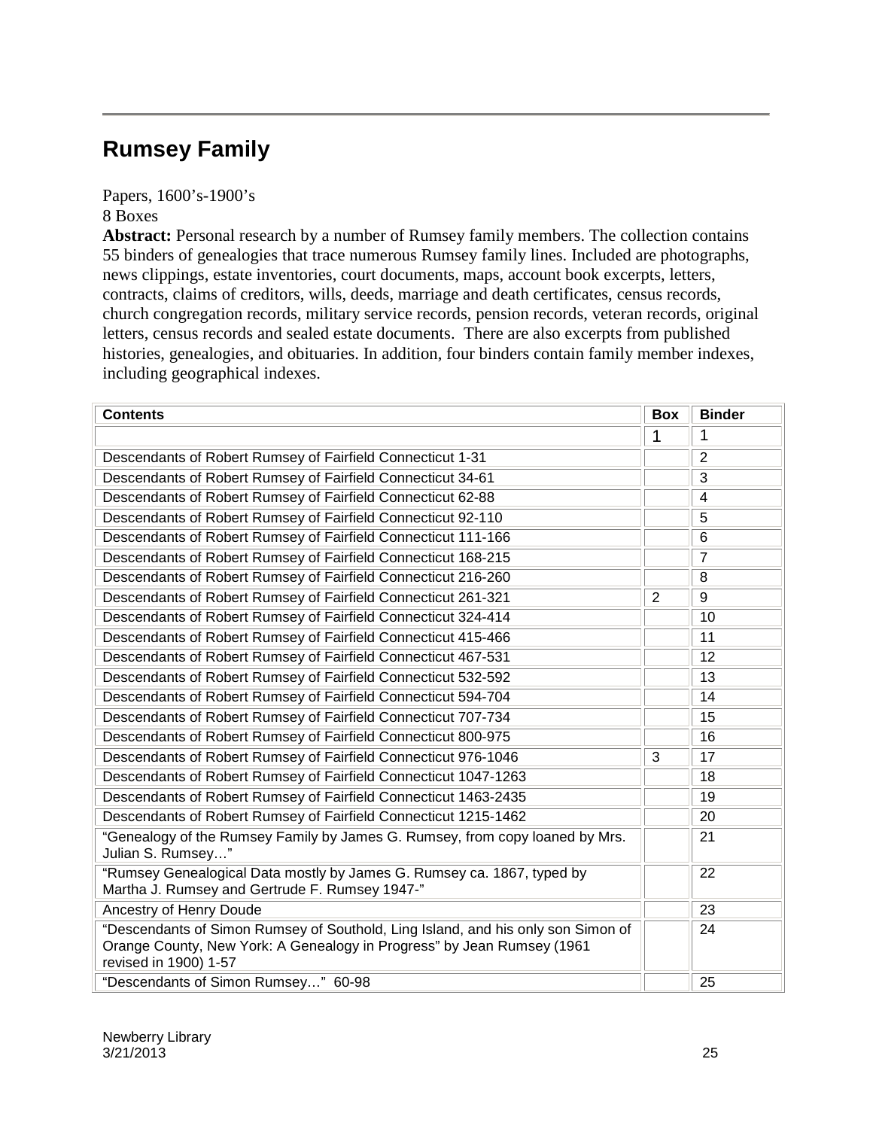#### **Rumsey Family**

Papers, 1600's-1900's

8 Boxes

Abstract: Personal research by a number of Rumsey family members. The collection contains 55 binders of genealogies that trace numerous Rumsey family lines. Included are photographs, news clippings, estate inventories, court documents, maps, account book excerpts, letters, contracts, claims of creditors, wills, deeds, marriage and death certificates, census records, church congregation records, military service records, pension records, veteran records, original letters, census records and sealed estate documents. There are also excerpts from published histories, genealogies, and obituaries. In addition, four binders contain family member indexes, including geographical indexes.

| <b>Contents</b>                                                                                                                                                                     | <b>Box</b>     | <b>Binder</b>  |
|-------------------------------------------------------------------------------------------------------------------------------------------------------------------------------------|----------------|----------------|
|                                                                                                                                                                                     | 1              | 1              |
| Descendants of Robert Rumsey of Fairfield Connecticut 1-31                                                                                                                          |                | $\overline{2}$ |
| Descendants of Robert Rumsey of Fairfield Connecticut 34-61                                                                                                                         |                | 3              |
| Descendants of Robert Rumsey of Fairfield Connecticut 62-88                                                                                                                         |                | $\overline{4}$ |
| Descendants of Robert Rumsey of Fairfield Connecticut 92-110                                                                                                                        |                | 5              |
| Descendants of Robert Rumsey of Fairfield Connecticut 111-166                                                                                                                       |                | 6              |
| Descendants of Robert Rumsey of Fairfield Connecticut 168-215                                                                                                                       |                | $\overline{7}$ |
| Descendants of Robert Rumsey of Fairfield Connecticut 216-260                                                                                                                       |                | 8              |
| Descendants of Robert Rumsey of Fairfield Connecticut 261-321                                                                                                                       | $\overline{2}$ | 9              |
| Descendants of Robert Rumsey of Fairfield Connecticut 324-414                                                                                                                       |                | 10             |
| Descendants of Robert Rumsey of Fairfield Connecticut 415-466                                                                                                                       |                | 11             |
| Descendants of Robert Rumsey of Fairfield Connecticut 467-531                                                                                                                       |                | 12             |
| Descendants of Robert Rumsey of Fairfield Connecticut 532-592                                                                                                                       |                | 13             |
| Descendants of Robert Rumsey of Fairfield Connecticut 594-704                                                                                                                       |                | 14             |
| Descendants of Robert Rumsey of Fairfield Connecticut 707-734                                                                                                                       |                | 15             |
| Descendants of Robert Rumsey of Fairfield Connecticut 800-975                                                                                                                       |                | 16             |
| Descendants of Robert Rumsey of Fairfield Connecticut 976-1046                                                                                                                      | 3              | 17             |
| Descendants of Robert Rumsey of Fairfield Connecticut 1047-1263                                                                                                                     |                | 18             |
| Descendants of Robert Rumsey of Fairfield Connecticut 1463-2435                                                                                                                     |                | 19             |
| Descendants of Robert Rumsey of Fairfield Connecticut 1215-1462                                                                                                                     |                | 20             |
| "Genealogy of the Rumsey Family by James G. Rumsey, from copy loaned by Mrs.<br>Julian S. Rumsey"                                                                                   |                | 21             |
| "Rumsey Genealogical Data mostly by James G. Rumsey ca. 1867, typed by<br>Martha J. Rumsey and Gertrude F. Rumsey 1947-"                                                            |                | 22             |
| Ancestry of Henry Doude                                                                                                                                                             |                | 23             |
| "Descendants of Simon Rumsey of Southold, Ling Island, and his only son Simon of<br>Orange County, New York: A Genealogy in Progress" by Jean Rumsey (1961<br>revised in 1900) 1-57 |                | 24             |
| "Descendants of Simon Rumsey" 60-98                                                                                                                                                 |                | 25             |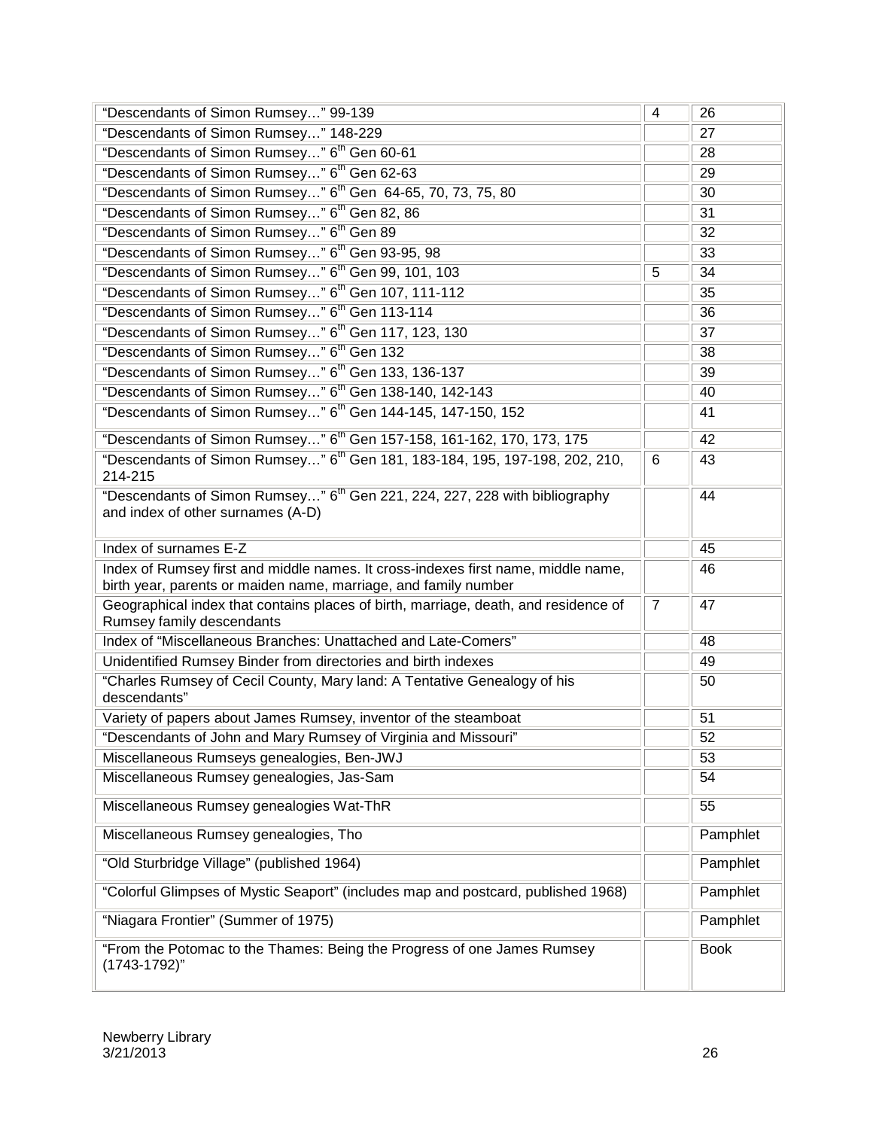| "Descendants of Simon Rumsey" 99-139                                                                                                                 | 4              | 26          |
|------------------------------------------------------------------------------------------------------------------------------------------------------|----------------|-------------|
| "Descendants of Simon Rumsey" 148-229                                                                                                                |                | 27          |
| "Descendants of Simon Rumsey" 6 <sup>th</sup> Gen 60-61                                                                                              |                | 28          |
| "Descendants of Simon Rumsey" 6 <sup>th</sup> Gen 62-63                                                                                              |                | 29          |
| "Descendants of Simon Rumsey" 6 <sup>th</sup> Gen 64-65, 70, 73, 75, 80                                                                              |                | 30          |
| "Descendants of Simon Rumsey" 6 <sup>th</sup> Gen 82, 86                                                                                             |                | 31          |
| "Descendants of Simon Rumsey" 6 <sup>th</sup> Gen 89                                                                                                 |                | 32          |
| "Descendants of Simon Rumsey" 6 <sup>th</sup> Gen 93-95, 98                                                                                          |                | 33          |
| "Descendants of Simon Rumsey" 6 <sup>th</sup> Gen 99, 101, 103                                                                                       | 5              | 34          |
| "Descendants of Simon Rumsey" 6 <sup>th</sup> Gen 107, 111-112                                                                                       |                | 35          |
| "Descendants of Simon Rumsey" 6 <sup>th</sup> Gen 113-114                                                                                            |                | 36          |
| "Descendants of Simon Rumsey" 6 <sup>th</sup> Gen 117, 123, 130                                                                                      |                | 37          |
| "Descendants of Simon Rumsey" 6 <sup>th</sup> Gen 132                                                                                                |                | 38          |
| "Descendants of Simon Rumsey" 6 <sup>th</sup> Gen 133, 136-137                                                                                       |                | 39          |
| "Descendants of Simon Rumsey" 6 <sup>th</sup> Gen 138-140, 142-143                                                                                   |                | 40          |
| "Descendants of Simon Rumsey" 6 <sup>th</sup> Gen 144-145, 147-150, 152                                                                              |                | 41          |
| "Descendants of Simon Rumsey" 6 <sup>th</sup> Gen 157-158, 161-162, 170, 173, 175                                                                    |                | 42          |
| "Descendants of Simon Rumsey" 6 <sup>th</sup> Gen 181, 183-184, 195, 197-198, 202, 210,<br>214-215                                                   | 6              | 43          |
| "Descendants of Simon Rumsey" 6 <sup>th</sup> Gen 221, 224, 227, 228 with bibliography<br>and index of other surnames (A-D)                          |                | 44          |
| Index of surnames E-Z                                                                                                                                |                | 45          |
| Index of Rumsey first and middle names. It cross-indexes first name, middle name,<br>birth year, parents or maiden name, marriage, and family number |                | 46          |
| Geographical index that contains places of birth, marriage, death, and residence of<br>Rumsey family descendants                                     | $\overline{7}$ | 47          |
| Index of "Miscellaneous Branches: Unattached and Late-Comers"                                                                                        |                | 48          |
| Unidentified Rumsey Binder from directories and birth indexes                                                                                        |                | 49          |
| "Charles Rumsey of Cecil County, Mary land: A Tentative Genealogy of his<br>descendants"                                                             |                | 50          |
| Variety of papers about James Rumsey, inventor of the steamboat                                                                                      |                | 51          |
| "Descendants of John and Mary Rumsey of Virginia and Missouri"                                                                                       |                | 52          |
| Miscellaneous Rumseys genealogies, Ben-JWJ                                                                                                           |                | 53          |
| Miscellaneous Rumsey genealogies, Jas-Sam                                                                                                            |                | 54          |
| Miscellaneous Rumsey genealogies Wat-ThR                                                                                                             |                | 55          |
| Miscellaneous Rumsey genealogies, Tho                                                                                                                |                | Pamphlet    |
| "Old Sturbridge Village" (published 1964)                                                                                                            |                | Pamphlet    |
| "Colorful Glimpses of Mystic Seaport" (includes map and postcard, published 1968)                                                                    |                | Pamphlet    |
| "Niagara Frontier" (Summer of 1975)                                                                                                                  |                | Pamphlet    |
| "From the Potomac to the Thames: Being the Progress of one James Rumsey<br>$(1743 - 1792)$ "                                                         |                | <b>Book</b> |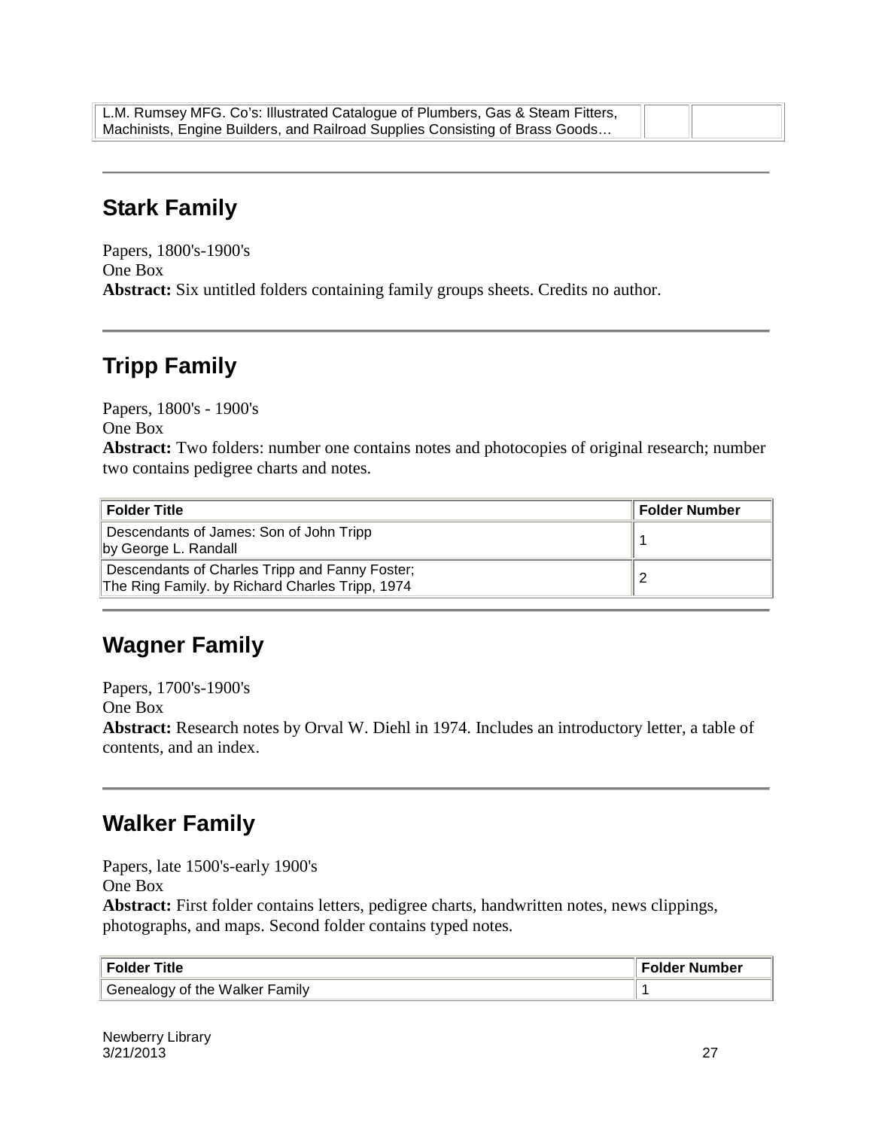| L.M. Rumsey MFG. Co's: Illustrated Catalogue of Plumbers, Gas & Steam Fitters, |  |
|--------------------------------------------------------------------------------|--|
| Machinists, Engine Builders, and Railroad Supplies Consisting of Brass Goods   |  |

#### **Stark Family**

Papers, 1800's-1900's One Box **Abstract:** Six untitled folders containing family groups sheets. Credits no author.

### **Tripp Family**

Papers, 1800's - 1900's One Box **Abstract:** Two folders: number one contains notes and photocopies of original research; number two contains pedigree charts and notes.

| <b>Folder Title</b>                                                                               | <b>Folder Number</b> |
|---------------------------------------------------------------------------------------------------|----------------------|
| Descendants of James: Son of John Tripp<br>by George L. Randall                                   |                      |
| Descendants of Charles Tripp and Fanny Foster;<br>The Ring Family. by Richard Charles Tripp, 1974 |                      |

#### **Wagner Family**

Papers, 1700's-1900's One Box **Abstract:** Research notes by Orval W. Diehl in 1974. Includes an introductory letter, a table of contents, and an index.

#### **Walker Family**

Papers, late 1500's-early 1900's One Box

**Abstract:** First folder contains letters, pedigree charts, handwritten notes, news clippings, photographs, and maps. Second folder contains typed notes.

| ∣ Folder Title                 | <b>Folder Number</b> |
|--------------------------------|----------------------|
| Genealogy of the Walker Family |                      |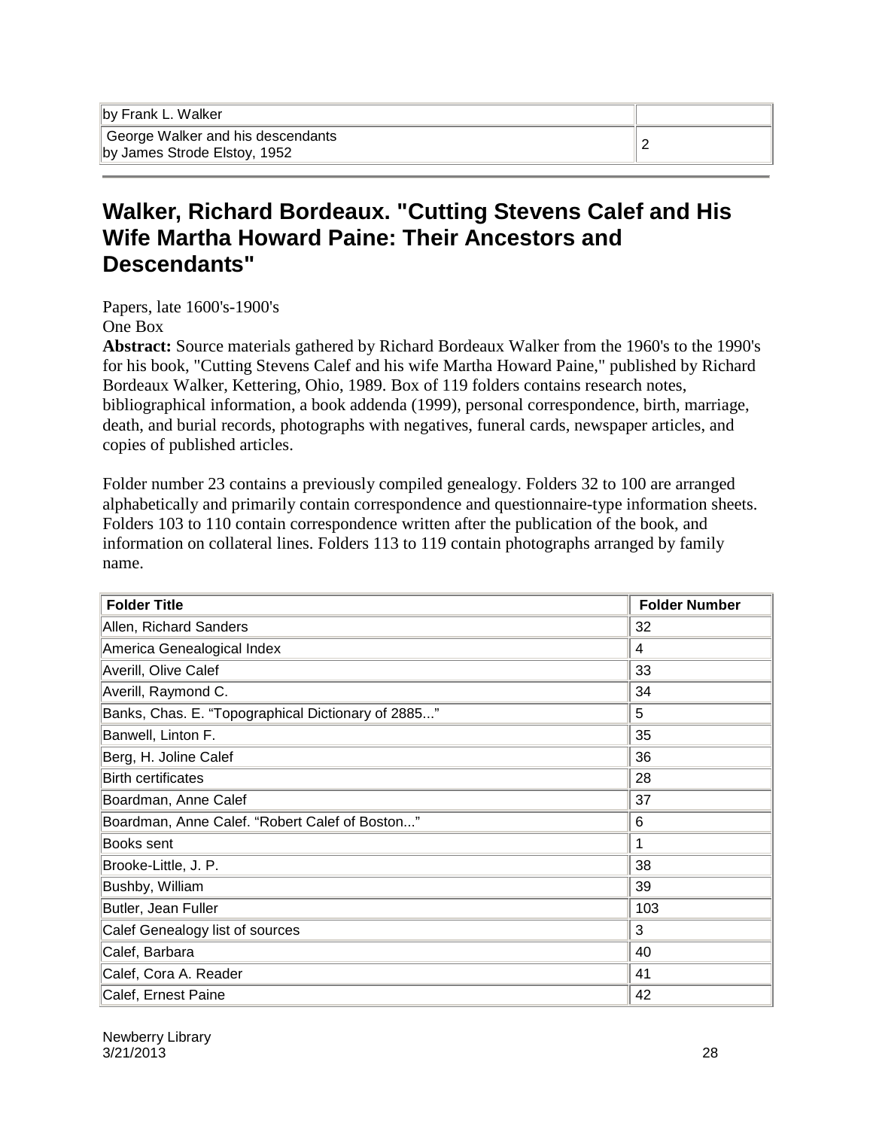#### **Walker, Richard Bordeaux. "Cutting Stevens Calef and His Wife Martha Howard Paine: Their Ancestors and Descendants"**

Papers, late 1600's-1900's

One Box

**Abstract:** Source materials gathered by Richard Bordeaux Walker from the 1960's to the 1990's for his book, "Cutting Stevens Calef and his wife Martha Howard Paine," published by Richard Bordeaux Walker, Kettering, Ohio, 1989. Box of 119 folders contains research notes, bibliographical information, a book addenda (1999), personal correspondence, birth, marriage, death, and burial records, photographs with negatives, funeral cards, newspaper articles, and copies of published articles.

Folder number 23 contains a previously compiled genealogy. Folders 32 to 100 are arranged alphabetically and primarily contain correspondence and questionnaire-type information sheets. Folders 103 to 110 contain correspondence written after the publication of the book, and information on collateral lines. Folders 113 to 119 contain photographs arranged by family name.

| <b>Folder Title</b>                                | <b>Folder Number</b> |
|----------------------------------------------------|----------------------|
| Allen, Richard Sanders                             | 32                   |
| America Genealogical Index                         | 4                    |
| Averill, Olive Calef                               | 33                   |
| Averill, Raymond C.                                | 34                   |
| Banks, Chas. E. "Topographical Dictionary of 2885" | 5                    |
| Banwell, Linton F.                                 | 35                   |
| Berg, H. Joline Calef                              | 36                   |
| <b>Birth certificates</b>                          | 28                   |
| Boardman, Anne Calef                               | 37                   |
| Boardman, Anne Calef. "Robert Calef of Boston"     | 6                    |
| Books sent                                         |                      |
| Brooke-Little, J. P.                               | 38                   |
| Bushby, William                                    | 39                   |
| Butler, Jean Fuller                                | 103                  |
| Calef Genealogy list of sources                    | 3                    |
| Calef, Barbara                                     | 40                   |
| Calef, Cora A. Reader                              | 41                   |
| Calef, Ernest Paine                                | 42                   |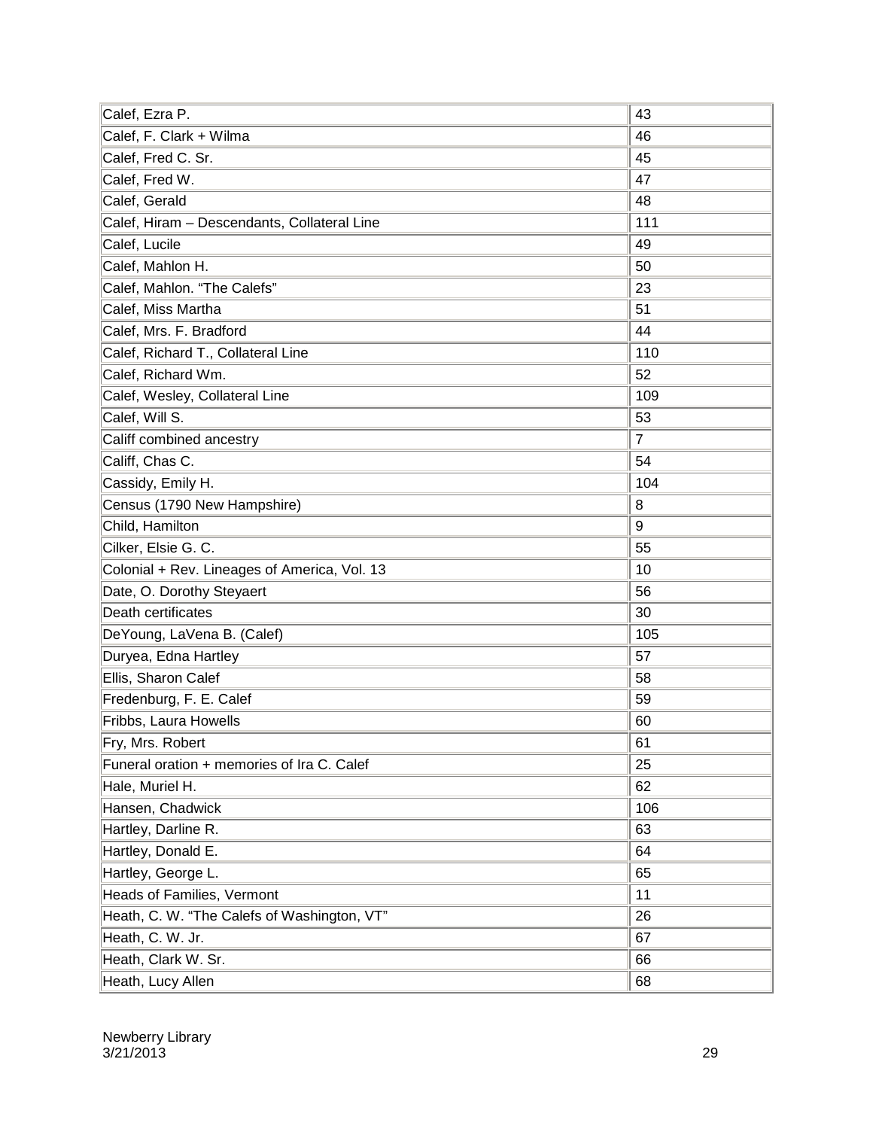| Calef, Ezra P.                               | 43             |
|----------------------------------------------|----------------|
| Calef, F. Clark + Wilma                      | 46             |
| Calef, Fred C. Sr.                           | 45             |
| Calef, Fred W.                               | 47             |
| Calef, Gerald                                | 48             |
| Calef, Hiram - Descendants, Collateral Line  | 111            |
| Calef, Lucile                                | 49             |
| Calef, Mahlon H.                             | 50             |
| Calef, Mahlon. "The Calefs"                  | 23             |
| Calef, Miss Martha                           | 51             |
| Calef, Mrs. F. Bradford                      | 44             |
| Calef, Richard T., Collateral Line           | 110            |
| Calef, Richard Wm.                           | 52             |
| Calef, Wesley, Collateral Line               | 109            |
| Calef, Will S.                               | 53             |
| Califf combined ancestry                     | $\overline{7}$ |
| Califf, Chas C.                              | 54             |
| Cassidy, Emily H.                            | 104            |
| Census (1790 New Hampshire)                  | 8              |
| Child, Hamilton                              | 9              |
| Cilker, Elsie G. C.                          | 55             |
| Colonial + Rev. Lineages of America, Vol. 13 | 10             |
| Date, O. Dorothy Steyaert                    | 56             |
| Death certificates                           | 30             |
| DeYoung, LaVena B. (Calef)                   | 105            |
| Duryea, Edna Hartley                         | 57             |
| Ellis, Sharon Calef                          | 58             |
| Fredenburg, F. E. Calef                      | 59             |
| Fribbs, Laura Howells                        | 60             |
| Fry, Mrs. Robert                             | 61             |
| Funeral oration + memories of Ira C. Calef   | 25             |
| Hale, Muriel H.                              | 62             |
| Hansen, Chadwick                             | 106            |
| Hartley, Darline R.                          | 63             |
| Hartley, Donald E.                           | 64             |
| Hartley, George L.                           | 65             |
| Heads of Families, Vermont                   | 11             |
| Heath, C. W. "The Calefs of Washington, VT"  | 26             |
| Heath, C. W. Jr.                             | 67             |
| Heath, Clark W. Sr.                          | 66             |
| Heath, Lucy Allen                            | 68             |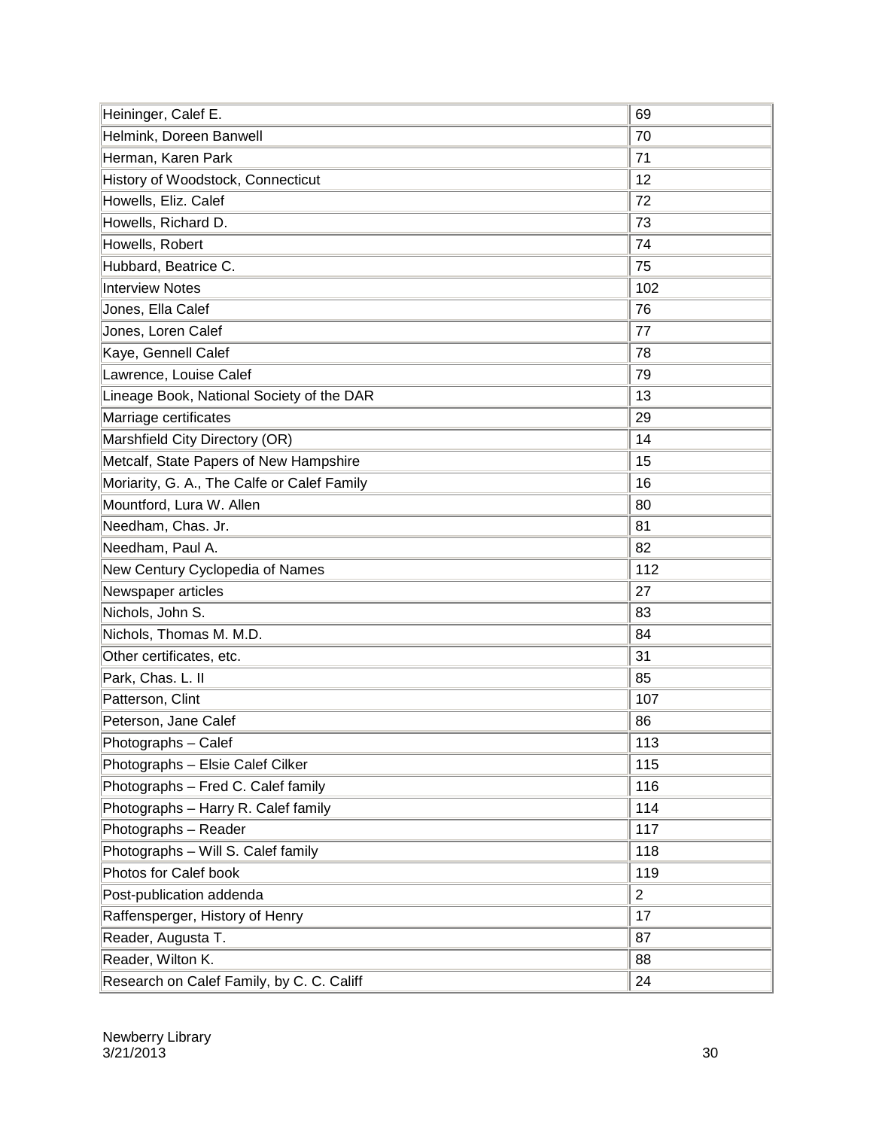| Heininger, Calef E.                         | 69             |
|---------------------------------------------|----------------|
| Helmink, Doreen Banwell                     | 70             |
| Herman, Karen Park                          | 71             |
| History of Woodstock, Connecticut           | 12             |
| Howells, Eliz. Calef                        | 72             |
| Howells, Richard D.                         | 73             |
| Howells, Robert                             | 74             |
| Hubbard, Beatrice C.                        | 75             |
| <b>Interview Notes</b>                      | 102            |
| Jones, Ella Calef                           | 76             |
| Jones, Loren Calef                          | 77             |
| Kaye, Gennell Calef                         | 78             |
| Lawrence, Louise Calef                      | 79             |
| Lineage Book, National Society of the DAR   | 13             |
| Marriage certificates                       | 29             |
| Marshfield City Directory (OR)              | 14             |
| Metcalf, State Papers of New Hampshire      | 15             |
| Moriarity, G. A., The Calfe or Calef Family | 16             |
| Mountford, Lura W. Allen                    | 80             |
| Needham, Chas. Jr.                          | 81             |
| Needham, Paul A.                            | 82             |
| New Century Cyclopedia of Names             | 112            |
| Newspaper articles                          | 27             |
| Nichols, John S.                            | 83             |
| Nichols, Thomas M. M.D.                     | 84             |
| Other certificates, etc.                    | 31             |
| Park, Chas. L. II                           | 85             |
| Patterson, Clint                            | 107            |
| Peterson, Jane Calef                        | 86             |
| Photographs - Calef                         | 113            |
| Photographs - Elsie Calef Cilker            | 115            |
| Photographs - Fred C. Calef family          | 116            |
| Photographs - Harry R. Calef family         | 114            |
| Photographs - Reader                        | 117            |
| Photographs - Will S. Calef family          | 118            |
| Photos for Calef book                       | 119            |
| Post-publication addenda                    | $\overline{2}$ |
| Raffensperger, History of Henry             | 17             |
| Reader, Augusta T.                          | 87             |
| Reader, Wilton K.                           | 88             |
| Research on Calef Family, by C. C. Califf   | 24             |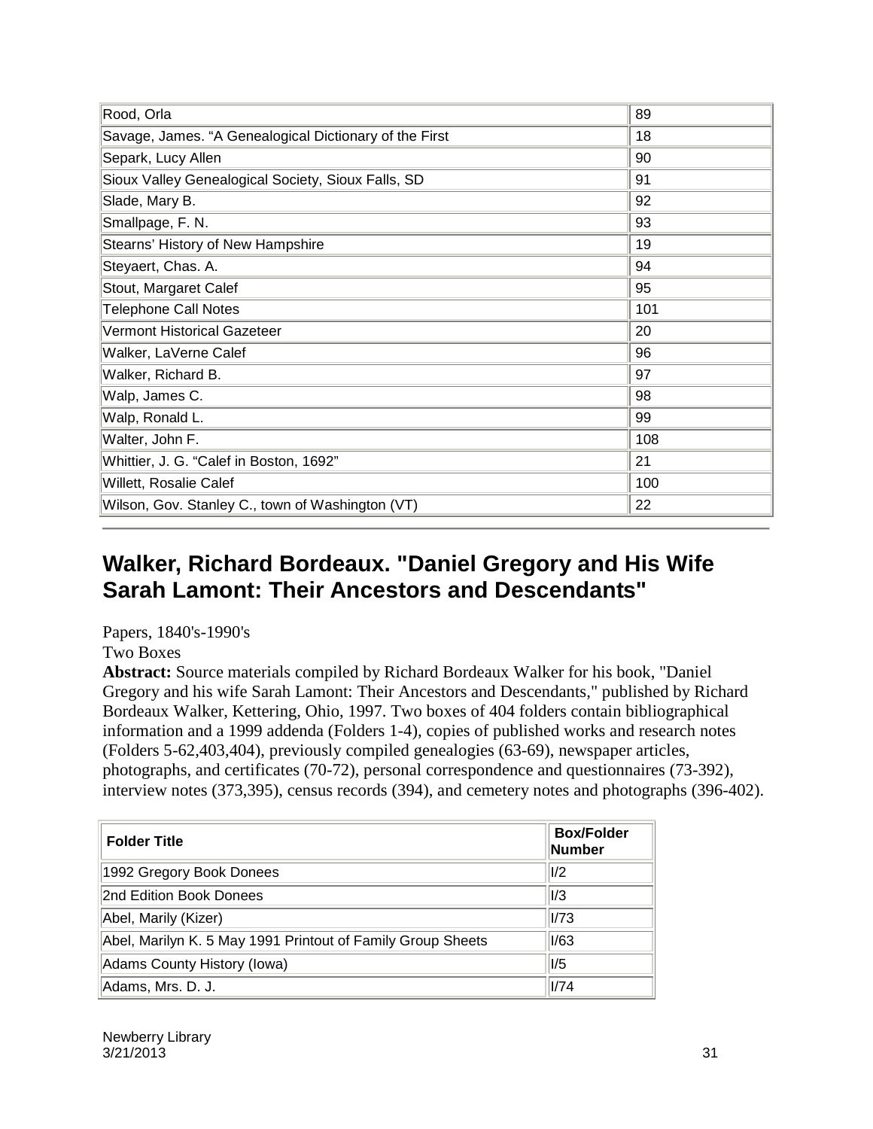| Rood, Orla                                             | 89  |
|--------------------------------------------------------|-----|
| Savage, James. "A Genealogical Dictionary of the First | 18  |
| Separk, Lucy Allen                                     | 90  |
| Sioux Valley Genealogical Society, Sioux Falls, SD     | 91  |
| Slade, Mary B.                                         | 92  |
| Smallpage, F. N.                                       | 93  |
| Stearns' History of New Hampshire                      | 19  |
| Steyaert, Chas. A.                                     | 94  |
| Stout, Margaret Calef                                  | 95  |
| <b>Telephone Call Notes</b>                            | 101 |
| <b>Vermont Historical Gazeteer</b>                     | 20  |
| Walker, LaVerne Calef                                  | 96  |
| Walker, Richard B.                                     | 97  |
| Walp, James C.                                         | 98  |
| Walp, Ronald L.                                        | 99  |
| Walter, John F.                                        | 108 |
| Whittier, J. G. "Calef in Boston, 1692"                | 21  |
| Willett, Rosalie Calef                                 | 100 |
| Wilson, Gov. Stanley C., town of Washington (VT)       | 22  |

#### **Walker, Richard Bordeaux. "Daniel Gregory and His Wife Sarah Lamont: Their Ancestors and Descendants"**

Papers, 1840's-1990's Two Boxes

**Abstract:** Source materials compiled by Richard Bordeaux Walker for his book, "Daniel Gregory and his wife Sarah Lamont: Their Ancestors and Descendants," published by Richard Bordeaux Walker, Kettering, Ohio, 1997. Two boxes of 404 folders contain bibliographical information and a 1999 addenda (Folders 1-4), copies of published works and research notes (Folders 5-62,403,404), previously compiled genealogies (63-69), newspaper articles, photographs, and certificates (70-72), personal correspondence and questionnaires (73-392), interview notes (373,395), census records (394), and cemetery notes and photographs (396-402).

| <b>Folder Title</b>                                         | <b>Box/Folder</b><br>Number |
|-------------------------------------------------------------|-----------------------------|
| 1992 Gregory Book Donees                                    | I/2                         |
| 2nd Edition Book Donees                                     | I/3                         |
| Abel, Marily (Kizer)                                        | I/73                        |
| Abel, Marilyn K. 5 May 1991 Printout of Family Group Sheets | 1/63                        |
| Adams County History (Iowa)                                 | I/5                         |
| Adams, Mrs. D. J.                                           | 1/74                        |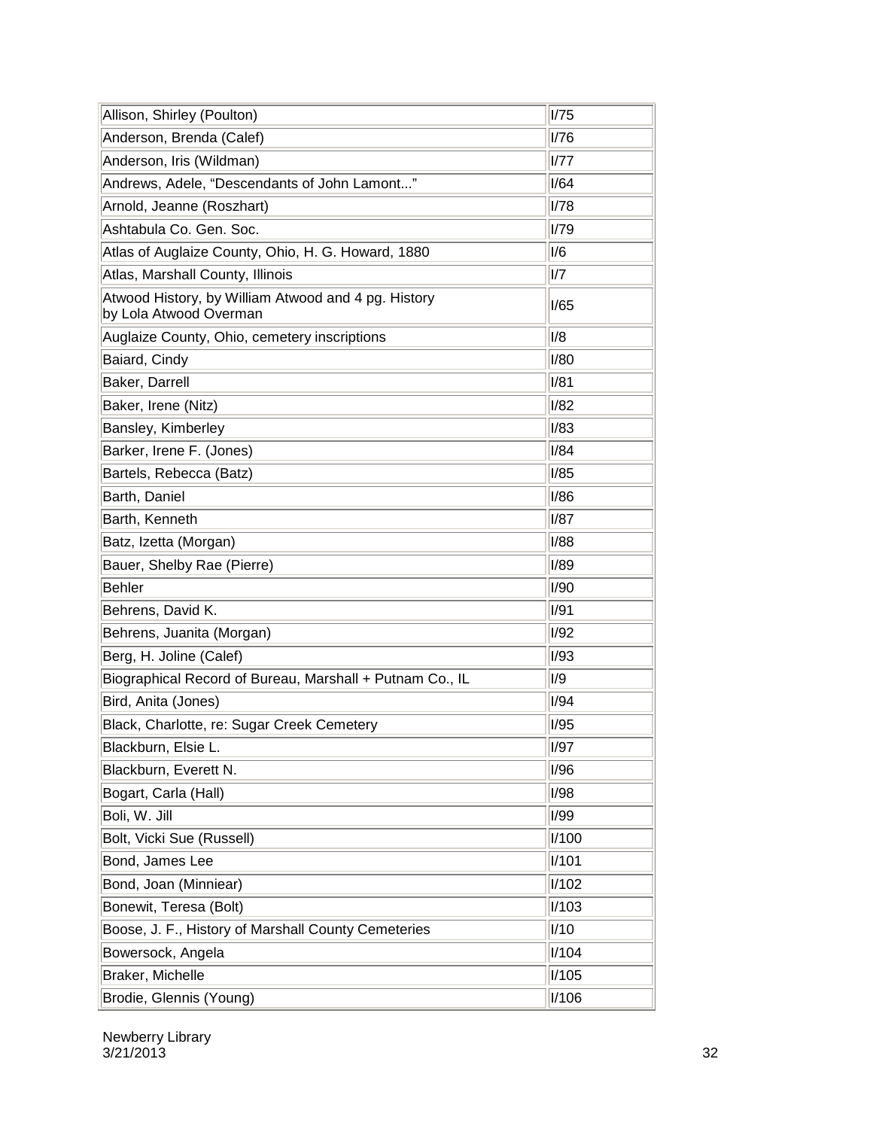| Allison, Shirley (Poulton)                                                    | I/75        |
|-------------------------------------------------------------------------------|-------------|
| Anderson, Brenda (Calef)                                                      | I/76        |
| Anderson, Iris (Wildman)                                                      | 1/77        |
| Andrews, Adele, "Descendants of John Lamont"                                  | I/64        |
| Arnold, Jeanne (Roszhart)                                                     | I/78        |
| Ashtabula Co. Gen. Soc.                                                       | I/79        |
| Atlas of Auglaize County, Ohio, H. G. Howard, 1880                            | I/6         |
| Atlas, Marshall County, Illinois                                              | I/T         |
| Atwood History, by William Atwood and 4 pg. History<br>by Lola Atwood Overman | 1/65        |
| Auglaize County, Ohio, cemetery inscriptions                                  | I/8         |
| Baiard, Cindy                                                                 | <b>I/80</b> |
| Baker, Darrell                                                                | I/81        |
| Baker, Irene (Nitz)                                                           | I/82        |
| Bansley, Kimberley                                                            | I/83        |
| Barker, Irene F. (Jones)                                                      | I/84        |
| Bartels, Rebecca (Batz)                                                       | I/85        |
| Barth, Daniel                                                                 | I/86        |
| Barth, Kenneth                                                                | <b>I/87</b> |
| Batz, Izetta (Morgan)                                                         | I/88        |
| Bauer, Shelby Rae (Pierre)                                                    | I/89        |
| <b>Behler</b>                                                                 | <b>I/90</b> |
| Behrens, David K.                                                             | I/91        |
| Behrens, Juanita (Morgan)                                                     | <b>I/92</b> |
| Berg, H. Joline (Calef)                                                       | <b>I/93</b> |
| Biographical Record of Bureau, Marshall + Putnam Co., IL                      | I/9         |
| Bird, Anita (Jones)                                                           | I/94        |
| Black, Charlotte, re: Sugar Creek Cemetery                                    | I/95        |
| Blackburn, Elsie L.                                                           | <b>I/97</b> |
| Blackburn, Everett N.                                                         | 1/96        |
| Bogart, Carla (Hall)                                                          | 1/98        |
| Boli, W. Jill                                                                 | 1/99        |
| Bolt, Vicki Sue (Russell)                                                     | I/100       |
| Bond, James Lee                                                               | I/101       |
| Bond, Joan (Minniear)                                                         | I/102       |
| Bonewit, Teresa (Bolt)                                                        | I/103       |
| Boose, J. F., History of Marshall County Cemeteries                           | I/10        |
| Bowersock, Angela                                                             | I/104       |
| Braker, Michelle                                                              | I/105       |
| Brodie, Glennis (Young)                                                       | I/106       |

Newberry Library  $3/21/2013$   $32$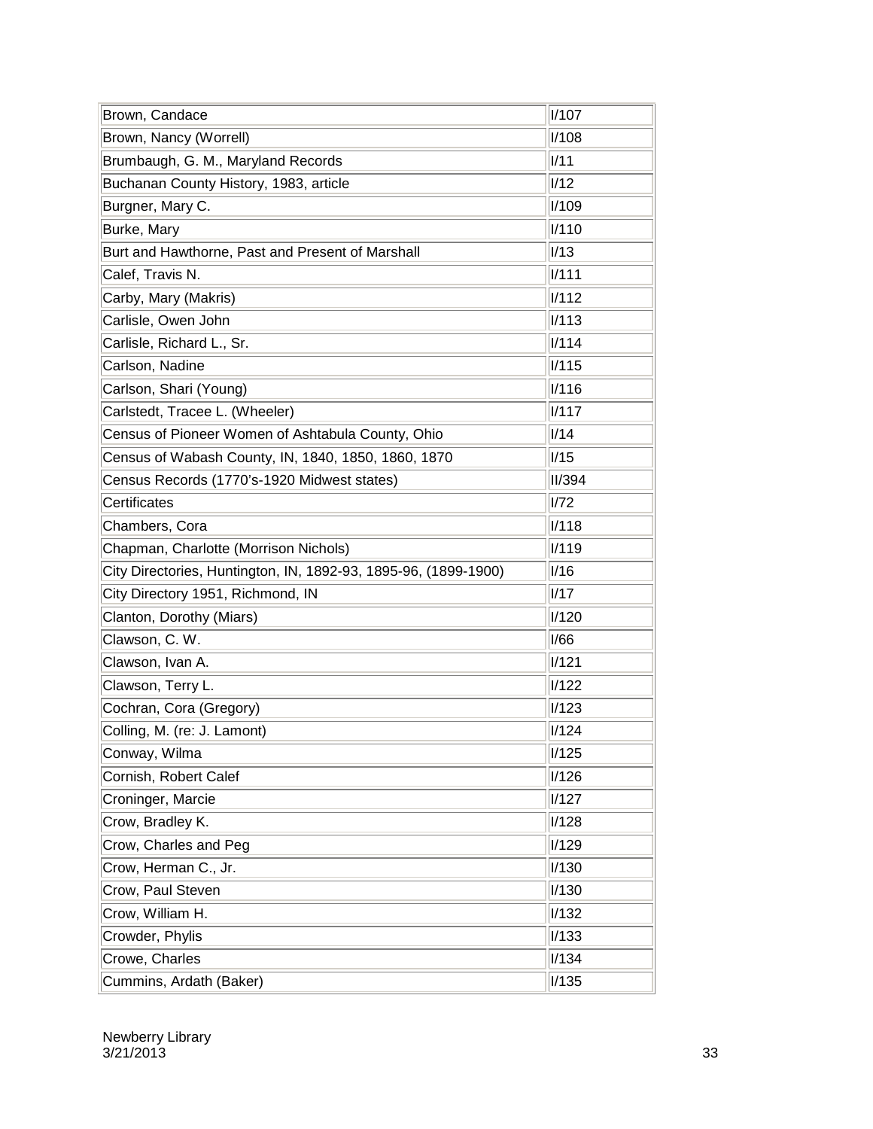| Brown, Candace                                                  | I/107         |
|-----------------------------------------------------------------|---------------|
| Brown, Nancy (Worrell)                                          | I/108         |
| Brumbaugh, G. M., Maryland Records                              | 1/11          |
| Buchanan County History, 1983, article                          | I/12          |
| Burgner, Mary C.                                                | I/109         |
| Burke, Mary                                                     | I/110         |
| Burt and Hawthorne, Past and Present of Marshall                | I/13          |
| Calef, Travis N.                                                | <b>I/111</b>  |
| Carby, Mary (Makris)                                            | <b>I/112</b>  |
| Carlisle, Owen John                                             | I/113         |
| Carlisle, Richard L., Sr.                                       | I/114         |
| Carlson, Nadine                                                 | I/115         |
| Carlson, Shari (Young)                                          | I/116         |
| Carlstedt, Tracee L. (Wheeler)                                  | <b>I/117</b>  |
| Census of Pioneer Women of Ashtabula County, Ohio               | I/14          |
| Census of Wabash County, IN, 1840, 1850, 1860, 1870             | I/15          |
| Census Records (1770's-1920 Midwest states)                     | <b>II/394</b> |
| Certificates                                                    | I/72          |
| Chambers, Cora                                                  | I/118         |
| Chapman, Charlotte (Morrison Nichols)                           | I/119         |
| City Directories, Huntington, IN, 1892-93, 1895-96, (1899-1900) | I/16          |
| City Directory 1951, Richmond, IN                               | 1/17          |
| Clanton, Dorothy (Miars)                                        | I/120         |
| Clawson, C. W.                                                  | 1/66          |
| Clawson, Ivan A.                                                | I/121         |
| Clawson, Terry L.                                               | I/122         |
| Cochran, Cora (Gregory)                                         | I/123         |
| Colling, M. (re: J. Lamont)                                     | I/124         |
| Conway, Wilma                                                   | I/125         |
| Cornish, Robert Calef                                           | I/126         |
| Croninger, Marcie                                               | I/127         |
| Crow, Bradley K.                                                | I/128         |
| Crow, Charles and Peg                                           | I/129         |
| Crow, Herman C., Jr.                                            | I/130         |
| Crow, Paul Steven                                               | I/130         |
| Crow, William H.                                                | I/132         |
| Crowder, Phylis                                                 | I/133         |
| Crowe, Charles                                                  | I/134         |
| Cummins, Ardath (Baker)                                         | I/135         |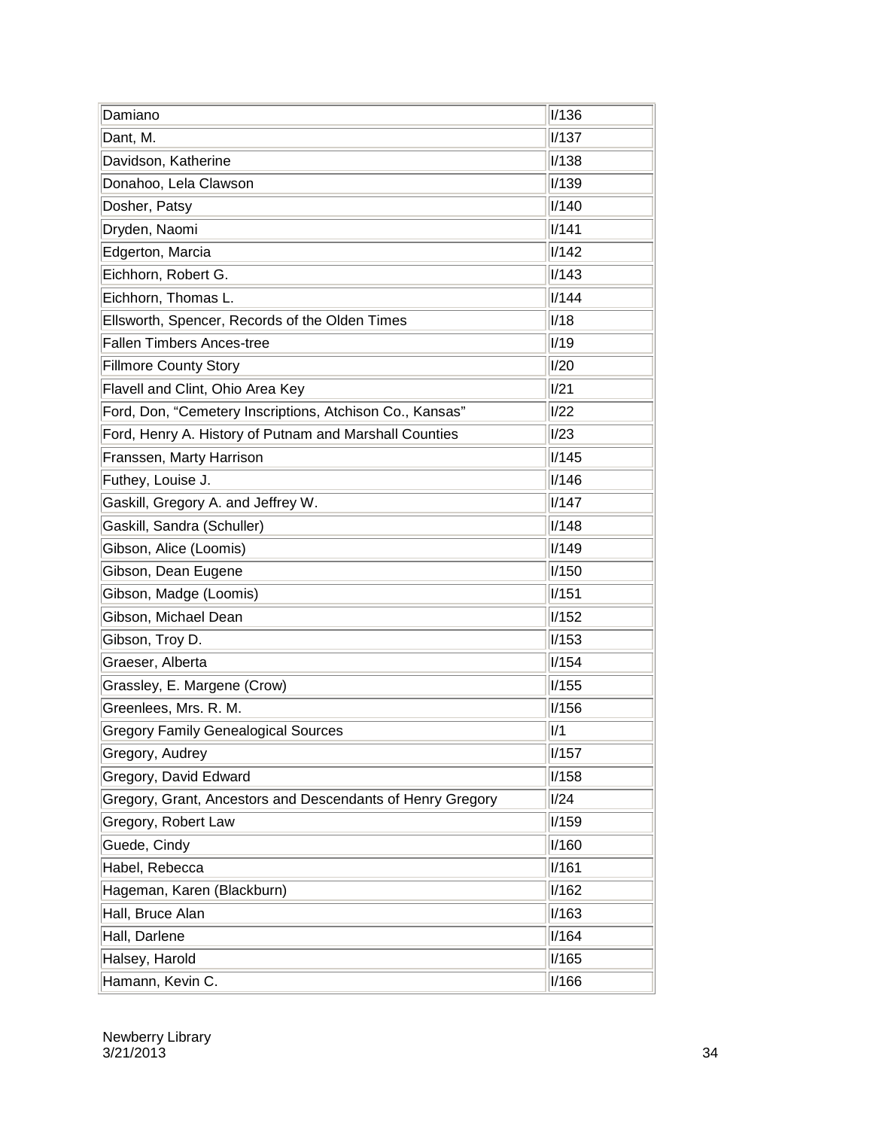| Damiano                                                    | I/136        |
|------------------------------------------------------------|--------------|
| Dant, M.                                                   | <b>I/137</b> |
| Davidson, Katherine                                        | I/138        |
| Donahoo, Lela Clawson                                      | I/139        |
| Dosher, Patsy                                              | I/140        |
| Dryden, Naomi                                              | I/141        |
| Edgerton, Marcia                                           | I/142        |
| Eichhorn, Robert G.                                        | I/143        |
| Eichhorn, Thomas L.                                        | I/144        |
| Ellsworth, Spencer, Records of the Olden Times             | I/18         |
| <b>Fallen Timbers Ances-tree</b>                           | I/19         |
| <b>Fillmore County Story</b>                               | I/20         |
| Flavell and Clint, Ohio Area Key                           | 1/21         |
| Ford, Don, "Cemetery Inscriptions, Atchison Co., Kansas"   | 1/22         |
| Ford, Henry A. History of Putnam and Marshall Counties     | I/23         |
| Franssen, Marty Harrison                                   | I/145        |
| Futhey, Louise J.                                          | I/146        |
| Gaskill, Gregory A. and Jeffrey W.                         | I/147        |
| Gaskill, Sandra (Schuller)                                 | I/148        |
| Gibson, Alice (Loomis)                                     | I/149        |
| Gibson, Dean Eugene                                        | I/150        |
| Gibson, Madge (Loomis)                                     | I/151        |
| Gibson, Michael Dean                                       | I/152        |
| Gibson, Troy D.                                            | I/153        |
| Graeser, Alberta                                           | I/154        |
| Grassley, E. Margene (Crow)                                | I/155        |
| Greenlees, Mrs. R. M.                                      | I/156        |
| <b>Gregory Family Genealogical Sources</b>                 | 1/1          |
| Gregory, Audrey                                            | I/157        |
| Gregory, David Edward                                      | I/158        |
| Gregory, Grant, Ancestors and Descendants of Henry Gregory | I/24         |
| Gregory, Robert Law                                        | I/159        |
| Guede, Cindy                                               | I/160        |
| Habel, Rebecca                                             | I/161        |
| Hageman, Karen (Blackburn)                                 | I/162        |
| Hall, Bruce Alan                                           | I/163        |
| Hall, Darlene                                              | I/164        |
| Halsey, Harold                                             | I/165        |
| Hamann, Kevin C.                                           | I/166        |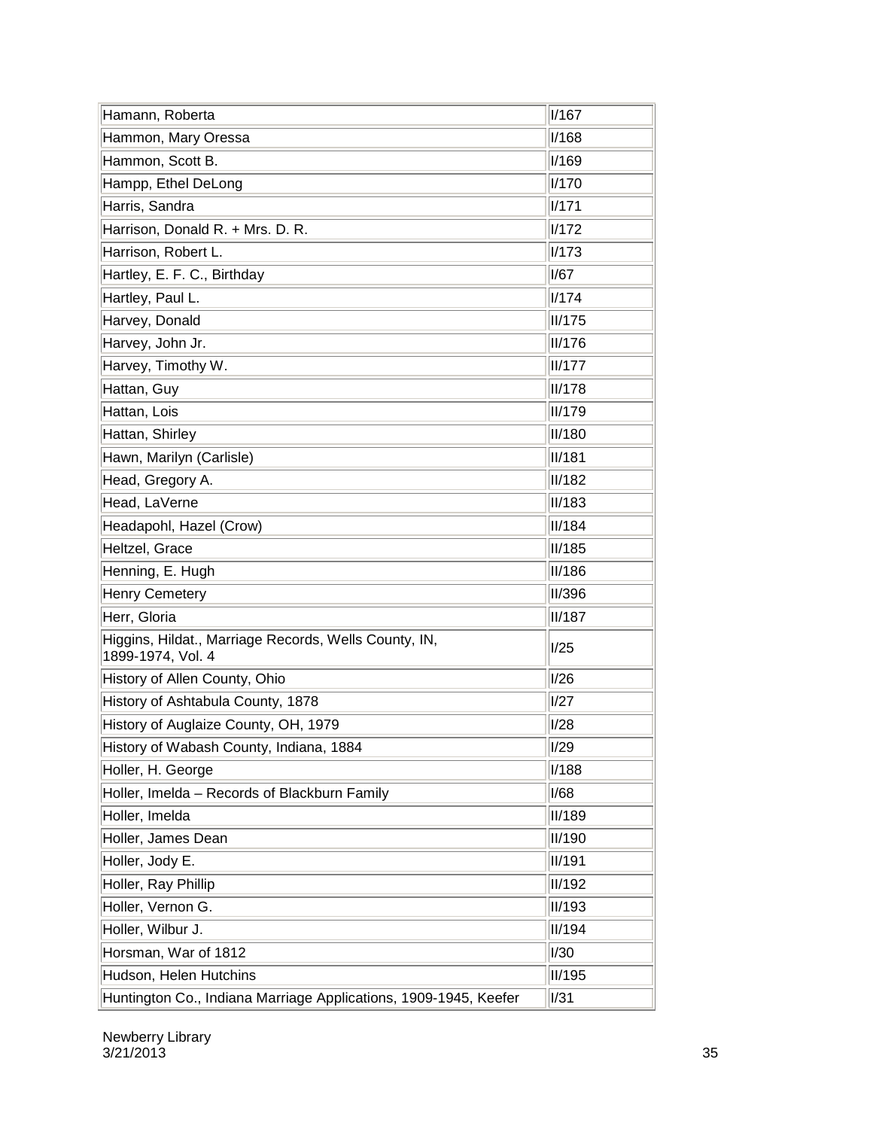| Hamann, Roberta                                                            | I/167         |
|----------------------------------------------------------------------------|---------------|
| Hammon, Mary Oressa                                                        | I/168         |
| Hammon, Scott B.                                                           | I/169         |
| Hampp, Ethel DeLong                                                        | <b>I/170</b>  |
| Harris, Sandra                                                             | I/171         |
| Harrison, Donald R. + Mrs. D. R.                                           | I/172         |
| Harrison, Robert L.                                                        | I/173         |
| Hartley, E. F. C., Birthday                                                | I/67          |
| Hartley, Paul L.                                                           | I/174         |
| Harvey, Donald                                                             | II/175        |
| Harvey, John Jr.                                                           | <b>II/176</b> |
| Harvey, Timothy W.                                                         | II/177        |
| Hattan, Guy                                                                | II/178        |
| Hattan, Lois                                                               | II/179        |
| Hattan, Shirley                                                            | <b>II/180</b> |
| Hawn, Marilyn (Carlisle)                                                   | II/181        |
| Head, Gregory A.                                                           | <b>II/182</b> |
| Head, LaVerne                                                              | <b>II/183</b> |
| Headapohl, Hazel (Crow)                                                    | II/184        |
| Heltzel, Grace                                                             | II/185        |
| Henning, E. Hugh                                                           | <b>II/186</b> |
| <b>Henry Cemetery</b>                                                      | <b>II/396</b> |
| Herr, Gloria                                                               | II/187        |
| Higgins, Hildat., Marriage Records, Wells County, IN,<br>1899-1974, Vol. 4 | I/25          |
| History of Allen County, Ohio                                              | I/26          |
| History of Ashtabula County, 1878                                          | I/27          |
| History of Auglaize County, OH, 1979                                       | I/28          |
| History of Wabash County, Indiana, 1884                                    | $\sqrt{1/29}$ |
| Holler, H. George                                                          | I/188         |
| Holler, Imelda - Records of Blackburn Family                               | I/68          |
| Holler, Imelda                                                             | <b>II/189</b> |
| Holler, James Dean                                                         | <b>II/190</b> |
| Holler, Jody E.                                                            | <b>II/191</b> |
| Holler, Ray Phillip                                                        | <b>II/192</b> |
| Holler, Vernon G.                                                          | <b>II/193</b> |
| Holler, Wilbur J.                                                          | <b>II/194</b> |
| Horsman, War of 1812                                                       | I/30          |
| Hudson, Helen Hutchins                                                     | <b>II/195</b> |
| Huntington Co., Indiana Marriage Applications, 1909-1945, Keefer           | I/31          |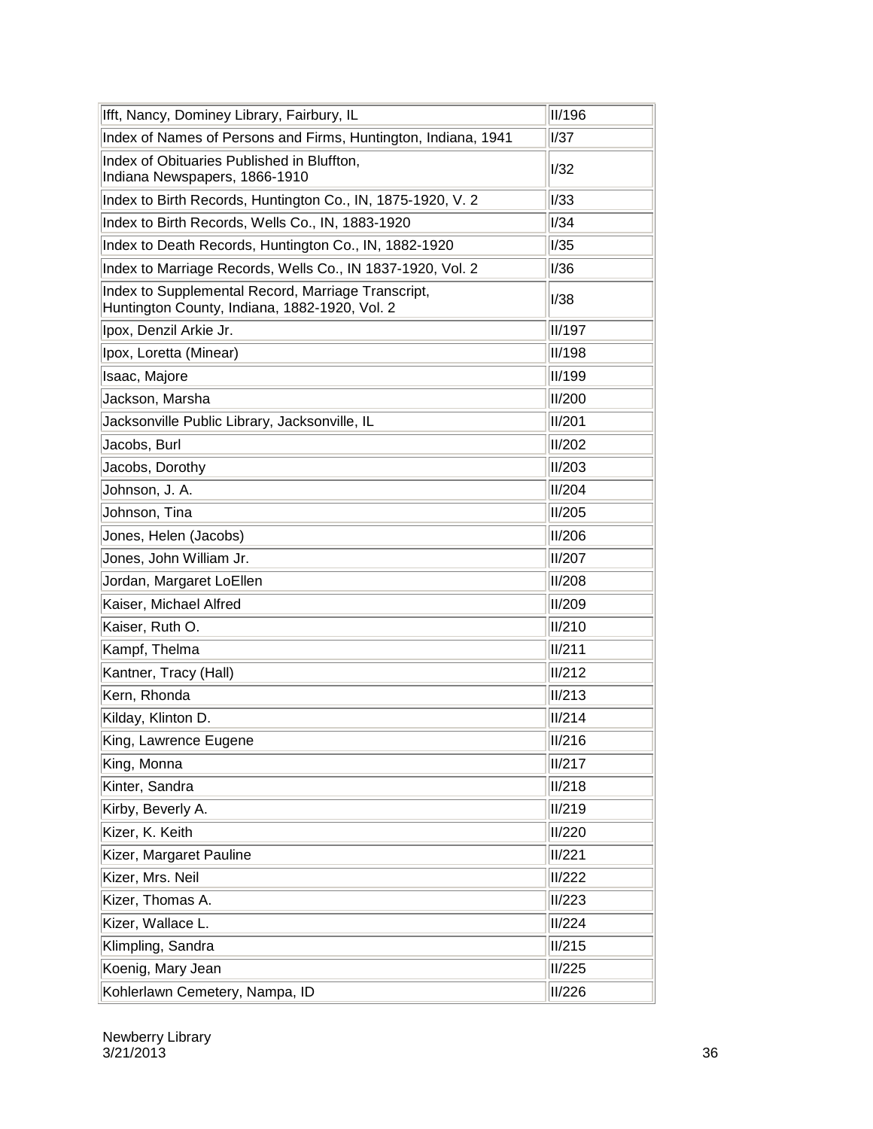| Ifft, Nancy, Dominey Library, Fairbury, IL                                                          | II/196      |
|-----------------------------------------------------------------------------------------------------|-------------|
| Index of Names of Persons and Firms, Huntington, Indiana, 1941                                      | <b>I/37</b> |
| Index of Obituaries Published in Bluffton,<br>Indiana Newspapers, 1866-1910                         | 1/32        |
| Index to Birth Records, Huntington Co., IN, 1875-1920, V. 2                                         | I/33        |
| Index to Birth Records, Wells Co., IN, 1883-1920                                                    | I/34        |
| Index to Death Records, Huntington Co., IN, 1882-1920                                               | I/35        |
| Index to Marriage Records, Wells Co., IN 1837-1920, Vol. 2                                          | I/36        |
| Index to Supplemental Record, Marriage Transcript,<br>Huntington County, Indiana, 1882-1920, Vol. 2 | I/38        |
| Ipox, Denzil Arkie Jr.                                                                              | II/197      |
| Ipox, Loretta (Minear)                                                                              | II/198      |
| Isaac, Majore                                                                                       | II/199      |
| Jackson, Marsha                                                                                     | II/200      |
| Jacksonville Public Library, Jacksonville, IL                                                       | II/201      |
| Jacobs, Burl                                                                                        | II/202      |
| Jacobs, Dorothy                                                                                     | II/203      |
| Johnson, J. A.                                                                                      | II/204      |
| Johnson, Tina                                                                                       | II/205      |
| Jones, Helen (Jacobs)                                                                               | II/206      |
| Jones, John William Jr.                                                                             | II/207      |
| Jordan, Margaret LoEllen                                                                            | II/208      |
| Kaiser, Michael Alfred                                                                              | II/209      |
| Kaiser, Ruth O.                                                                                     | II/210      |
| Kampf, Thelma                                                                                       | II/211      |
| Kantner, Tracy (Hall)                                                                               | II/212      |
| Kern, Rhonda                                                                                        | II/213      |
| Kilday, Klinton D.                                                                                  | II/214      |
| King, Lawrence Eugene                                                                               | II/216      |
| King, Monna                                                                                         | II/217      |
| Kinter, Sandra                                                                                      | II/218      |
| Kirby, Beverly A.                                                                                   | II/219      |
| Kizer, K. Keith                                                                                     | II/220      |
| Kizer, Margaret Pauline                                                                             | II/221      |
| Kizer, Mrs. Neil                                                                                    | II/222      |
| Kizer, Thomas A.                                                                                    | II/223      |
| Kizer, Wallace L.                                                                                   | II/224      |
| Klimpling, Sandra                                                                                   | II/215      |
| Koenig, Mary Jean                                                                                   | II/225      |
| Kohlerlawn Cemetery, Nampa, ID                                                                      | II/226      |

Newberry Library  $3/21/2013$  36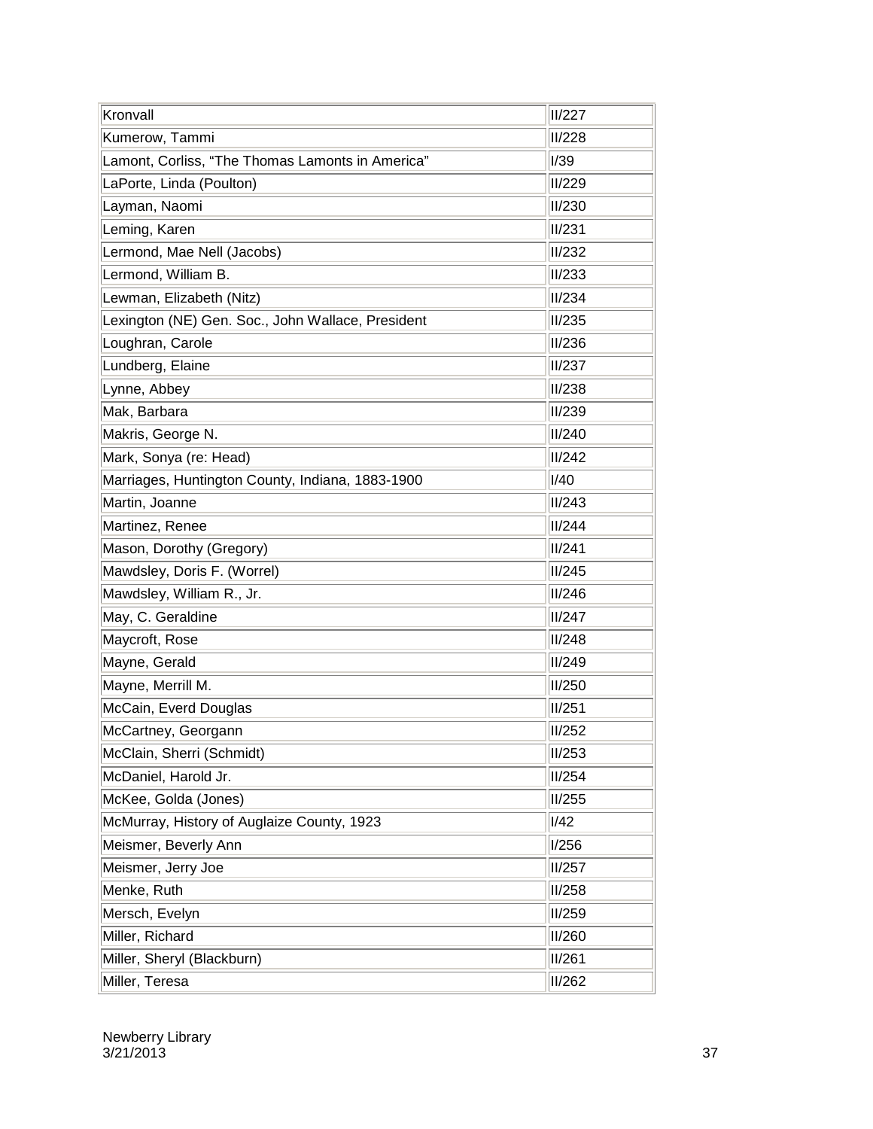| Kronvall                                          | II/227 |
|---------------------------------------------------|--------|
| Kumerow, Tammi                                    | II/228 |
| Lamont, Corliss, "The Thomas Lamonts in America"  | I/39   |
| LaPorte, Linda (Poulton)                          | II/229 |
| Layman, Naomi                                     | II/230 |
| Leming, Karen                                     | II/231 |
| Lermond, Mae Nell (Jacobs)                        | II/232 |
| Lermond, William B.                               | II/233 |
| Lewman, Elizabeth (Nitz)                          | II/234 |
| Lexington (NE) Gen. Soc., John Wallace, President | II/235 |
| Loughran, Carole                                  | II/236 |
| Lundberg, Elaine                                  | II/237 |
| Lynne, Abbey                                      | II/238 |
| Mak, Barbara                                      | II/239 |
| Makris, George N.                                 | II/240 |
| Mark, Sonya (re: Head)                            | II/242 |
| Marriages, Huntington County, Indiana, 1883-1900  | I/40   |
| Martin, Joanne                                    | II/243 |
| Martinez, Renee                                   | II/244 |
| Mason, Dorothy (Gregory)                          | II/241 |
| Mawdsley, Doris F. (Worrel)                       | II/245 |
| Mawdsley, William R., Jr.                         | II/246 |
| May, C. Geraldine                                 | II/247 |
| Maycroft, Rose                                    | II/248 |
| Mayne, Gerald                                     | II/249 |
| Mayne, Merrill M.                                 | II/250 |
| McCain, Everd Douglas                             | II/251 |
| McCartney, Georgann                               | II/252 |
| McClain, Sherri (Schmidt)                         | II/253 |
| McDaniel, Harold Jr.                              | II/254 |
| McKee, Golda (Jones)                              | II/255 |
| McMurray, History of Auglaize County, 1923        | I/42   |
| Meismer, Beverly Ann                              | I/256  |
| Meismer, Jerry Joe                                | II/257 |
| Menke, Ruth                                       | II/258 |
| Mersch, Evelyn                                    | II/259 |
| Miller, Richard                                   | II/260 |
| Miller, Sheryl (Blackburn)                        | II/261 |
| Miller, Teresa                                    | II/262 |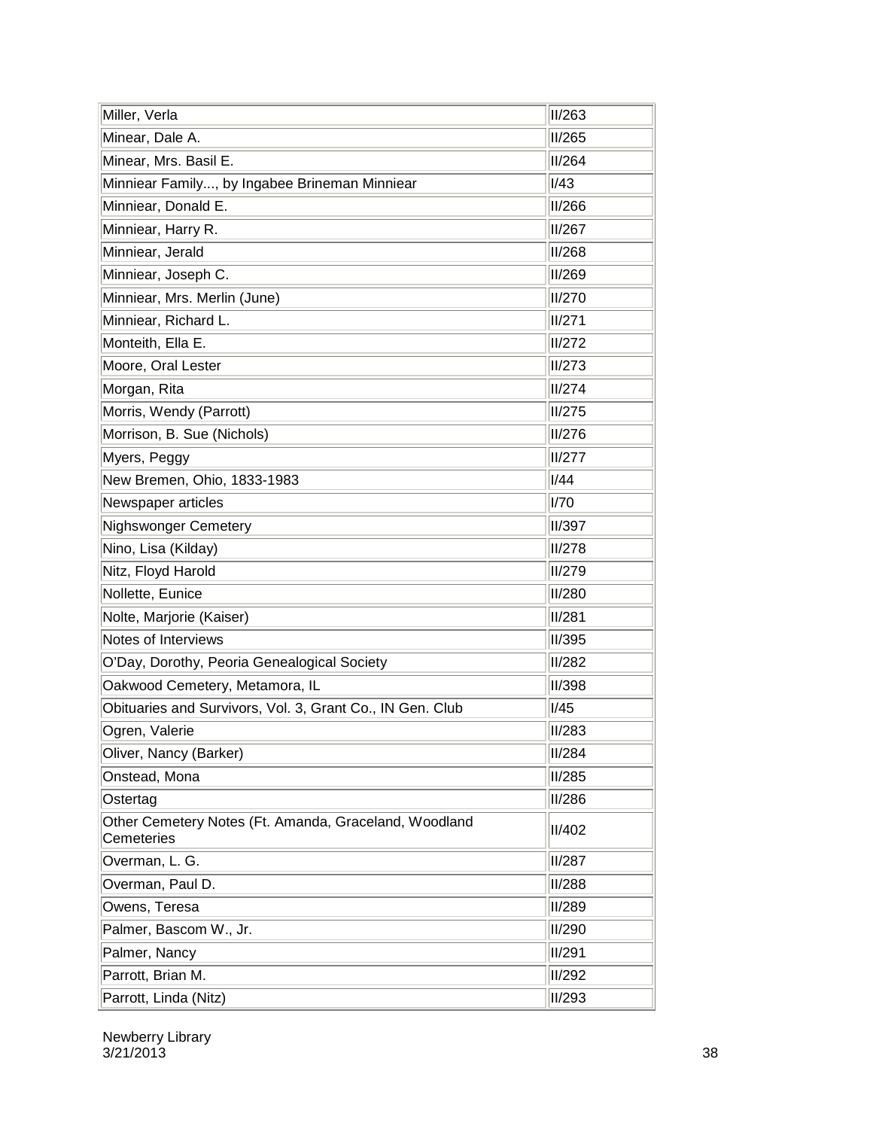| Miller, Verla                                                       | II/263        |
|---------------------------------------------------------------------|---------------|
| Minear, Dale A.                                                     | <b>II/265</b> |
| Minear, Mrs. Basil E.                                               | II/264        |
| Minniear Family, by Ingabee Brineman Minniear                       | I/43          |
| Minniear, Donald E.                                                 | <b>II/266</b> |
| Minniear, Harry R.                                                  | <b>II/267</b> |
| Minniear, Jerald                                                    | II/268        |
| Minniear, Joseph C.                                                 | II/269        |
| Minniear, Mrs. Merlin (June)                                        | II/270        |
| Minniear, Richard L.                                                | II/271        |
| Monteith, Ella E.                                                   | II/272        |
| Moore, Oral Lester                                                  | II/273        |
| Morgan, Rita                                                        | II/274        |
| Morris, Wendy (Parrott)                                             | II/275        |
| Morrison, B. Sue (Nichols)                                          | II/276        |
| Myers, Peggy                                                        | II/277        |
| New Bremen, Ohio, 1833-1983                                         | I/44          |
| Newspaper articles                                                  | I/70          |
| <b>Nighswonger Cemetery</b>                                         | <b>II/397</b> |
| Nino, Lisa (Kilday)                                                 | II/278        |
| Nitz, Floyd Harold                                                  | II/279        |
| Nollette, Eunice                                                    | II/280        |
| Nolte, Marjorie (Kaiser)                                            | II/281        |
| Notes of Interviews                                                 | <b>II/395</b> |
| O'Day, Dorothy, Peoria Genealogical Society                         | II/282        |
| Oakwood Cemetery, Metamora, IL                                      | II/398        |
| Obituaries and Survivors, Vol. 3, Grant Co., IN Gen. Club           | I/45          |
| Ogren, Valerie                                                      | II/283        |
| Oliver, Nancy (Barker)                                              | II/284        |
| Onstead, Mona                                                       | <b>II/285</b> |
| Ostertag                                                            | <b>II/286</b> |
| Other Cemetery Notes (Ft. Amanda, Graceland, Woodland<br>Cemeteries | II/402        |
| Overman, L. G.                                                      | <b>II/287</b> |
| Overman, Paul D.                                                    | <b>II/288</b> |
| Owens, Teresa                                                       | <b>II/289</b> |
| Palmer, Bascom W., Jr.                                              | <b>II/290</b> |
| Palmer, Nancy                                                       | <b>II/291</b> |
| Parrott, Brian M.                                                   | <b>II/292</b> |
| Parrott, Linda (Nitz)                                               | II/293        |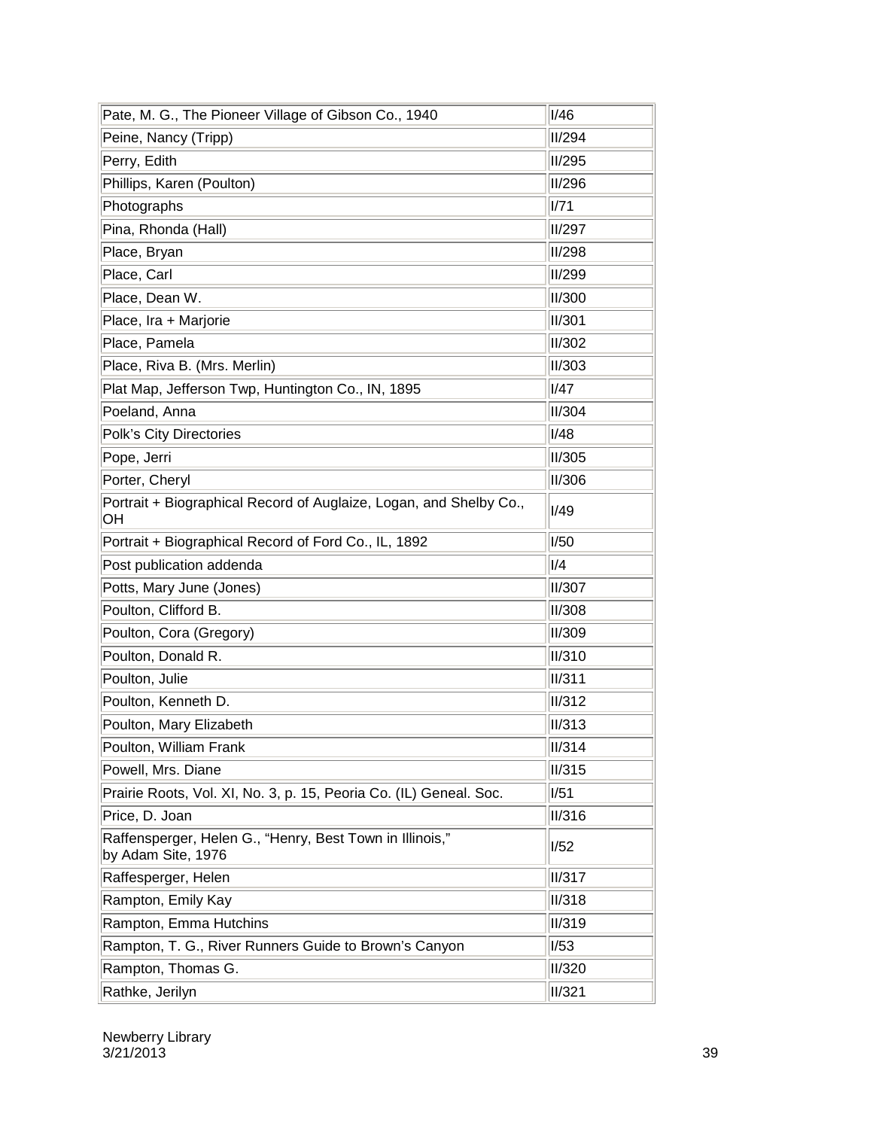| Pate, M. G., The Pioneer Village of Gibson Co., 1940                           | I/46                   |
|--------------------------------------------------------------------------------|------------------------|
| Peine, Nancy (Tripp)                                                           | II/294                 |
| Perry, Edith                                                                   | II/295                 |
| Phillips, Karen (Poulton)                                                      | II/296                 |
| Photographs                                                                    | 1/71                   |
| Pina, Rhonda (Hall)                                                            | II/297                 |
| Place, Bryan                                                                   | II/298                 |
| Place, Carl                                                                    | II/299                 |
| Place, Dean W.                                                                 | II/300                 |
| Place, Ira + Marjorie                                                          | II/301                 |
| Place, Pamela                                                                  | II/302                 |
| Place, Riva B. (Mrs. Merlin)                                                   | II/303                 |
| Plat Map, Jefferson Twp, Huntington Co., IN, 1895                              | <b>I/47</b>            |
| Poeland, Anna                                                                  | II/304                 |
| Polk's City Directories                                                        | I/48                   |
| Pope, Jerri                                                                    | II/305                 |
| Porter, Cheryl                                                                 | II/306                 |
| Portrait + Biographical Record of Auglaize, Logan, and Shelby Co.,<br>OH       | I/49                   |
| Portrait + Biographical Record of Ford Co., IL, 1892                           | I/50                   |
| Post publication addenda                                                       | I/4                    |
| Potts, Mary June (Jones)                                                       | II/307                 |
| Poulton, Clifford B.                                                           | II/308                 |
| Poulton, Cora (Gregory)                                                        | II/309                 |
| Poulton, Donald R.                                                             | II/310                 |
| Poulton, Julie                                                                 | II/311                 |
| Poulton, Kenneth D.                                                            | II/312                 |
| Poulton, Mary Elizabeth                                                        | II/313                 |
| Poulton, William Frank                                                         | $\sqrt{\frac{1}{314}}$ |
| Powell, Mrs. Diane                                                             | II/315                 |
| Prairie Roots, Vol. XI, No. 3, p. 15, Peoria Co. (IL) Geneal. Soc.             | I/51                   |
| Price, D. Joan                                                                 | II/316                 |
| Raffensperger, Helen G., "Henry, Best Town in Illinois,"<br>by Adam Site, 1976 | 1/52                   |
| Raffesperger, Helen                                                            | II/317                 |
| Rampton, Emily Kay                                                             | II/318                 |
| Rampton, Emma Hutchins                                                         | II/319                 |
| Rampton, T. G., River Runners Guide to Brown's Canyon                          | 1/53                   |
| Rampton, Thomas G.                                                             | II/320                 |
| Rathke, Jerilyn                                                                | II/321                 |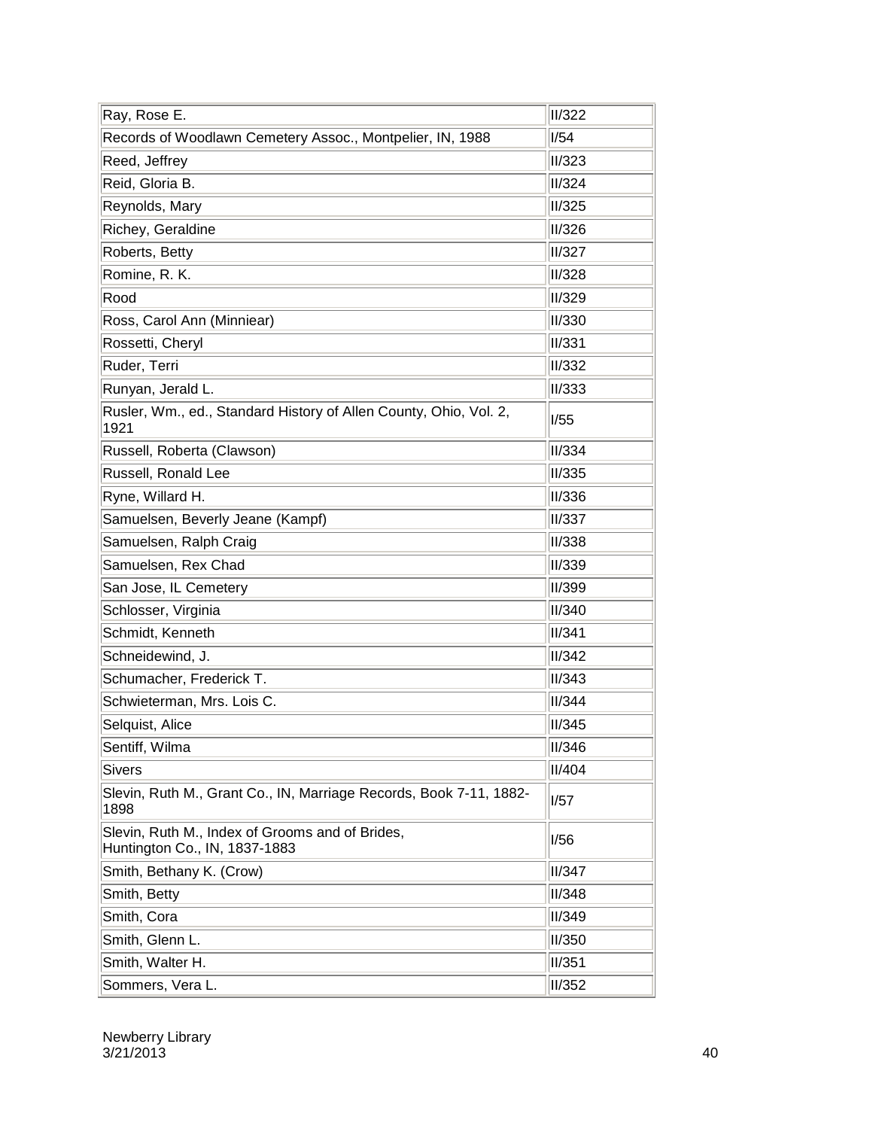|                                                                                  | II/322 |
|----------------------------------------------------------------------------------|--------|
| Ray, Rose E.<br>Records of Woodlawn Cemetery Assoc., Montpelier, IN, 1988        | 1/54   |
| Reed, Jeffrey                                                                    | II/323 |
| Reid, Gloria B.                                                                  | II/324 |
| Reynolds, Mary                                                                   | II/325 |
| Richey, Geraldine                                                                | II/326 |
| Roberts, Betty                                                                   | II/327 |
| Romine, R. K.                                                                    | II/328 |
| Rood                                                                             | II/329 |
| Ross, Carol Ann (Minniear)                                                       | II/330 |
| Rossetti, Cheryl                                                                 | II/331 |
| Ruder, Terri                                                                     | II/332 |
| Runyan, Jerald L.                                                                | II/333 |
| Rusler, Wm., ed., Standard History of Allen County, Ohio, Vol. 2,<br>1921        | I/55   |
| Russell, Roberta (Clawson)                                                       | II/334 |
| Russell, Ronald Lee                                                              | II/335 |
| Ryne, Willard H.                                                                 | II/336 |
| Samuelsen, Beverly Jeane (Kampf)                                                 | II/337 |
| Samuelsen, Ralph Craig                                                           | II/338 |
| Samuelsen, Rex Chad                                                              | II/339 |
| San Jose, IL Cemetery                                                            | II/399 |
| Schlosser, Virginia                                                              | II/340 |
| Schmidt, Kenneth                                                                 | II/341 |
| Schneidewind, J.                                                                 | II/342 |
| Schumacher, Frederick T.                                                         | II/343 |
| Schwieterman, Mrs. Lois C.                                                       | II/344 |
| Selquist, Alice                                                                  | II/345 |
| Sentiff, Wilma                                                                   | II/346 |
| <b>Sivers</b>                                                                    | II/404 |
| Slevin, Ruth M., Grant Co., IN, Marriage Records, Book 7-11, 1882-<br>1898       | I/57   |
| Slevin, Ruth M., Index of Grooms and of Brides,<br>Huntington Co., IN, 1837-1883 | 1/56   |
| Smith, Bethany K. (Crow)                                                         | II/347 |
| Smith, Betty                                                                     | II/348 |
| Smith, Cora                                                                      | II/349 |
| Smith, Glenn L.                                                                  | II/350 |
| Smith, Walter H.                                                                 | II/351 |
| Sommers, Vera L.                                                                 | II/352 |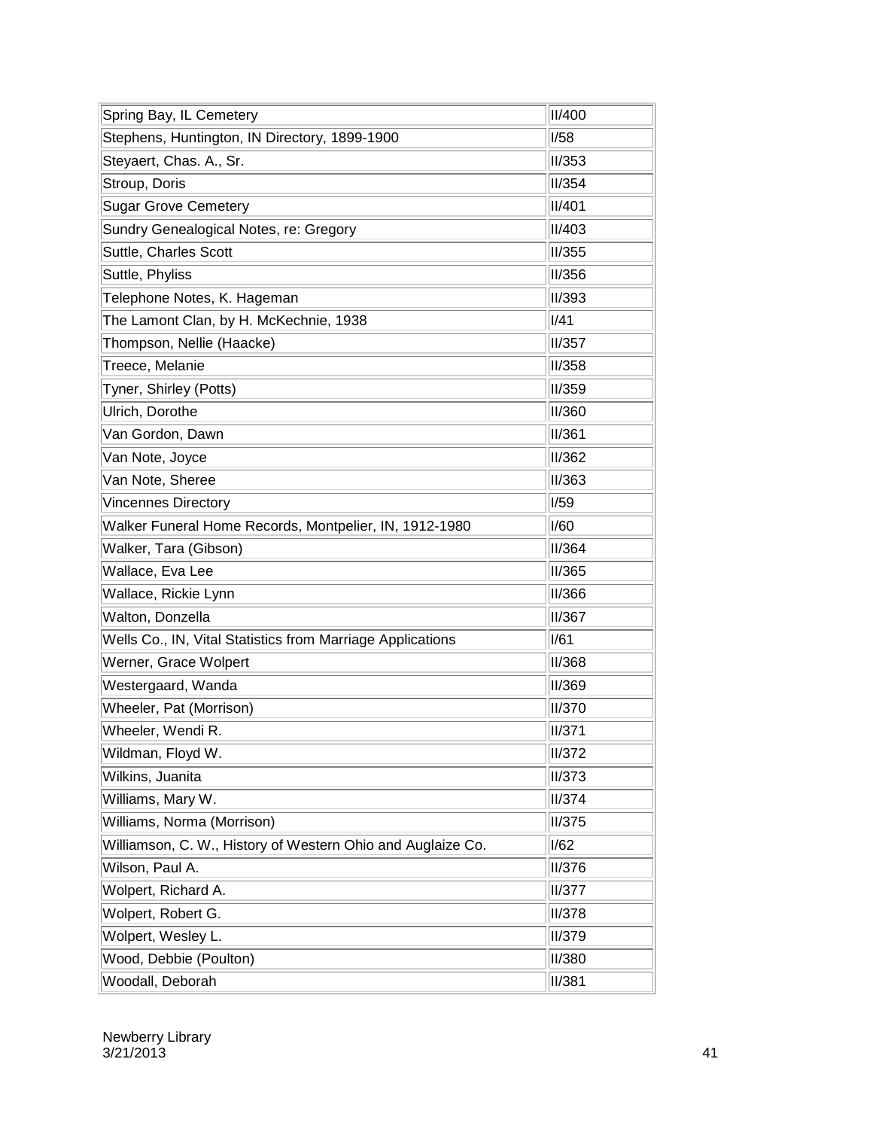| Spring Bay, IL Cemetery                                     | II/400        |
|-------------------------------------------------------------|---------------|
| Stephens, Huntington, IN Directory, 1899-1900               | I/58          |
| Steyaert, Chas. A., Sr.                                     | <b>II/353</b> |
| Stroup, Doris                                               | II/354        |
| <b>Sugar Grove Cemetery</b>                                 | II/401        |
| Sundry Genealogical Notes, re: Gregory                      | <b>II/403</b> |
| Suttle, Charles Scott                                       | <b>II/355</b> |
| Suttle, Phyliss                                             | II/356        |
| Telephone Notes, K. Hageman                                 | II/393        |
| The Lamont Clan, by H. McKechnie, 1938                      | I/41          |
| Thompson, Nellie (Haacke)                                   | <b>II/357</b> |
| Treece, Melanie                                             | II/358        |
| Tyner, Shirley (Potts)                                      | II/359        |
| Ulrich, Dorothe                                             | II/360        |
| Van Gordon, Dawn                                            | II/361        |
| Van Note, Joyce                                             | II/362        |
| Van Note, Sheree                                            | II/363        |
| <b>Vincennes Directory</b>                                  | I/59          |
| Walker Funeral Home Records, Montpelier, IN, 1912-1980      | I/60          |
| Walker, Tara (Gibson)                                       | II/364        |
| Wallace, Eva Lee                                            | <b>II/365</b> |
| Wallace, Rickie Lynn                                        | II/366        |
| Walton, Donzella                                            | II/367        |
| Wells Co., IN, Vital Statistics from Marriage Applications  | I/61          |
| Werner, Grace Wolpert                                       | II/368        |
| Westergaard, Wanda                                          | II/369        |
| Wheeler, Pat (Morrison)                                     | II/370        |
| Wheeler, Wendi R.                                           | II/371        |
| Wildman, Floyd W.                                           | <b>II/372</b> |
| Wilkins, Juanita                                            | <b>II/373</b> |
| Williams, Mary W.                                           | <b>II/374</b> |
| Williams, Norma (Morrison)                                  | <b>II/375</b> |
| Williamson, C. W., History of Western Ohio and Auglaize Co. | I/62          |
| Wilson, Paul A.                                             | <b>II/376</b> |
| Wolpert, Richard A.                                         | II/377        |
| Wolpert, Robert G.                                          | <b>II/378</b> |
| Wolpert, Wesley L.                                          | <b>II/379</b> |
| Wood, Debbie (Poulton)                                      | <b>II/380</b> |
| Woodall, Deborah                                            | II/381        |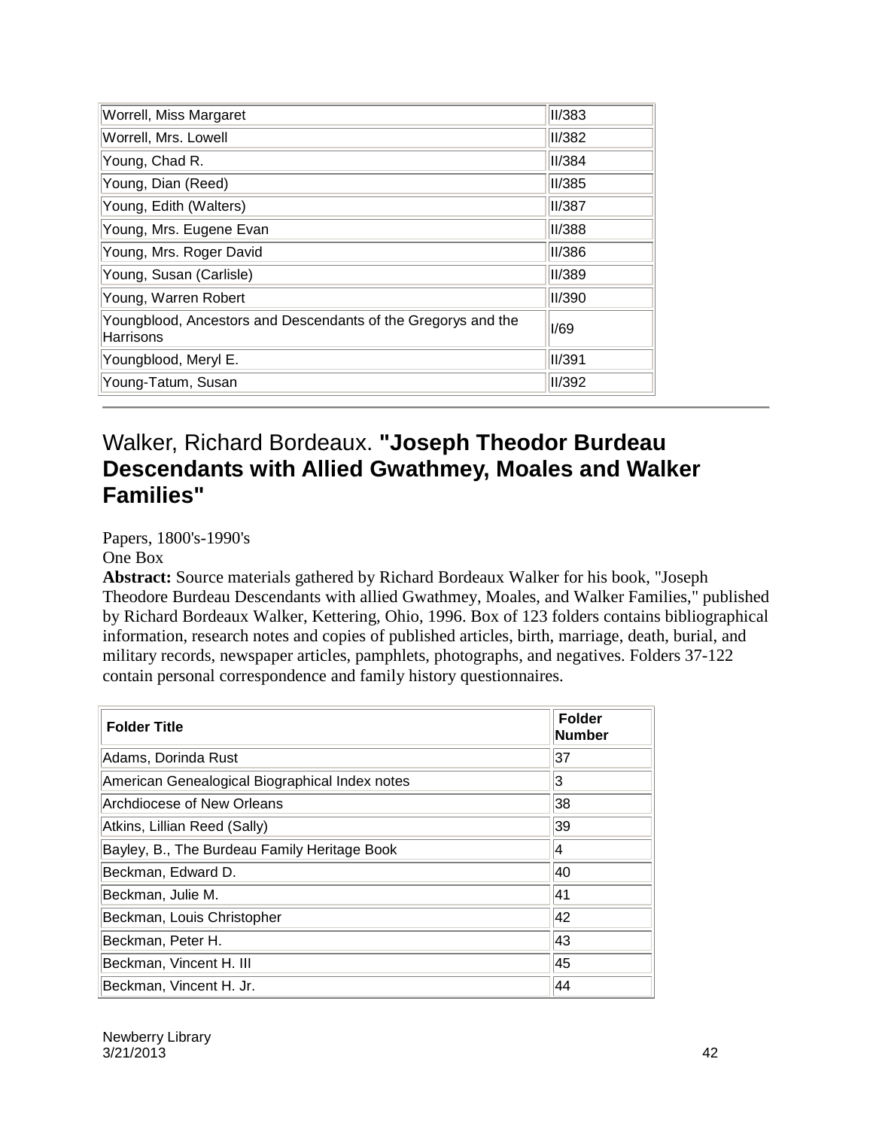| Worrell, Miss Margaret                                                     | <b>II/383</b> |
|----------------------------------------------------------------------------|---------------|
| Worrell, Mrs. Lowell                                                       | II/382        |
| Young, Chad R.                                                             | II/384        |
| Young, Dian (Reed)                                                         | <b>II/385</b> |
| Young, Edith (Walters)                                                     | <b>II/387</b> |
| Young, Mrs. Eugene Evan                                                    | II/388        |
| Young, Mrs. Roger David                                                    | <b>II/386</b> |
| Young, Susan (Carlisle)                                                    | II/389        |
| Young, Warren Robert                                                       | II/390        |
| Youngblood, Ancestors and Descendants of the Gregorys and the<br>Harrisons | I/69          |
| Youngblood, Meryl E.                                                       | II/391        |
| Young-Tatum, Susan                                                         | II/392        |

#### Walker, Richard Bordeaux. **"Joseph Theodor Burdeau Descendants with Allied Gwathmey, Moales and Walker Families"**

Papers, 1800's-1990's

One Box

**Abstract:** Source materials gathered by Richard Bordeaux Walker for his book, "Joseph Theodore Burdeau Descendants with allied Gwathmey, Moales, and Walker Families," published by Richard Bordeaux Walker, Kettering, Ohio, 1996. Box of 123 folders contains bibliographical information, research notes and copies of published articles, birth, marriage, death, burial, and military records, newspaper articles, pamphlets, photographs, and negatives. Folders 37-122 contain personal correspondence and family history questionnaires.

| <b>Folder Title</b>                            | <b>Folder</b><br>Number |
|------------------------------------------------|-------------------------|
| Adams, Dorinda Rust                            | 37                      |
| American Genealogical Biographical Index notes | 3                       |
| Archdiocese of New Orleans                     | 38                      |
| Atkins, Lillian Reed (Sally)                   | 39                      |
| Bayley, B., The Burdeau Family Heritage Book   | 4                       |
| Beckman, Edward D.                             | 40                      |
| Beckman, Julie M.                              | 41                      |
| Beckman, Louis Christopher                     | 42                      |
| Beckman, Peter H.                              | 43                      |
| Beckman, Vincent H. III                        | 45                      |
| Beckman, Vincent H. Jr.                        | 44                      |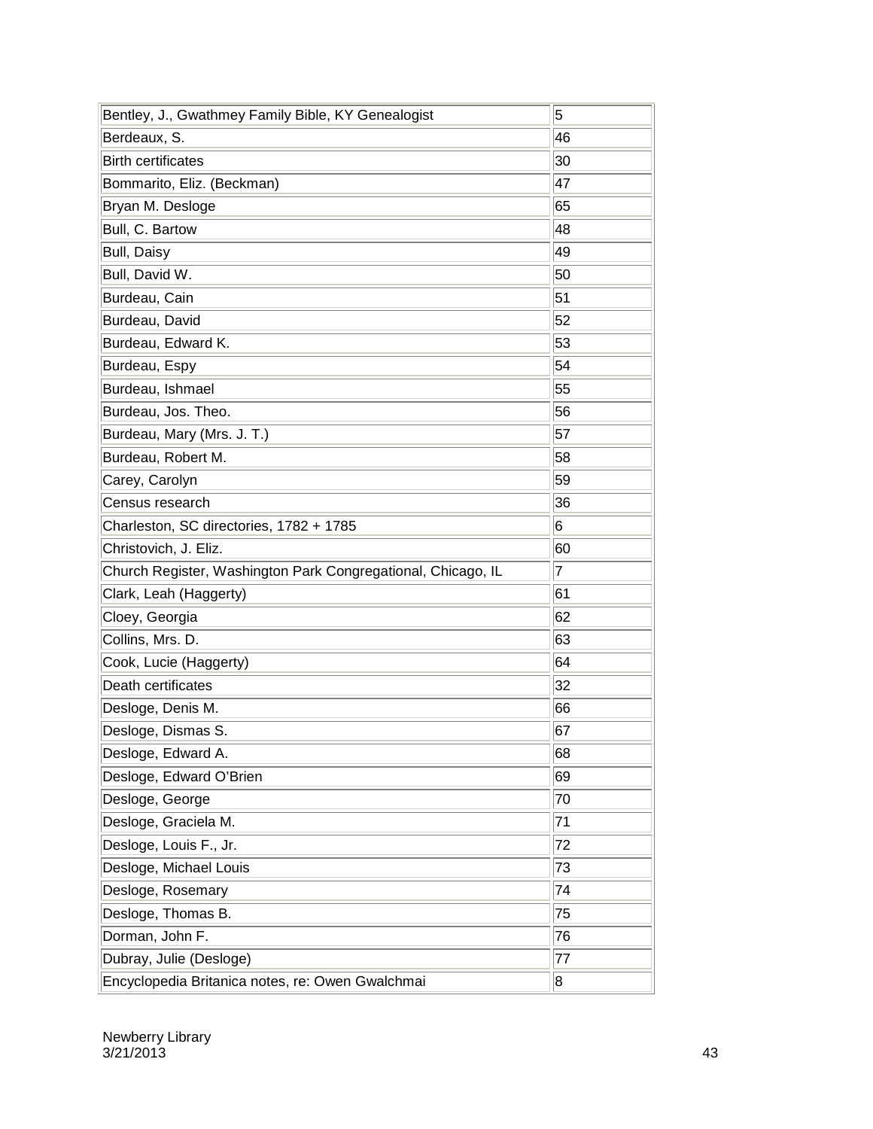| Bentley, J., Gwathmey Family Bible, KY Genealogist           | 5  |
|--------------------------------------------------------------|----|
| Berdeaux, S.                                                 | 46 |
| <b>Birth certificates</b>                                    | 30 |
| Bommarito, Eliz. (Beckman)                                   | 47 |
| Bryan M. Desloge                                             | 65 |
| Bull, C. Bartow                                              | 48 |
| <b>Bull, Daisy</b>                                           | 49 |
| Bull, David W.                                               | 50 |
| Burdeau, Cain                                                | 51 |
| Burdeau, David                                               | 52 |
| Burdeau, Edward K.                                           | 53 |
| Burdeau, Espy                                                | 54 |
| Burdeau, Ishmael                                             | 55 |
| Burdeau, Jos. Theo.                                          | 56 |
| Burdeau, Mary (Mrs. J. T.)                                   | 57 |
| Burdeau, Robert M.                                           | 58 |
| Carey, Carolyn                                               | 59 |
| Census research                                              | 36 |
| Charleston, SC directories, 1782 + 1785                      | 6  |
| Christovich, J. Eliz.                                        | 60 |
| Church Register, Washington Park Congregational, Chicago, IL | 17 |
| Clark, Leah (Haggerty)                                       | 61 |
| Cloey, Georgia                                               | 62 |
| Collins, Mrs. D.                                             | 63 |
| Cook, Lucie (Haggerty)                                       | 64 |
| Death certificates                                           | 32 |
| Desloge, Denis M.                                            | 66 |
| Desloge, Dismas S.                                           | 67 |
| Desloge, Edward A.                                           | 68 |
| Desloge, Edward O'Brien                                      | 69 |
| Desloge, George                                              | 70 |
| Desloge, Graciela M.                                         | 71 |
| Desloge, Louis F., Jr.                                       | 72 |
| Desloge, Michael Louis                                       | 73 |
| Desloge, Rosemary                                            | 74 |
| Desloge, Thomas B.                                           | 75 |
| Dorman, John F.                                              | 76 |
| Dubray, Julie (Desloge)                                      | 77 |
| Encyclopedia Britanica notes, re: Owen Gwalchmai             | 8  |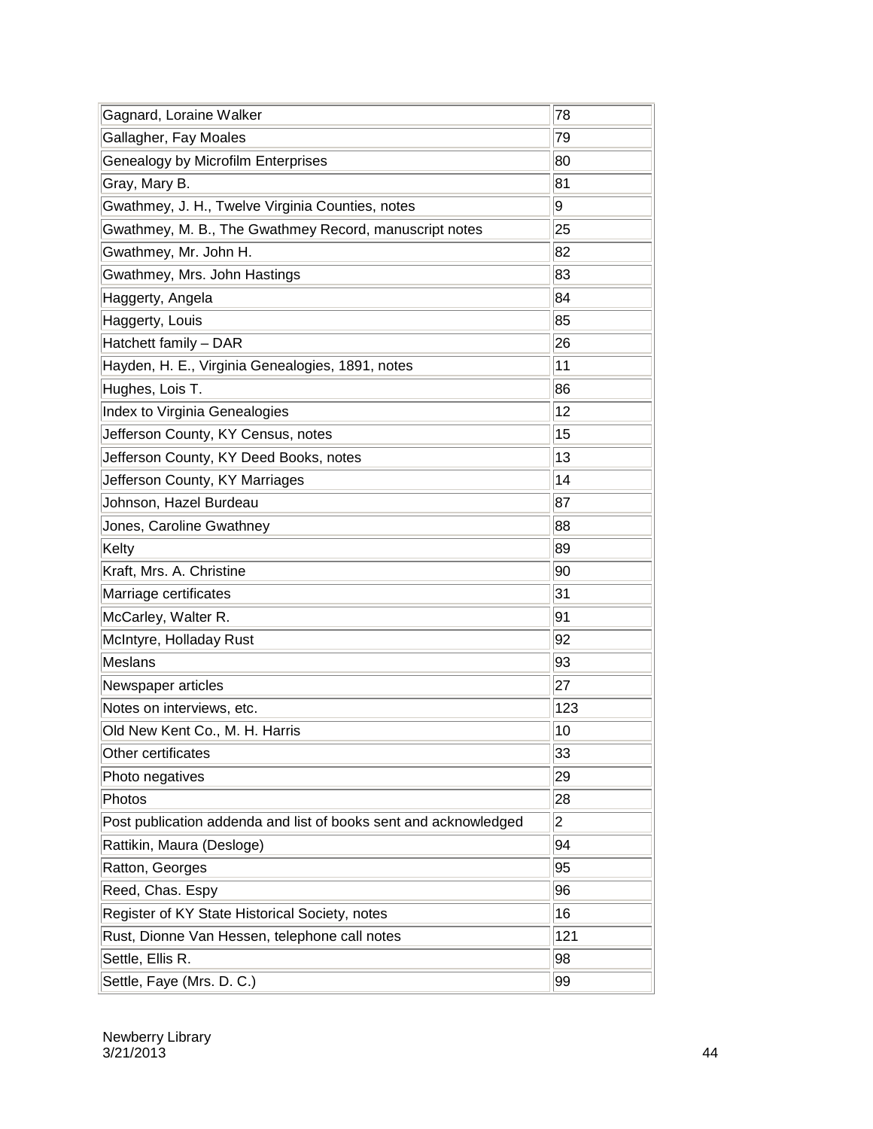| Gagnard, Loraine Walker                                          | 78  |
|------------------------------------------------------------------|-----|
| Gallagher, Fay Moales                                            | 79  |
| Genealogy by Microfilm Enterprises                               | 80  |
| Gray, Mary B.                                                    | 81  |
| Gwathmey, J. H., Twelve Virginia Counties, notes                 | 9   |
| Gwathmey, M. B., The Gwathmey Record, manuscript notes           | 25  |
| Gwathmey, Mr. John H.                                            | 82  |
| Gwathmey, Mrs. John Hastings                                     | 83  |
| Haggerty, Angela                                                 | 84  |
| Haggerty, Louis                                                  | 85  |
| Hatchett family - DAR                                            | 26  |
| Hayden, H. E., Virginia Genealogies, 1891, notes                 | 11  |
| Hughes, Lois T.                                                  | 86  |
| Index to Virginia Genealogies                                    | 12  |
| Jefferson County, KY Census, notes                               | 15  |
| Jefferson County, KY Deed Books, notes                           | 13  |
| Jefferson County, KY Marriages                                   | 14  |
| Johnson, Hazel Burdeau                                           | 87  |
| Jones, Caroline Gwathney                                         | 88  |
| Kelty                                                            | 89  |
| Kraft, Mrs. A. Christine                                         | 90  |
| Marriage certificates                                            | 31  |
| McCarley, Walter R.                                              | 91  |
| McIntyre, Holladay Rust                                          | 92  |
| Meslans                                                          | 93  |
| Newspaper articles                                               | 27  |
| Notes on interviews, etc.                                        | 123 |
| Old New Kent Co., M. H. Harris                                   | 10  |
| Other certificates                                               | 33  |
| Photo negatives                                                  | 29  |
| Photos                                                           | 28  |
| Post publication addenda and list of books sent and acknowledged | 2   |
| Rattikin, Maura (Desloge)                                        | 94  |
| Ratton, Georges                                                  | 95  |
| Reed, Chas. Espy                                                 | 96  |
| Register of KY State Historical Society, notes                   | 16  |
| Rust, Dionne Van Hessen, telephone call notes                    | 121 |
| Settle, Ellis R.                                                 | 98  |
| Settle, Faye (Mrs. D. C.)                                        | 99  |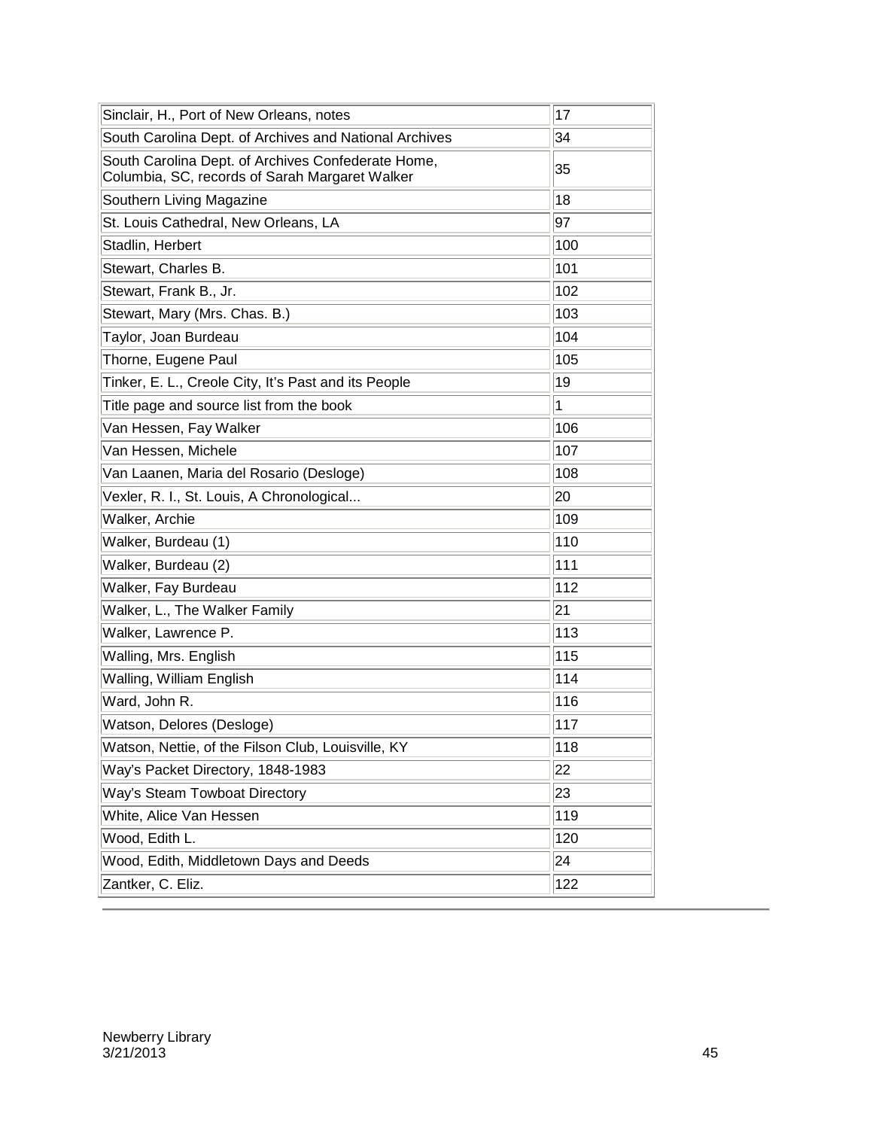| Sinclair, H., Port of New Orleans, notes                                                             | 17        |
|------------------------------------------------------------------------------------------------------|-----------|
| South Carolina Dept. of Archives and National Archives                                               | 34        |
| South Carolina Dept. of Archives Confederate Home,<br>Columbia, SC, records of Sarah Margaret Walker | 35        |
| Southern Living Magazine                                                                             | 18        |
| St. Louis Cathedral, New Orleans, LA                                                                 | 97        |
| Stadlin, Herbert                                                                                     | 100       |
| Stewart, Charles B.                                                                                  | 101       |
| Stewart, Frank B., Jr.                                                                               | 102       |
| Stewart, Mary (Mrs. Chas. B.)                                                                        | 103       |
| Taylor, Joan Burdeau                                                                                 | 104       |
| Thorne, Eugene Paul                                                                                  | 105       |
| Tinker, E. L., Creole City, It's Past and its People                                                 | 19        |
| Title page and source list from the book                                                             | $\vert$ 1 |
| Van Hessen, Fay Walker                                                                               | 106       |
| Van Hessen, Michele                                                                                  | 107       |
| Van Laanen, Maria del Rosario (Desloge)                                                              | 108       |
| Vexler, R. I., St. Louis, A Chronological                                                            | 20        |
| Walker, Archie                                                                                       | 109       |
| Walker, Burdeau (1)                                                                                  | 110       |
| Walker, Burdeau (2)                                                                                  | 111       |
| Walker, Fay Burdeau                                                                                  | 112       |
| Walker, L., The Walker Family                                                                        | 21        |
| Walker, Lawrence P.                                                                                  | 113       |
| Walling, Mrs. English                                                                                | 115       |
| Walling, William English                                                                             | 114       |
| Ward, John R.                                                                                        | 116       |
| Watson, Delores (Desloge)                                                                            | 117       |
| Watson, Nettie, of the Filson Club, Louisville, KY                                                   | 118       |
| Way's Packet Directory, 1848-1983                                                                    | 22        |
| Way's Steam Towboat Directory                                                                        | 23        |
| White, Alice Van Hessen                                                                              | 119       |
| Wood, Edith L.                                                                                       | 120       |
| Wood, Edith, Middletown Days and Deeds                                                               | 24        |
| Zantker, C. Eliz.                                                                                    | 122       |
|                                                                                                      |           |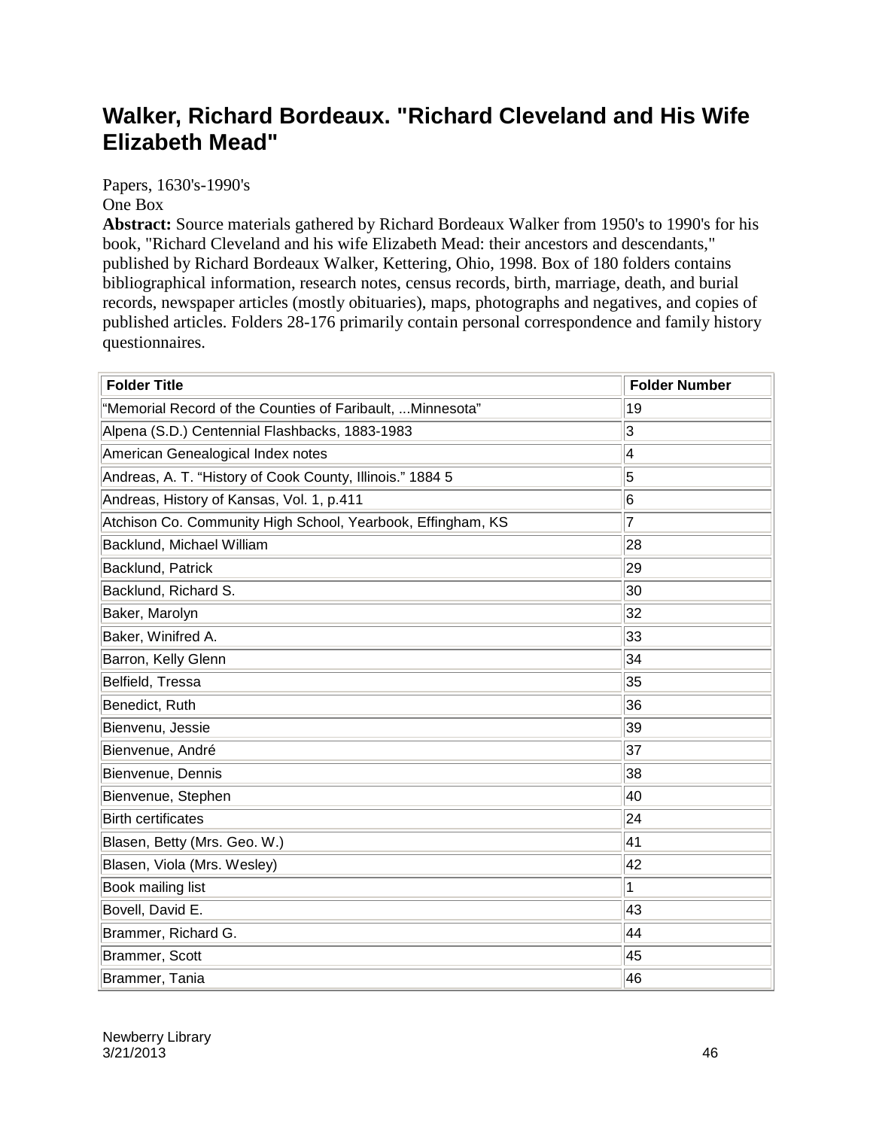#### **Walker, Richard Bordeaux. "Richard Cleveland and His Wife Elizabeth Mead"**

Papers, 1630's-1990's One Box

**Abstract:** Source materials gathered by Richard Bordeaux Walker from 1950's to 1990's for his book, "Richard Cleveland and his wife Elizabeth Mead: their ancestors and descendants," published by Richard Bordeaux Walker, Kettering, Ohio, 1998. Box of 180 folders contains bibliographical information, research notes, census records, birth, marriage, death, and burial records, newspaper articles (mostly obituaries), maps, photographs and negatives, and copies of published articles. Folders 28-176 primarily contain personal correspondence and family history questionnaires.

| <b>Folder Title</b>                                         | <b>Folder Number</b> |
|-------------------------------------------------------------|----------------------|
| "Memorial Record of the Counties of Faribault,  Minnesota"  | 19                   |
| Alpena (S.D.) Centennial Flashbacks, 1883-1983              | 3                    |
| American Genealogical Index notes                           | 4                    |
| Andreas, A. T. "History of Cook County, Illinois." 1884 5   | 5                    |
| Andreas, History of Kansas, Vol. 1, p.411                   | 6                    |
| Atchison Co. Community High School, Yearbook, Effingham, KS | $\overline{7}$       |
| Backlund, Michael William                                   | 28                   |
| Backlund, Patrick                                           | 29                   |
| Backlund, Richard S.                                        | 30                   |
| Baker, Marolyn                                              | 32                   |
| Baker, Winifred A.                                          | 33                   |
| Barron, Kelly Glenn                                         | 34                   |
| Belfield, Tressa                                            | 35                   |
| Benedict, Ruth                                              | 36                   |
| Bienvenu, Jessie                                            | 39                   |
| Bienvenue, André                                            | 37                   |
| Bienvenue, Dennis                                           | 38                   |
| Bienvenue, Stephen                                          | 40                   |
| <b>Birth certificates</b>                                   | 24                   |
| Blasen, Betty (Mrs. Geo. W.)                                | 41                   |
| Blasen, Viola (Mrs. Wesley)                                 | 42                   |
| Book mailing list                                           | 1                    |
| Bovell, David E.                                            | 43                   |
| Brammer, Richard G.                                         | 44                   |
| Brammer, Scott                                              | 45                   |
| Brammer, Tania                                              | 46                   |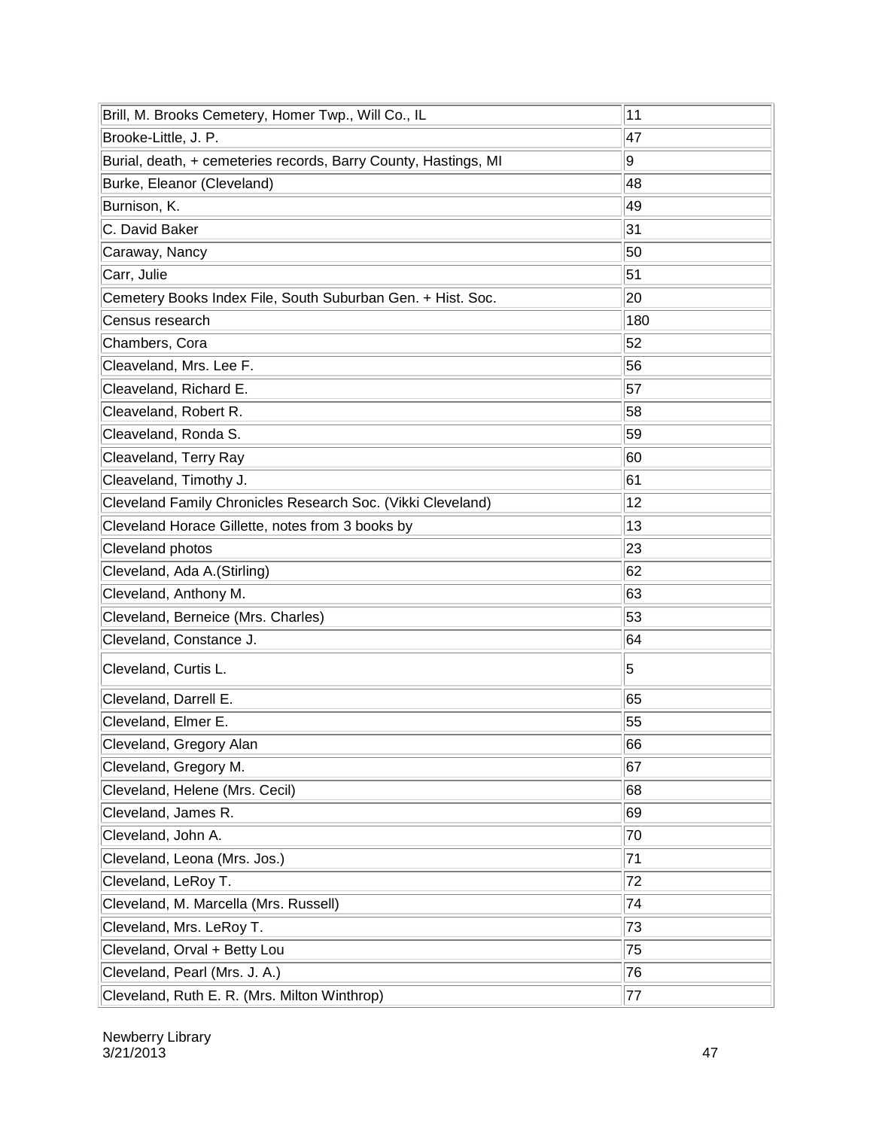| Brill, M. Brooks Cemetery, Homer Twp., Will Co., IL             | 11  |
|-----------------------------------------------------------------|-----|
| Brooke-Little, J. P.                                            | 47  |
| Burial, death, + cemeteries records, Barry County, Hastings, MI | g   |
| Burke, Eleanor (Cleveland)                                      | 48  |
| Burnison, K.                                                    | 49  |
| C. David Baker                                                  | 31  |
| Caraway, Nancy                                                  | 50  |
| Carr, Julie                                                     | 51  |
| Cemetery Books Index File, South Suburban Gen. + Hist. Soc.     | 20  |
| Census research                                                 | 180 |
| Chambers, Cora                                                  | 52  |
| Cleaveland, Mrs. Lee F.                                         | 56  |
| Cleaveland, Richard E.                                          | 57  |
| Cleaveland, Robert R.                                           | 58  |
| Cleaveland, Ronda S.                                            | 59  |
| Cleaveland, Terry Ray                                           | 60  |
| Cleaveland, Timothy J.                                          | 61  |
| Cleveland Family Chronicles Research Soc. (Vikki Cleveland)     | 12  |
| Cleveland Horace Gillette, notes from 3 books by                | 13  |
| Cleveland photos                                                | 23  |
| Cleveland, Ada A.(Stirling)                                     | 62  |
| Cleveland, Anthony M.                                           | 63  |
| Cleveland, Berneice (Mrs. Charles)                              | 53  |
| Cleveland, Constance J.                                         | 64  |
| Cleveland, Curtis L.                                            | 5   |
| Cleveland, Darrell E.                                           | 65  |
| Cleveland, Elmer E.                                             | 55  |
| Cleveland, Gregory Alan                                         | 66  |
| Cleveland, Gregory M.                                           | 67  |
| Cleveland, Helene (Mrs. Cecil)                                  | 68  |
| Cleveland, James R.                                             | 69  |
| Cleveland, John A.                                              | 70  |
| Cleveland, Leona (Mrs. Jos.)                                    | 71  |
| Cleveland, LeRoy T.                                             | 72  |
| Cleveland, M. Marcella (Mrs. Russell)                           | 74  |
| Cleveland, Mrs. LeRoy T.                                        | 73  |
| Cleveland, Orval + Betty Lou                                    | 75  |
| Cleveland, Pearl (Mrs. J. A.)                                   | 76  |
| Cleveland, Ruth E. R. (Mrs. Milton Winthrop)                    | 77  |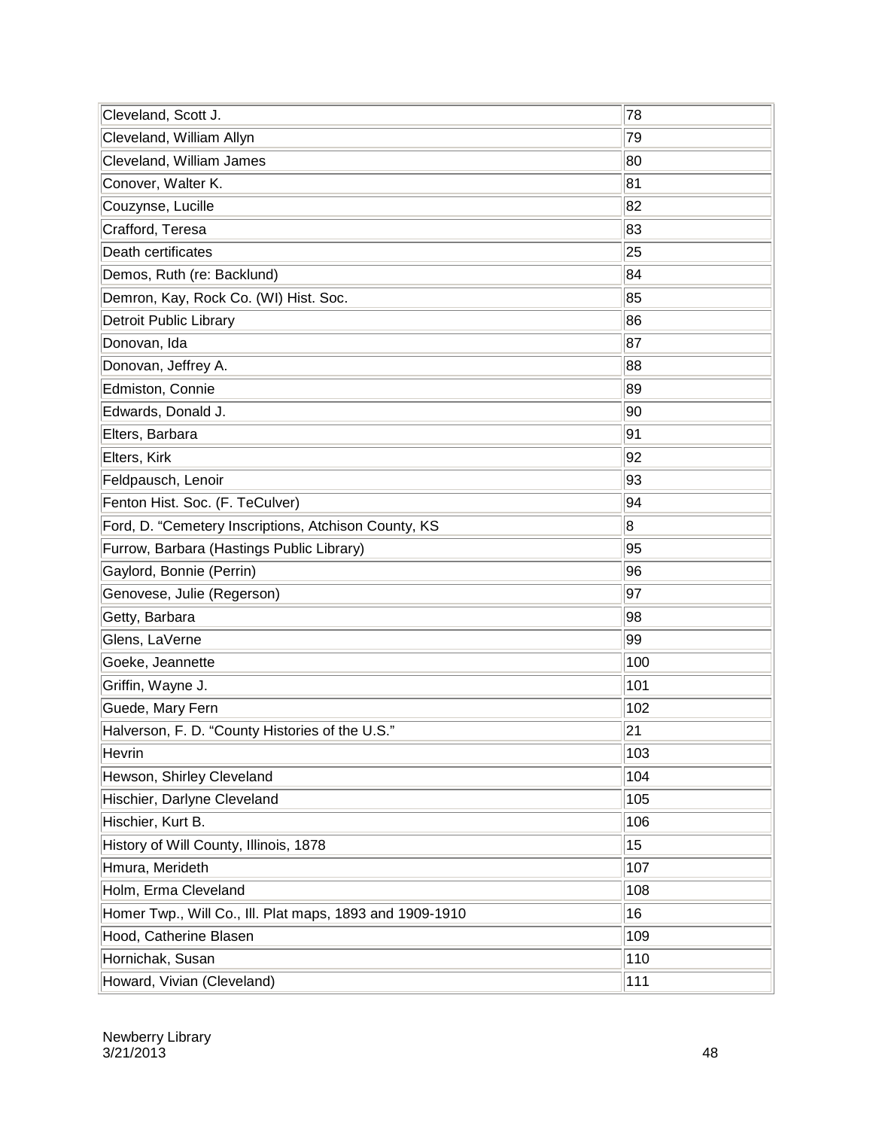| Cleveland, Scott J.                                      | 78  |
|----------------------------------------------------------|-----|
| Cleveland, William Allyn                                 | 79  |
| Cleveland, William James                                 | 80  |
| Conover, Walter K.                                       | 81  |
| Couzynse, Lucille                                        | 82  |
| Crafford, Teresa                                         | 83  |
| Death certificates                                       | 25  |
| Demos, Ruth (re: Backlund)                               | 84  |
| Demron, Kay, Rock Co. (WI) Hist. Soc.                    | 85  |
| <b>Detroit Public Library</b>                            | 86  |
| Donovan, Ida                                             | 87  |
| Donovan, Jeffrey A.                                      | 88  |
| Edmiston, Connie                                         | 89  |
| Edwards, Donald J.                                       | 90  |
| Elters, Barbara                                          | 91  |
| Elters, Kirk                                             | 92  |
| Feldpausch, Lenoir                                       | 93  |
| Fenton Hist. Soc. (F. TeCulver)                          | 94  |
| Ford, D. "Cemetery Inscriptions, Atchison County, KS     | 8   |
| Furrow, Barbara (Hastings Public Library)                | 95  |
| Gaylord, Bonnie (Perrin)                                 | 96  |
| Genovese, Julie (Regerson)                               | 97  |
| Getty, Barbara                                           | 98  |
| Glens, LaVerne                                           | 99  |
| Goeke, Jeannette                                         | 100 |
| Griffin, Wayne J.                                        | 101 |
| Guede, Mary Fern                                         | 102 |
| Halverson, F. D. "County Histories of the U.S."          | 21  |
| Hevrin                                                   | 103 |
| Hewson, Shirley Cleveland                                | 104 |
| Hischier, Darlyne Cleveland                              | 105 |
| Hischier, Kurt B.                                        | 106 |
| History of Will County, Illinois, 1878                   | 15  |
| Hmura, Merideth                                          | 107 |
| Holm, Erma Cleveland                                     | 108 |
| Homer Twp., Will Co., Ill. Plat maps, 1893 and 1909-1910 | 16  |
| Hood, Catherine Blasen                                   | 109 |
| Hornichak, Susan                                         | 110 |
| Howard, Vivian (Cleveland)                               | 111 |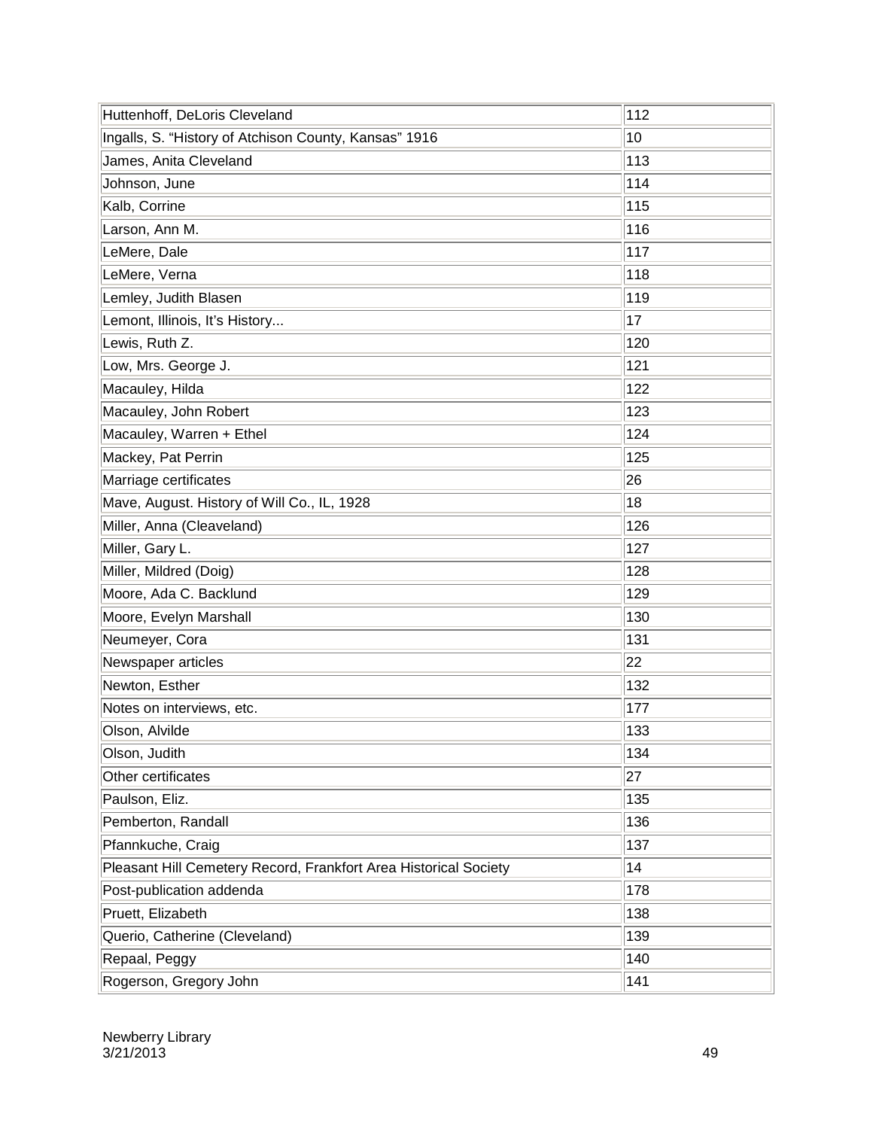| Huttenhoff, DeLoris Cleveland                                    | 112 |
|------------------------------------------------------------------|-----|
| Ingalls, S. "History of Atchison County, Kansas" 1916            | 10  |
| James, Anita Cleveland                                           | 113 |
| Johnson, June                                                    | 114 |
| Kalb, Corrine                                                    | 115 |
| Larson, Ann M.                                                   | 116 |
| LeMere, Dale                                                     | 117 |
| LeMere, Verna                                                    | 118 |
| Lemley, Judith Blasen                                            | 119 |
| Lemont, Illinois, It's History                                   | 17  |
| Lewis, Ruth Z.                                                   | 120 |
| Low, Mrs. George J.                                              | 121 |
| Macauley, Hilda                                                  | 122 |
| Macauley, John Robert                                            | 123 |
| Macauley, Warren + Ethel                                         | 124 |
| Mackey, Pat Perrin                                               | 125 |
| Marriage certificates                                            | 26  |
| Mave, August. History of Will Co., IL, 1928                      | 18  |
| Miller, Anna (Cleaveland)                                        | 126 |
| Miller, Gary L.                                                  | 127 |
| Miller, Mildred (Doig)                                           | 128 |
| Moore, Ada C. Backlund                                           | 129 |
| Moore, Evelyn Marshall                                           | 130 |
| Neumeyer, Cora                                                   | 131 |
| Newspaper articles                                               | 22  |
| Newton, Esther                                                   | 132 |
| Notes on interviews, etc.                                        | 177 |
| Olson, Alvilde                                                   | 133 |
| Olson, Judith                                                    | 134 |
| Other certificates                                               | 27  |
| Paulson, Eliz.                                                   | 135 |
| Pemberton, Randall                                               | 136 |
| Pfannkuche, Craig                                                | 137 |
| Pleasant Hill Cemetery Record, Frankfort Area Historical Society | 14  |
| Post-publication addenda                                         | 178 |
| Pruett, Elizabeth                                                | 138 |
| Querio, Catherine (Cleveland)                                    | 139 |
| Repaal, Peggy                                                    | 140 |
| Rogerson, Gregory John                                           | 141 |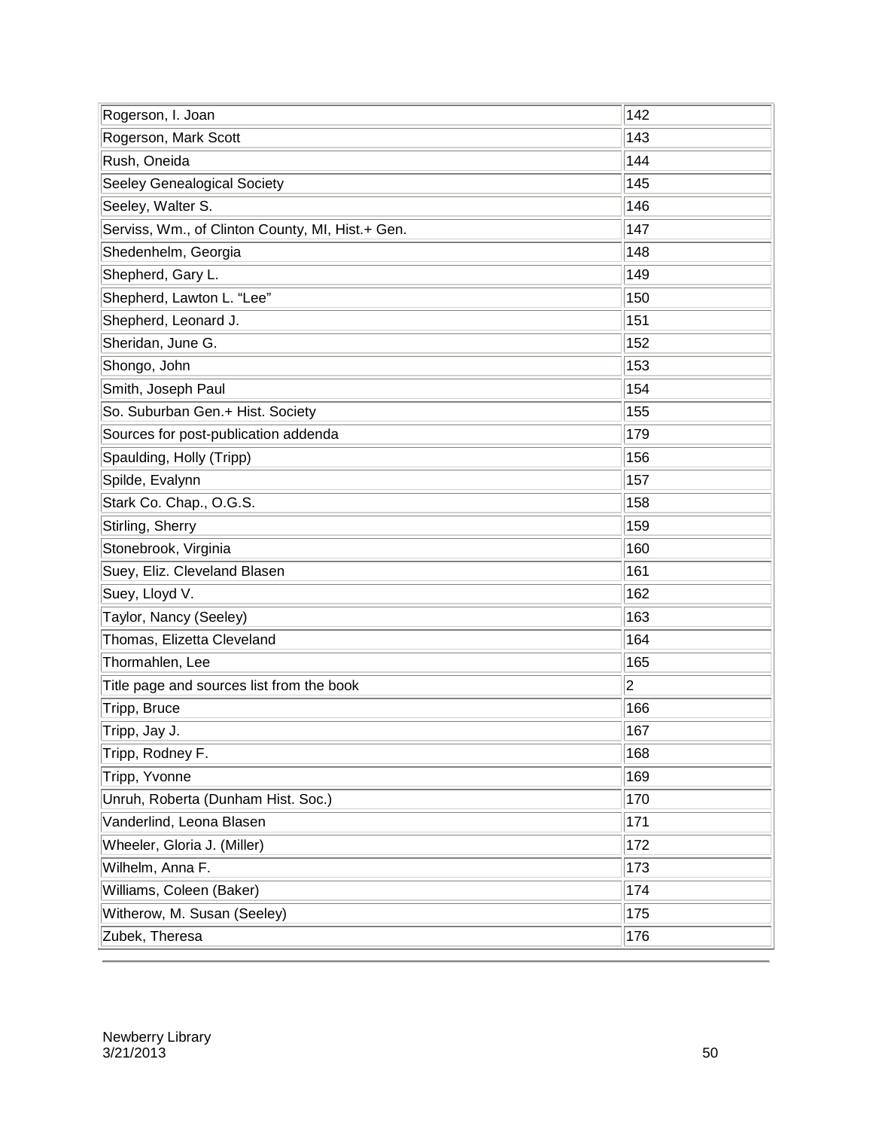| Rogerson, I. Joan                                | 142         |
|--------------------------------------------------|-------------|
| Rogerson, Mark Scott                             | 143         |
| Rush, Oneida                                     | 144         |
| Seeley Genealogical Society                      | 145         |
| Seeley, Walter S.                                | 146         |
| Serviss, Wm., of Clinton County, MI, Hist.+ Gen. | 147         |
| Shedenhelm, Georgia                              | 148         |
| Shepherd, Gary L.                                | 149         |
| Shepherd, Lawton L. "Lee"                        | 150         |
| Shepherd, Leonard J.                             | 151         |
| Sheridan, June G.                                | 152         |
| Shongo, John                                     | 153         |
| Smith, Joseph Paul                               | 154         |
| So. Suburban Gen.+ Hist. Society                 | 155         |
| Sources for post-publication addenda             | 179         |
| Spaulding, Holly (Tripp)                         | 156         |
| Spilde, Evalynn                                  | 157         |
| Stark Co. Chap., O.G.S.                          | 158         |
| Stirling, Sherry                                 | 159         |
| Stonebrook, Virginia                             | 160         |
| Suey, Eliz. Cleveland Blasen                     | 161         |
| Suey, Lloyd V.                                   | 162         |
| Taylor, Nancy (Seeley)                           | 163         |
| Thomas, Elizetta Cleveland                       | 164         |
| Thormahlen, Lee                                  | 165         |
| Title page and sources list from the book        | $ 2\rangle$ |
| Tripp, Bruce                                     | 166         |
| Tripp, Jay J.                                    | 167         |
| Tripp, Rodney F.                                 | 168         |
| Tripp, Yvonne                                    | 169         |
| Unruh, Roberta (Dunham Hist. Soc.)               | 170         |
| Vanderlind, Leona Blasen                         | 171         |
| Wheeler, Gloria J. (Miller)                      | 172         |
| Wilhelm, Anna F.                                 | 173         |
| Williams, Coleen (Baker)                         | 174         |
| Witherow, M. Susan (Seeley)                      | 175         |
| Zubek, Theresa                                   | 176         |